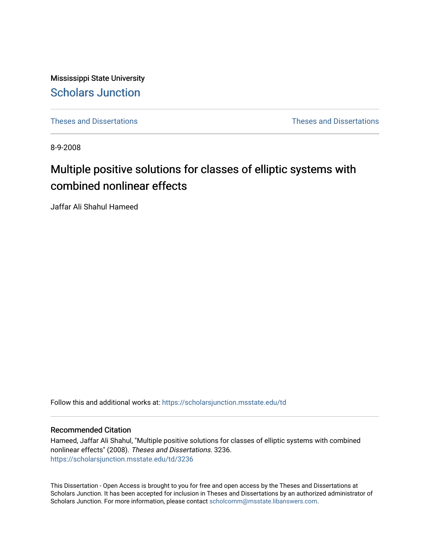Mississippi State University [Scholars Junction](https://scholarsjunction.msstate.edu/) 

[Theses and Dissertations](https://scholarsjunction.msstate.edu/td) [Theses and Dissertations](https://scholarsjunction.msstate.edu/theses-dissertations) 

8-9-2008

# Multiple positive solutions for classes of elliptic systems with combined nonlinear effects

Jaffar Ali Shahul Hameed

Follow this and additional works at: [https://scholarsjunction.msstate.edu/td](https://scholarsjunction.msstate.edu/td?utm_source=scholarsjunction.msstate.edu%2Ftd%2F3236&utm_medium=PDF&utm_campaign=PDFCoverPages) 

#### Recommended Citation

Hameed, Jaffar Ali Shahul, "Multiple positive solutions for classes of elliptic systems with combined nonlinear effects" (2008). Theses and Dissertations. 3236. [https://scholarsjunction.msstate.edu/td/3236](https://scholarsjunction.msstate.edu/td/3236?utm_source=scholarsjunction.msstate.edu%2Ftd%2F3236&utm_medium=PDF&utm_campaign=PDFCoverPages) 

This Dissertation - Open Access is brought to you for free and open access by the Theses and Dissertations at Scholars Junction. It has been accepted for inclusion in Theses and Dissertations by an authorized administrator of Scholars Junction. For more information, please contact [scholcomm@msstate.libanswers.com.](mailto:scholcomm@msstate.libanswers.com)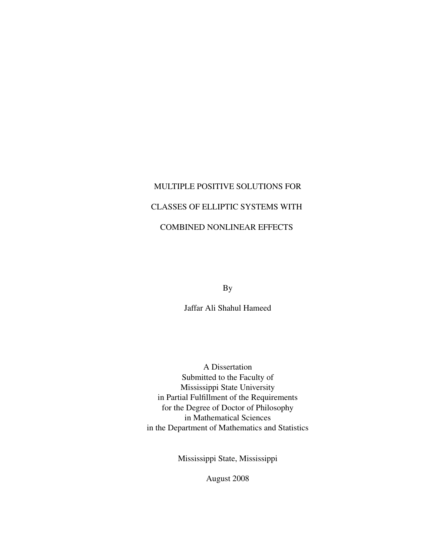# MULTIPLE POSITIVE SOLUTIONS FOR CLASSES OF ELLIPTIC SYSTEMS WITH COMBINED NONLINEAR EFFECTS

By

Jaffar Ali Shahul Hameed

A Dissertation Submitted to the Faculty of Mississippi State University in Partial Fulfillment of the Requirements for the Degree of Doctor of Philosophy in Mathematical Sciences in the Department of Mathematics and Statistics

Mississippi State, Mississippi

August 2008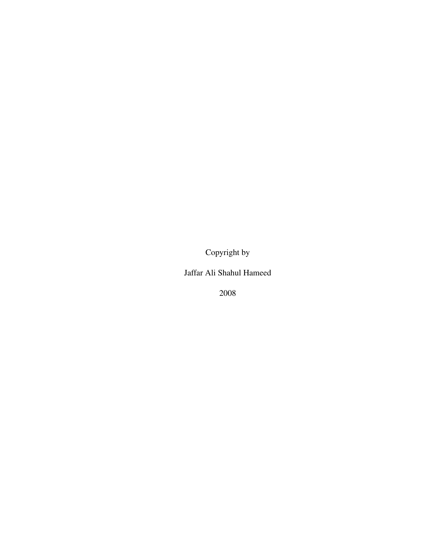Copyright by

Jaffar Ali Shahul Hameed

2008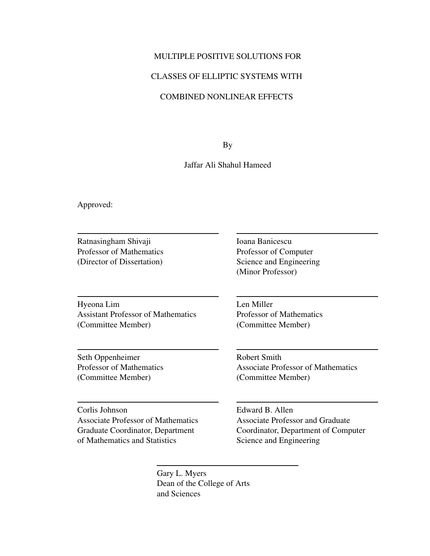## MULTIPLE POSITIVE SOLUTIONS FOR

### CLASSES OF ELLIPTIC SYSTEMS WITH

# COMBINED NONLINEAR EFFECTS

By

#### Jaffar Ali Shahul Hameed

Approved:

Ratnasingham Shivaji Professor of Mathematics (Director of Dissertation)

Hyeona Lim Assistant Professor of Mathematics (Committee Member)

Seth Oppenheimer Professor of Mathematics (Committee Member)

Corlis Johnson Associate Professor of Mathematics Graduate Coordinator, Department of Mathematics and Statistics

Ioana Banicescu Professor of Computer Science and Engineering (Minor Professor)

Len Miller Professor of Mathematics (Committee Member)

Robert Smith Associate Professor of Mathematics (Committee Member)

Edward B. Allen Associate Professor and Graduate Coordinator, Department of Computer Science and Engineering

Gary L. Myers Dean of the College of Arts and Sciences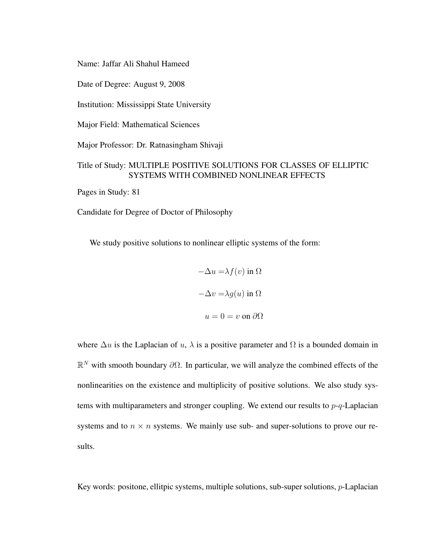Name: Jaffar Ali Shahul Hameed

Date of Degree: August 9, 2008

Institution: Mississippi State University

Major Field: Mathematical Sciences

Major Professor: Dr. Ratnasingham Shivaji

# Title of Study: MULTIPLE POSITIVE SOLUTIONS FOR CLASSES OF ELLIPTIC SYSTEMS WITH COMBINED NONLINEAR EFFECTS

Pages in Study: 81

Candidate for Degree of Doctor of Philosophy

We study positive solutions to nonlinear elliptic systems of the form:

$$
-\Delta u = \lambda f(v) \text{ in } \Omega
$$

$$
-\Delta v = \lambda g(u) \text{ in } \Omega
$$

$$
u = 0 = v \text{ on } \partial\Omega
$$

where  $\Delta u$  is the Laplacian of u,  $\lambda$  is a positive parameter and  $\Omega$  is a bounded domain in  $\mathbb{R}^N$  with smooth boundary  $\partial\Omega$ . In particular, we will analyze the combined effects of the nonlinearities on the existence and multiplicity of positive solutions. We also study systems with multiparameters and stronger coupling. We extend our results to  $p-q$ -Laplacian systems and to  $n \times n$  systems. We mainly use sub- and super-solutions to prove our results.

Key words: positone, ellitpic systems, multiple solutions, sub-super solutions,  $p$ -Laplacian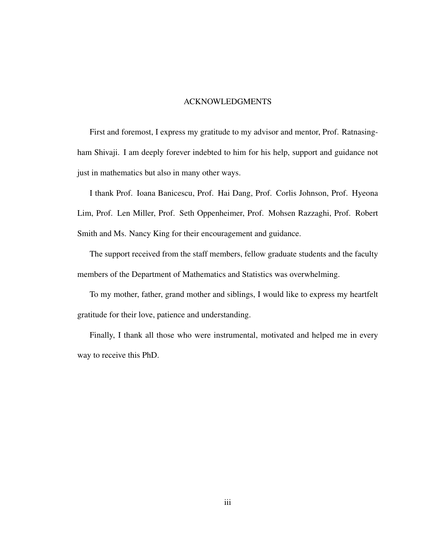#### ACKNOWLEDGMENTS

First and foremost, I express my gratitude to my advisor and mentor, Prof. Ratnasingham Shivaji. I am deeply forever indebted to him for his help, support and guidance not just in mathematics but also in many other ways.

I thank Prof. Ioana Banicescu, Prof. Hai Dang, Prof. Corlis Johnson, Prof. Hyeona Lim, Prof. Len Miller, Prof. Seth Oppenheimer, Prof. Mohsen Razzaghi, Prof. Robert Smith and Ms. Nancy King for their encouragement and guidance.

The support received from the staff members, fellow graduate students and the faculty members of the Department of Mathematics and Statistics was overwhelming.

To my mother, father, grand mother and siblings, I would like to express my heartfelt gratitude for their love, patience and understanding.

Finally, I thank all those who were instrumental, motivated and helped me in every way to receive this PhD.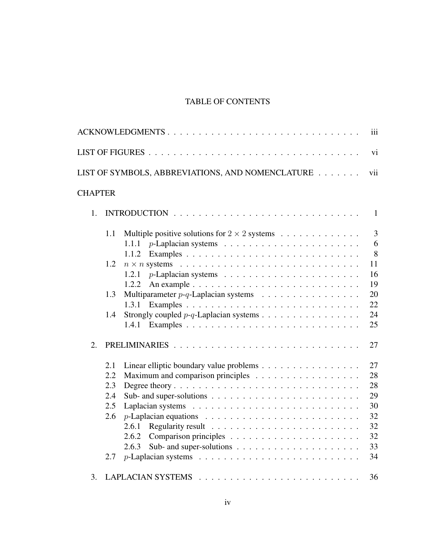# TABLE OF CONTENTS

|                |     | ACKNOWLEDGMENTS<br>iii                                                                     |
|----------------|-----|--------------------------------------------------------------------------------------------|
|                |     | vi                                                                                         |
|                |     | LIST OF SYMBOLS, ABBREVIATIONS, AND NOMENCLATURE<br>vii                                    |
| <b>CHAPTER</b> |     |                                                                                            |
| 1.             |     | $\mathbf{1}$                                                                               |
|                | 1.1 | $\overline{3}$<br>Multiple positive solutions for $2 \times 2$ systems                     |
|                |     | 6<br>1.1.1                                                                                 |
|                |     | 8<br>1.1.2                                                                                 |
|                | 1.2 | 11                                                                                         |
|                |     | 16<br>1.2.1                                                                                |
|                |     | 19<br>1.2.2                                                                                |
|                | 1.3 | 20                                                                                         |
|                |     | 22<br>1.3.1                                                                                |
|                | 1.4 | 24                                                                                         |
|                |     | 25<br>1.4.1                                                                                |
| 2.             |     | 27                                                                                         |
|                | 2.1 | Linear elliptic boundary value problems<br>27                                              |
|                | 2.2 | 28                                                                                         |
|                | 2.3 | 28                                                                                         |
|                | 2.4 | 29<br>Sub- and super-solutions $\ldots \ldots \ldots \ldots \ldots \ldots \ldots \ldots$   |
|                | 2.5 | 30                                                                                         |
|                | 2.6 | 32                                                                                         |
|                |     | 32<br>2.6.1                                                                                |
|                |     | 32<br>2.6.2                                                                                |
|                |     | Sub- and super-solutions $\ldots \ldots \ldots \ldots \ldots \ldots \ldots$<br>33<br>2.6.3 |
|                | 2.7 | 34                                                                                         |
| 3.             |     | 36                                                                                         |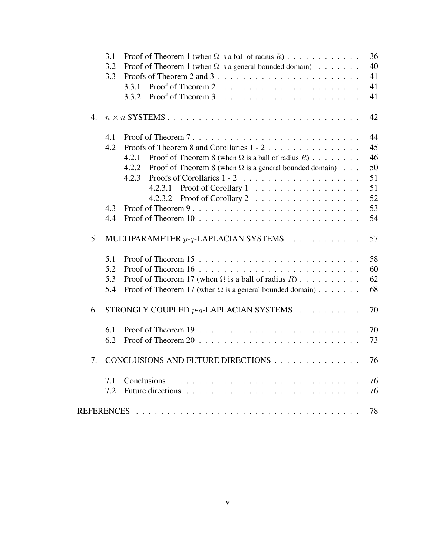|                   | 3.1 | Proof of Theorem 1 (when $\Omega$ is a ball of radius R)                | 36 |
|-------------------|-----|-------------------------------------------------------------------------|----|
|                   | 3.2 | Proof of Theorem 1 (when $\Omega$ is a general bounded domain)          | 40 |
|                   | 3.3 |                                                                         | 41 |
|                   |     | 3.3.1                                                                   | 41 |
|                   |     | 3.3.2                                                                   | 41 |
| $\mathbf{4}$      |     |                                                                         | 42 |
|                   | 4.1 |                                                                         | 44 |
|                   | 4.2 | Proofs of Theorem 8 and Corollaries 1 - 2                               | 45 |
|                   |     | 4.2.1<br>Proof of Theorem 8 (when $\Omega$ is a ball of radius R)       | 46 |
|                   |     | Proof of Theorem 8 (when $\Omega$ is a general bounded domain)<br>4.2.2 | 50 |
|                   |     | 4.2.3                                                                   | 51 |
|                   |     | Proof of Corollary 1<br>4.2.3.1                                         | 51 |
|                   |     | Proof of Corollary 2<br>4.2.3.2                                         | 52 |
|                   | 4.3 |                                                                         | 53 |
|                   | 4.4 |                                                                         | 54 |
| 5.                |     | MULTIPARAMETER $p-q$ -LAPLACIAN SYSTEMS                                 | 57 |
|                   | 5.1 |                                                                         | 58 |
|                   | 5.2 |                                                                         | 60 |
|                   | 5.3 | Proof of Theorem 17 (when $\Omega$ is a ball of radius R)               | 62 |
|                   | 5.4 | Proof of Theorem 17 (when $\Omega$ is a general bounded domain)         | 68 |
| 6.                |     | STRONGLY COUPLED $p-q$ -LAPLACIAN SYSTEMS                               | 70 |
|                   | 6.1 |                                                                         | 70 |
|                   | 6.2 |                                                                         | 73 |
| 7.                |     | CONCLUSIONS AND FUTURE DIRECTIONS                                       | 76 |
|                   | 7.1 | Conclusions                                                             | 76 |
|                   | 7.2 |                                                                         | 76 |
| <b>REFERENCES</b> |     |                                                                         | 78 |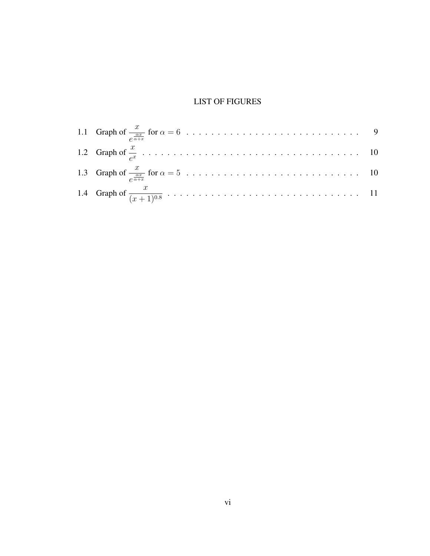# LIST OF FIGURES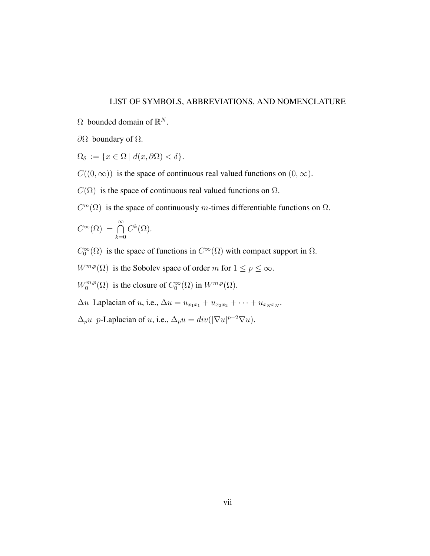#### LIST OF SYMBOLS, ABBREVIATIONS, AND NOMENCLATURE

- $\Omega$  bounded domain of  $\mathbb{R}^N$ .
- $\partial Ω$  boundary of  $Ω$ .
- $\Omega_{\delta} := \{x \in \Omega \mid d(x, \partial \Omega) < \delta\}.$
- $C((0, \infty))$  is the space of continuous real valued functions on  $(0, \infty)$ .
- $C(\Omega)$  is the space of continuous real valued functions on  $\Omega$ .
- $C<sup>m</sup>(\Omega)$  is the space of continuously m-times differentiable functions on  $\Omega$ .

$$
C^{\infty}(\Omega) = \bigcap_{k=0}^{\infty} C^k(\Omega).
$$

- $C_0^{\infty}(\Omega)$  is the space of functions in  $C^{\infty}(\Omega)$  with compact support in  $\Omega$ .
- $W^{m,p}(\Omega)$  is the Sobolev space of order m for  $1 \le p \le \infty$ .
- $W_0^{m,p}$  $C_0^{m,p}(\Omega)$  is the closure of  $C_0^{\infty}(\Omega)$  in  $W^{m,p}(\Omega)$ .
- $\Delta u$  Laplacian of u, i.e.,  $\Delta u = u_{x_1x_1} + u_{x_2x_2} + \cdots + u_{x_Nx_N}$ .
- $\Delta_p u$  p-Laplacian of u, i.e.,  $\Delta_p u = div(|\nabla u|^{p-2} \nabla u)$ .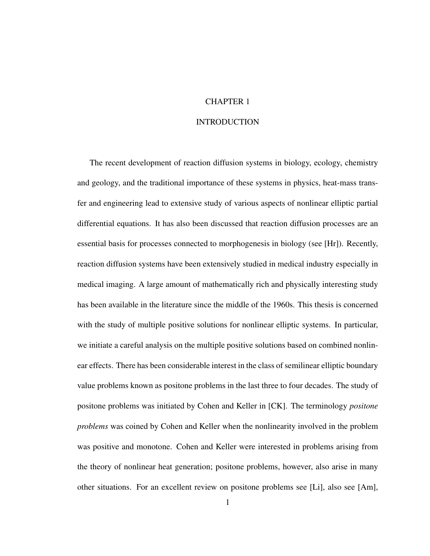# CHAPTER 1

#### INTRODUCTION

The recent development of reaction diffusion systems in biology, ecology, chemistry and geology, and the traditional importance of these systems in physics, heat-mass transfer and engineering lead to extensive study of various aspects of nonlinear elliptic partial differential equations. It has also been discussed that reaction diffusion processes are an essential basis for processes connected to morphogenesis in biology (see [Hr]). Recently, reaction diffusion systems have been extensively studied in medical industry especially in medical imaging. A large amount of mathematically rich and physically interesting study has been available in the literature since the middle of the 1960s. This thesis is concerned with the study of multiple positive solutions for nonlinear elliptic systems. In particular, we initiate a careful analysis on the multiple positive solutions based on combined nonlinear effects. There has been considerable interest in the class of semilinear elliptic boundary value problems known as positone problems in the last three to four decades. The study of positone problems was initiated by Cohen and Keller in [CK]. The terminology *positone problems* was coined by Cohen and Keller when the nonlinearity involved in the problem was positive and monotone. Cohen and Keller were interested in problems arising from the theory of nonlinear heat generation; positone problems, however, also arise in many other situations. For an excellent review on positone problems see [Li], also see [Am],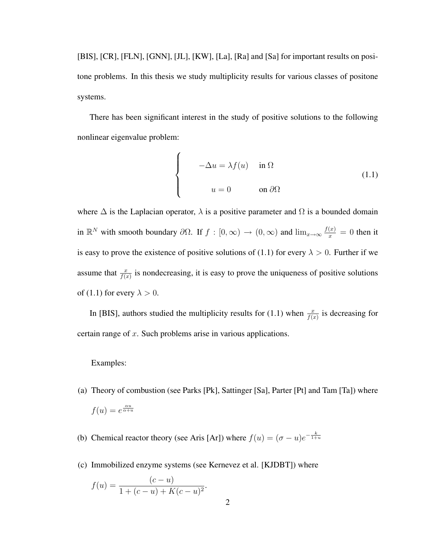[BIS], [CR], [FLN], [GNN], [JL], [KW], [La], [Ra] and [Sa] for important results on positone problems. In this thesis we study multiplicity results for various classes of positone systems.

There has been significant interest in the study of positive solutions to the following nonlinear eigenvalue problem:

 $\overline{a}$ 

$$
\begin{cases}\n-\Delta u = \lambda f(u) & \text{in } \Omega \\
u = 0 & \text{on } \partial\Omega\n\end{cases}
$$
\n(1.1)

where  $\Delta$  is the Laplacian operator,  $\lambda$  is a positive parameter and  $\Omega$  is a bounded domain in  $\mathbb{R}^N$  with smooth boundary  $\partial\Omega$ . If  $f : [0,\infty) \to (0,\infty)$  and  $\lim_{x\to\infty} \frac{f(x)}{x} = 0$  then it is easy to prove the existence of positive solutions of (1.1) for every  $\lambda > 0$ . Further if we assume that  $\frac{x}{f(x)}$  is nondecreasing, it is easy to prove the uniqueness of positive solutions of (1.1) for every  $\lambda > 0$ .

In [BIS], authors studied the multiplicity results for (1.1) when  $\frac{x}{f(x)}$  is decreasing for certain range of  $x$ . Such problems arise in various applications.

#### Examples:

- (a) Theory of combustion (see Parks [Pk], Sattinger [Sa], Parter [Pt] and Tam [Ta]) where  $f(u) = e^{\frac{\alpha u}{\alpha + u}}$
- (b) Chemical reactor theory (see Aris [Ar]) where  $f(u) = (\sigma u)e^{-\frac{k}{1+u}}$
- (c) Immobilized enzyme systems (see Kernevez et al. [KJDBT]) where

$$
f(u) = \frac{(c - u)}{1 + (c - u) + K(c - u)^2}.
$$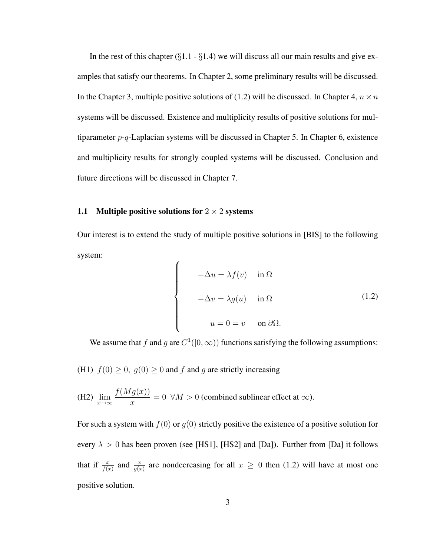In the rest of this chapter  $(\S1.1 - \S1.4)$  we will discuss all our main results and give examples that satisfy our theorems. In Chapter 2, some preliminary results will be discussed. In the Chapter 3, multiple positive solutions of (1.2) will be discussed. In Chapter 4,  $n \times n$ systems will be discussed. Existence and multiplicity results of positive solutions for multiparameter  $p-q$ -Laplacian systems will be discussed in Chapter 5. In Chapter 6, existence and multiplicity results for strongly coupled systems will be discussed. Conclusion and future directions will be discussed in Chapter 7.

#### 1.1 Multiple positive solutions for  $2 \times 2$  systems

Our interest is to extend the study of multiple positive solutions in [BIS] to the following system:

$$
\begin{cases}\n-\Delta u = \lambda f(v) & \text{in } \Omega \\
-\Delta v = \lambda g(u) & \text{in } \Omega\n\end{cases}
$$
\n(1.2)\n
$$
u = 0 = v \quad \text{on } \partial\Omega.
$$

We assume that f and g are  $C^1([0,\infty))$  functions satisfying the following assumptions:

(H1)  $f(0) \ge 0$ ,  $g(0) \ge 0$  and f and g are strictly increasing

(H2) 
$$
\lim_{x \to \infty} \frac{f(Mg(x))}{x} = 0 \quad \forall M > 0 \text{ (combined sublinear effect at } \infty\text{).}
$$

For such a system with  $f(0)$  or  $g(0)$  strictly positive the existence of a positive solution for every  $\lambda > 0$  has been proven (see [HS1], [HS2] and [Da]). Further from [Da] it follows that if  $\frac{x}{f(x)}$  and  $\frac{x}{g(x)}$  are nondecreasing for all  $x \ge 0$  then (1.2) will have at most one positive solution.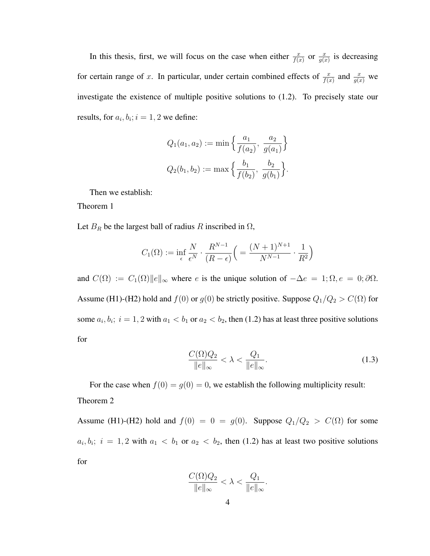In this thesis, first, we will focus on the case when either  $\frac{x}{f(x)}$  or  $\frac{x}{g(x)}$  is decreasing for certain range of x. In particular, under certain combined effects of  $\frac{x}{f(x)}$  and  $\frac{x}{g(x)}$  we investigate the existence of multiple positive solutions to (1.2). To precisely state our results, for  $a_i, b_i$ ;  $i = 1, 2$  we define:

$$
Q_1(a_1, a_2) := \min \left\{ \frac{a_1}{f(a_2)}, \frac{a_2}{g(a_1)} \right\}
$$
  

$$
Q_2(b_1, b_2) := \max \left\{ \frac{b_1}{f(b_2)}, \frac{b_2}{g(b_1)} \right\}.
$$

Then we establish:

Theorem 1

Let  $B_R$  be the largest ball of radius R inscribed in  $\Omega$ ,

$$
C_1(\Omega) := \inf_{\epsilon} \frac{N}{\epsilon^N} \cdot \frac{R^{N-1}}{(R-\epsilon)} \left( = \frac{(N+1)^{N+1}}{N^{N-1}} \cdot \frac{1}{R^2} \right)
$$

and  $C(\Omega) := C_1(\Omega) ||e||_{\infty}$  where e is the unique solution of  $-\Delta e = 1; \Omega, e = 0; \partial \Omega$ . Assume (H1)-(H2) hold and  $f(0)$  or  $g(0)$  be strictly positive. Suppose  $Q_1/Q_2 > C(\Omega)$  for some  $a_i, b_i$ ;  $i = 1, 2$  with  $a_1 < b_1$  or  $a_2 < b_2$ , then (1.2) has at least three positive solutions for

$$
\frac{C(\Omega)Q_2}{\|e\|_{\infty}} < \lambda < \frac{Q_1}{\|e\|_{\infty}}.
$$
\n(1.3)

For the case when  $f(0) = g(0) = 0$ , we establish the following multiplicity result: Theorem 2

Assume (H1)-(H2) hold and  $f(0) = 0 = g(0)$ . Suppose  $Q_1/Q_2 > C(\Omega)$  for some  $a_i, b_i; i = 1, 2$  with  $a_1 < b_1$  or  $a_2 < b_2$ , then (1.2) has at least two positive solutions for

$$
\frac{C(\Omega)Q_2}{\|e\|_{\infty}} < \lambda < \frac{Q_1}{\|e\|_{\infty}}.
$$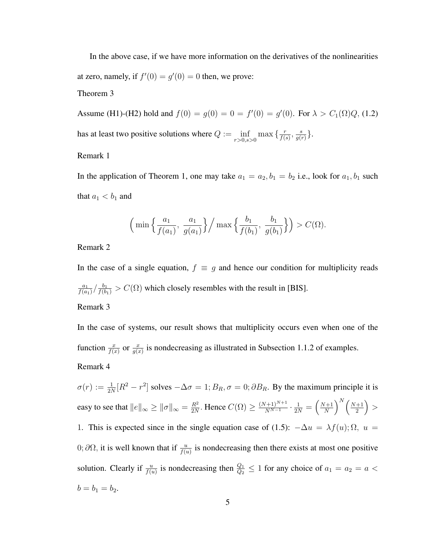In the above case, if we have more information on the derivatives of the nonlinearities at zero, namely, if  $f'(0) = g'(0) = 0$  then, we prove:

Theorem 3

Assume (H1)-(H2) hold and  $f(0) = g(0) = 0 = f'(0) = g'(0)$ . For  $\lambda > C_1(\Omega)Q$ , (1.2) has at least two positive solutions where  $Q := \inf_{r>0, s>0} \max \left\{ \frac{r}{f(s)} \right\}$  $\frac{r}{f(s)}, \frac{s}{g(s)}$  $\frac{s}{g(r)}\}.$ 

# Remark 1

In the application of Theorem 1, one may take  $a_1 = a_2, b_1 = b_2$  i.e., look for  $a_1, b_1$  such that  $a_1 < b_1$  and

$$
\left(\min\left\{\frac{a_1}{f(a_1)},\frac{a_1}{g(a_1)}\right\}\right/\max\left\{\frac{b_1}{f(b_1)},\frac{b_1}{g(b_1)}\right\}\right) > C(\Omega).
$$

Remark 2

In the case of a single equation,  $f \equiv g$  and hence our condition for multiplicity reads  $a_1$  $\frac{a_1}{f(a_1)}/\frac{b_1}{f(b_1)} > C(\Omega)$  which closely resembles with the result in [BIS]. Remark 3

In the case of systems, our result shows that multiplicity occurs even when one of the function  $\frac{x}{f(x)}$  or  $\frac{x}{g(x)}$  is nondecreasing as illustrated in Subsection 1.1.2 of examples. Remark 4

 $\sigma(r) := \frac{1}{2N} [R^2 - r^2]$  solves  $-\Delta \sigma = 1$ ;  $B_R$ ,  $\sigma = 0$ ;  $\partial B_R$ . By the maximum principle it is easy to see that  $||e||_{\infty} \ge ||\sigma||_{\infty} = \frac{R^2}{2N}$  $\frac{R^2}{2N}$ . Hence  $C(\Omega) \ge \frac{(N+1)^{N+1}}{N^{N-1}}$  $\frac{(n+1)^{N+1}}{N^{N-1}}\cdot\frac{1}{2N}=$  $\left( N+1\right)$ N  $\bigwedge^N$  (  $N+1$ 2 ´ > 1. This is expected since in the single equation case of (1.5):  $-\Delta u = \lambda f(u)$ ;  $\Omega$ ,  $u =$ 0;  $\partial\Omega$ , it is well known that if  $\frac{u}{f(u)}$  is nondecreasing then there exists at most one positive solution. Clearly if  $\frac{u}{f(u)}$  is nondecreasing then  $\frac{Q_1}{Q_2} \le 1$  for any choice of  $a_1 = a_2 = a$  $b = b_1 = b_2.$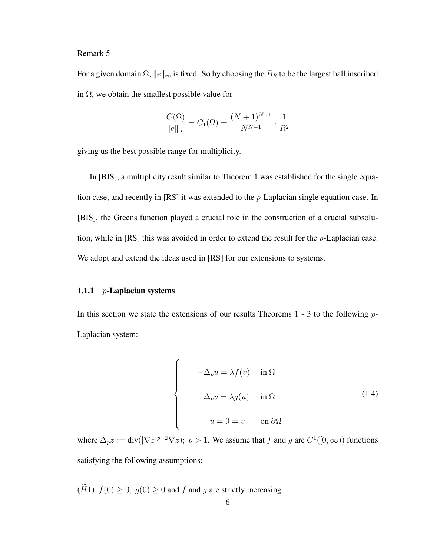#### Remark 5

For a given domain  $\Omega$ ,  $||e||_{\infty}$  is fixed. So by choosing the  $B_R$  to be the largest ball inscribed in  $\Omega$ , we obtain the smallest possible value for

$$
\frac{C(\Omega)}{\|e\|_{\infty}} = C_1(\Omega) = \frac{(N+1)^{N+1}}{N^{N-1}} \cdot \frac{1}{R^2}
$$

giving us the best possible range for multiplicity.

In [BIS], a multiplicity result similar to Theorem 1 was established for the single equation case, and recently in  $[RS]$  it was extended to the *p*-Laplacian single equation case. In [BIS], the Greens function played a crucial role in the construction of a crucial subsolution, while in  $[RS]$  this was avoided in order to extend the result for the  $p$ -Laplacian case. We adopt and extend the ideas used in [RS] for our extensions to systems.

#### 1.1.1  $p$ -Laplacian systems

In this section we state the extensions of our results Theorems  $1 - 3$  to the following  $p$ -Laplacian system:

$$
\begin{cases}\n-\Delta_p u = \lambda f(v) & \text{in } \Omega \\
-\Delta_p v = \lambda g(u) & \text{in } \Omega\n\end{cases}
$$
\n(1.4)\n
$$
u = 0 = v \qquad \text{on } \partial\Omega
$$

where  $\Delta_p z := \text{div}(|\nabla z|^{p-2} \nabla z)$ ;  $p > 1$ . We assume that f and g are  $C^1([0,\infty))$  functions satisfying the following assumptions:

 $(H1)$   $f(0) \ge 0$ ,  $g(0) \ge 0$  and f and g are strictly increasing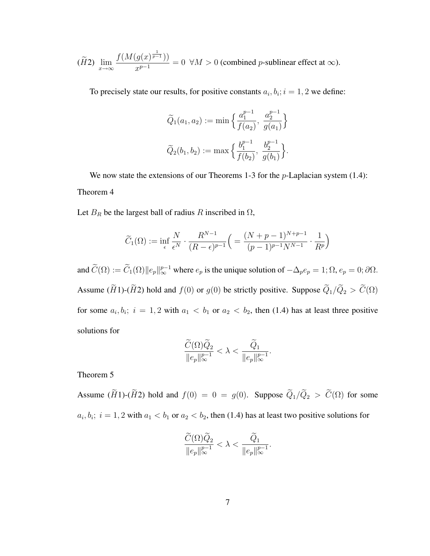$$
(\widetilde{H}2)\ \lim_{x\to\infty}\frac{f(M(g(x)^{\frac{1}{p-1}}))}{x^{p-1}}=0\ \ \forall M>0\ \text{(combined $p$-sublinear effect at $\infty$)}.
$$

To precisely state our results, for positive constants  $a_i, b_i; i = 1, 2$  we define:

$$
\begin{aligned}\n\widetilde{Q}_1(a_1, a_2) &:= \min \Big\{ \frac{a_1^{p-1}}{f(a_2)}, \ \frac{a_2^{p-1}}{g(a_1)} \Big\} \\
\widetilde{Q}_2(b_1, b_2) &:= \max \Big\{ \frac{b_1^{p-1}}{f(b_2)}, \ \frac{b_2^{p-1}}{g(b_1)} \Big\}.\n\end{aligned}
$$

We now state the extensions of our Theorems 1-3 for the  $p$ -Laplacian system (1.4): Theorem 4

Let  $B_R$  be the largest ball of radius R inscribed in  $\Omega$ ,

$$
\widetilde{C}_1(\Omega) := \inf_{\epsilon} \frac{N}{\epsilon^N} \cdot \frac{R^{N-1}}{(R-\epsilon)^{p-1}} \left( \frac{(N+p-1)^{N+p-1}}{(p-1)^{p-1}N^{N-1}} \cdot \frac{1}{R^p} \right)
$$

and  $\widetilde{C}(\Omega) := \widetilde{C}_1(\Omega) ||e_p||_{\infty}^{p-1}$  where  $e_p$  is the unique solution of  $-\Delta_p e_p = 1; \Omega, e_p = 0; \partial \Omega$ . Assume ( $\widetilde{H}$ 1)-( $\widetilde{H}$ 2) hold and  $f(0)$  or  $g(0)$  be strictly positive. Suppose  $\widetilde{Q}_1/\widetilde{Q}_2 > \widetilde{C}(\Omega)$ for some  $a_i, b_i$ ;  $i = 1, 2$  with  $a_1 < b_1$  or  $a_2 < b_2$ , then (1.4) has at least three positive solutions for

$$
\frac{\widetilde{C}(\Omega)\widetilde{Q}_2}{\|e_p\|_\infty^{p-1}}<\lambda<\frac{\widetilde{Q}_1}{\|e_p\|_\infty^{p-1}}.
$$

Theorem 5

Assume  $(\widetilde{H}1)$ - $(\widetilde{H}2)$  hold and  $f(0) = 0 = g(0)$ . Suppose  $\widetilde{Q}_1/\widetilde{Q}_2 > \widetilde{C}(\Omega)$  for some  $a_i, b_i; i = 1, 2$  with  $a_1 < b_1$  or  $a_2 < b_2$ , then (1.4) has at least two positive solutions for

$$
\frac{\widetilde{C}(\Omega) \widetilde{Q}_2}{\|e_p\|_\infty^{p-1}} < \lambda < \frac{\widetilde{Q}_1}{\|e_p\|_\infty^{p-1}}.
$$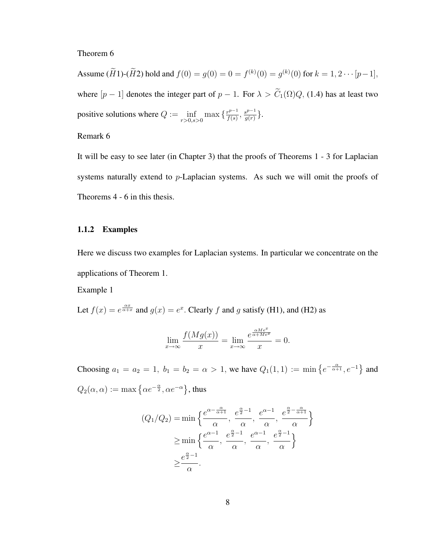#### Theorem 6

Assume  $(\widetilde{H}1)$ - $(\widetilde{H}2)$  hold and  $f(0) = g(0) = 0 = f^{(k)}(0) = g^{(k)}(0)$  for  $k = 1, 2 \cdots [p-1]$ , where  $[p-1]$  denotes the integer part of  $p-1$ . For  $\lambda > \widetilde{C}_1(\Omega)Q$ , (1.4) has at least two positive solutions where  $Q := \inf_{r>0, s>0} \max\left\{\frac{r^{p-1}}{f(s)}\right\}$  $\frac{r^{p-1}}{f(s)}, \frac{s^{p-1}}{g(r)}$  $\frac{e^{p-1}}{g(r)}\big\}.$ 

# Remark 6

It will be easy to see later (in Chapter 3) that the proofs of Theorems 1 - 3 for Laplacian systems naturally extend to p-Laplacian systems. As such we will omit the proofs of Theorems 4 - 6 in this thesis.

#### 1.1.2 Examples

Here we discuss two examples for Laplacian systems. In particular we concentrate on the applications of Theorem 1.

Example 1

Let  $f(x) = e^{\frac{\alpha x}{\alpha + x}}$  and  $g(x) = e^x$ . Clearly f and g satisfy (H1), and (H2) as

$$
\lim_{x \to \infty} \frac{f(Mg(x))}{x} = \lim_{x \to \infty} \frac{e^{\frac{\alpha Me^x}{\alpha + Me^x}}}{x} = 0.
$$

Choosing  $a_1 = a_2 = 1$ ,  $b_1 = b_2 = \alpha > 1$ , we have  $Q_1(1, 1) := \min\left\{e^{-\frac{\alpha}{\alpha+1}}, e^{-1}\right\}$ ª and  $Q_2(\alpha, \alpha) := \max \left\{ \alpha e^{-\frac{\alpha}{2}}, \alpha e^{-\alpha} \right\}$ ª , thus

$$
(Q_1/Q_2) = \min\left\{\frac{e^{\alpha - \frac{\alpha}{\alpha + 1}}}{\alpha}, \frac{e^{\frac{\alpha}{2} - 1}}{\alpha}, \frac{e^{\alpha - 1}}{\alpha}, \frac{e^{\frac{\alpha}{2} - \frac{\alpha}{\alpha + 1}}}{\alpha}\right\}
$$

$$
\geq \min\left\{\frac{e^{\alpha - 1}}{\alpha}, \frac{e^{\frac{\alpha}{2} - 1}}{\alpha}, \frac{e^{\alpha - 1}}{\alpha}, \frac{e^{\frac{\alpha}{2} - 1}}{\alpha}\right\}
$$

$$
\geq \frac{e^{\frac{\alpha}{2} - 1}}{\alpha}.
$$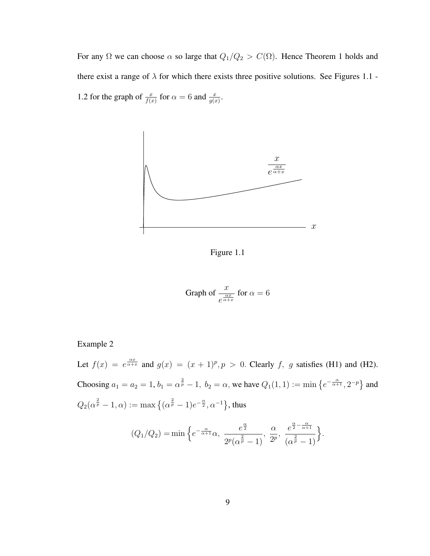For any  $\Omega$  we can choose  $\alpha$  so large that  $Q_1/Q_2 > C(\Omega)$ . Hence Theorem 1 holds and there exist a range of  $\lambda$  for which there exists three positive solutions. See Figures 1.1 -1.2 for the graph of  $\frac{x}{f(x)}$  for  $\alpha = 6$  and  $\frac{x}{g(x)}$ .



Figure 1.1

Graph of 
$$
\frac{x}{e^{\frac{\alpha x}{\alpha + x}}}
$$
 for  $\alpha = 6$ 

# Example 2

Let  $f(x) = e^{\frac{\alpha x}{\alpha + x}}$  and  $g(x) = (x + 1)^p$ ,  $p > 0$ . Clearly f, g satisfies (H1) and (H2). Choosing  $a_1 = a_2 = 1$ ,  $b_1 = \alpha^{\frac{2}{p}} - 1$ ,  $b_2 = \alpha$ , we have  $Q_1(1, 1) := \min \{e^{-\frac{\alpha}{\alpha + 1}}, 2^{-p}\}$ and  $Q_2(\alpha^{\frac{2}{p}}-1,\alpha) := \max\left\{(\alpha^{\frac{2}{p}}-1)e^{-\frac{\alpha}{2}}, \alpha^{-1}\right\}$ ª , thus

$$
(Q_1/Q_2) = \min\Big\{e^{-\frac{\alpha}{\alpha+1}}\alpha,\ \frac{e^{\frac{\alpha}{2}}}{2^p(\alpha^{\frac{2}{p}}-1)},\ \frac{\alpha}{2^p},\ \frac{e^{\frac{\alpha}{2}-\frac{\alpha}{\alpha+1}}}{(\alpha^{\frac{2}{p}}-1)}\Big\}.
$$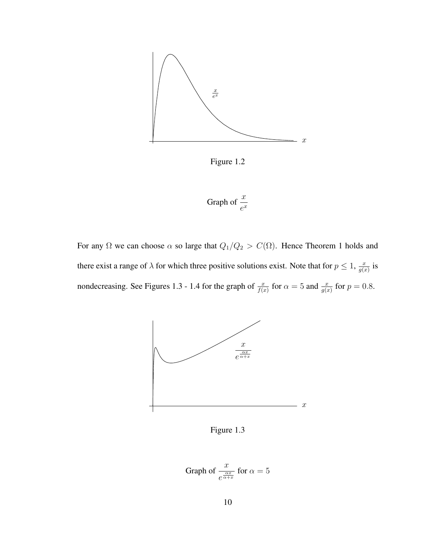

Figure 1.2

Graph of 
$$
\frac{x}{e^x}
$$

For any  $\Omega$  we can choose  $\alpha$  so large that  $Q_1/Q_2 > C(\Omega)$ . Hence Theorem 1 holds and there exist a range of  $\lambda$  for which three positive solutions exist. Note that for  $p \leq 1$ ,  $\frac{x}{q}$  $\frac{x}{g(x)}$  is nondecreasing. See Figures 1.3 - 1.4 for the graph of  $\frac{x}{f(x)}$  for  $\alpha = 5$  and  $\frac{x}{g(x)}$  for  $p = 0.8$ .



Figure 1.3

Graph of 
$$
\frac{x}{e^{\frac{\alpha x}{\alpha + x}}}
$$
 for  $\alpha = 5$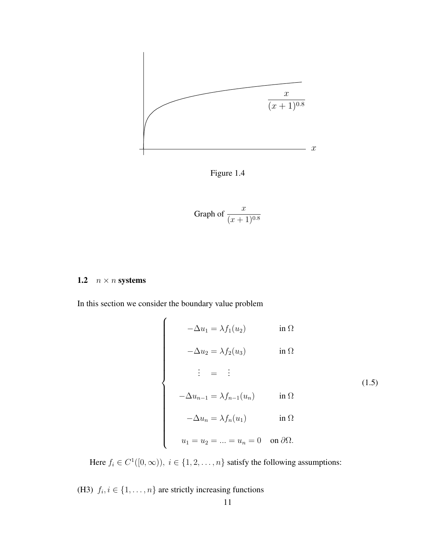

Figure 1.4

Graph of 
$$
\frac{x}{(x+1)^{0.8}}
$$

# 1.2  $n \times n$  systems

In this section we consider the boundary value problem

 $\overline{ }$ 

$$
\begin{cases}\n-\Delta u_1 = \lambda f_1(u_2) & \text{in } \Omega \\
-\Delta u_2 = \lambda f_2(u_3) & \text{in } \Omega\n\end{cases}
$$
\n
$$
\begin{cases}\n\vdots = \vdots \\
-\Delta u_{n-1} = \lambda f_{n-1}(u_n) & \text{in } \Omega\n\end{cases}
$$
\n
$$
-\Delta u_n = \lambda f_n(u_1) \qquad \text{in } \Omega\n\end{cases}
$$
\n
$$
u_1 = u_2 = \ldots = u_n = 0 \quad \text{on } \partial\Omega.
$$
\n(1.5)

Here  $f_i \in C^1([0,\infty))$ ,  $i \in \{1,2,\ldots,n\}$  satisfy the following assumptions:

(H3)  $f_i, i \in \{1, \ldots, n\}$  are strictly increasing functions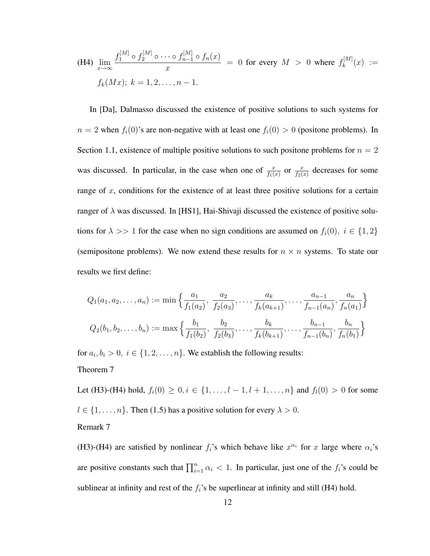(H4) 
$$
\lim_{x \to \infty} \frac{f_1^{[M]} \circ f_2^{[M]} \circ \cdots \circ f_{n-1}^{[M]} \circ f_n(x)}{x} = 0 \text{ for every } M > 0 \text{ where } f_k^{[M]}(x) := f_k(Mx); k = 1, 2, ..., n - 1.
$$

In [Da], Dalmasso discussed the existence of positive solutions to such systems for  $n = 2$  when  $f_i(0)$ 's are non-negative with at least one  $f_i(0) > 0$  (positone problems). In Section 1.1, existence of multiple positive solutions to such positone problems for  $n = 2$ was discussed. In particular, in the case when one of  $\frac{x}{f_1(x)}$  or  $\frac{x}{f_2(x)}$  decreases for some range of  $x$ , conditions for the existence of at least three positive solutions for a certain ranger of  $\lambda$  was discussed. In [HS1], Hai-Shivaji discussed the existence of positive solutions for  $\lambda >> 1$  for the case when no sign conditions are assumed on  $f_i(0)$ ,  $i \in \{1,2\}$ (semipositone problems). We now extend these results for  $n \times n$  systems. To state our results we first define:

$$
Q_1(a_1, a_2, \dots, a_n) := \min\left\{\frac{a_1}{f_1(a_2)}, \frac{a_2}{f_2(a_3)}, \dots, \frac{a_k}{f_k(a_{k+1})}, \dots, \frac{a_{n-1}}{f_{n-1}(a_n)}, \frac{a_n}{f_n(a_1)}\right\}
$$

$$
Q_2(b_1, b_2, \dots, b_n) := \max\left\{\frac{b_1}{f_1(b_2)}, \frac{b_2}{f_2(b_3)}, \dots, \frac{b_k}{f_k(b_{k+1})}, \dots, \frac{b_{n-1}}{f_{n-1}(b_n)}, \frac{b_n}{f_n(b_1)}\right\}
$$

for  $a_i, b_i > 0$ ,  $i \in \{1, 2, ..., n\}$ . We establish the following results: Theorem 7

Let (H3)-(H4) hold,  $f_i(0) \ge 0, i \in \{1, ..., l-1, l+1, ..., n\}$  and  $f_i(0) > 0$  for some  $l \in \{1, \ldots, n\}$ . Then (1.5) has a positive solution for every  $\lambda > 0$ . Remark 7

(H3)-(H4) are satisfied by nonlinear  $f_i$ 's which behave like  $x^{\alpha_i}$  for x large where  $\alpha_i$ 's are positive constants such that  $\prod_{i=1}^{n} \alpha_i < 1$ . In particular, just one of the  $f_i$ 's could be sublinear at infinity and rest of the  $f_i$ 's be superlinear at infinity and still (H4) hold.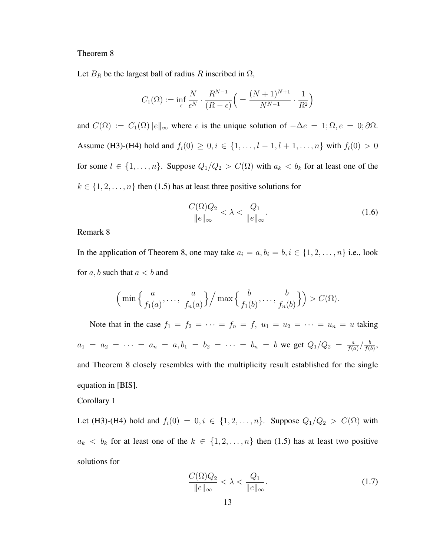#### Theorem 8

Let  $B_R$  be the largest ball of radius R inscribed in  $\Omega$ ,

$$
C_1(\Omega) := \inf_{\epsilon} \frac{N}{\epsilon^N} \cdot \frac{R^{N-1}}{(R-\epsilon)} \left( = \frac{(N+1)^{N+1}}{N^{N-1}} \cdot \frac{1}{R^2} \right)
$$

and  $C(\Omega) := C_1(\Omega) ||e||_{\infty}$  where e is the unique solution of  $-\Delta e = 1; \Omega, e = 0; \partial \Omega$ . Assume (H3)-(H4) hold and  $f_i(0) \ge 0, i \in \{1, ..., l-1, l+1, ..., n\}$  with  $f_i(0) > 0$ for some  $l \in \{1, \ldots, n\}$ . Suppose  $Q_1/Q_2 > C(\Omega)$  with  $a_k < b_k$  for at least one of the  $k \in \{1, 2, \ldots, n\}$  then (1.5) has at least three positive solutions for

$$
\frac{C(\Omega)Q_2}{\|e\|_{\infty}} < \lambda < \frac{Q_1}{\|e\|_{\infty}}.\tag{1.6}
$$

Remark 8

In the application of Theorem 8, one may take  $a_i = a, b_i = b, i \in \{1, 2, ..., n\}$  i.e., look for a, b such that  $a < b$  and

$$
\left(\min\left\{\frac{a}{f_1(a)},\ldots,\frac{a}{f_n(a)}\right\}\right/\max\left\{\frac{b}{f_1(b)},\ldots,\frac{b}{f_n(b)}\right\}\right) > C(\Omega).
$$

Note that in the case  $f_1 = f_2 = \cdots = f_n = f$ ,  $u_1 = u_2 = \cdots = u_n = u$  taking  $a_1 = a_2 = \cdots = a_n = a, b_1 = b_2 = \cdots = b_n = b$  we get  $Q_1/Q_2 = \frac{a}{f(a)}$  $\frac{a}{f(a)} / \frac{b}{f(b)}$  $\frac{b}{f(b)},$ and Theorem 8 closely resembles with the multiplicity result established for the single equation in [BIS].

#### Corollary 1

Let (H3)-(H4) hold and  $f_i(0) = 0, i \in \{1, 2, ..., n\}$ . Suppose  $Q_1/Q_2 > C(\Omega)$  with  $a_k < b_k$  for at least one of the  $k \in \{1, 2, ..., n\}$  then (1.5) has at least two positive solutions for

$$
\frac{C(\Omega)Q_2}{\|e\|_{\infty}} < \lambda < \frac{Q_1}{\|e\|_{\infty}}.
$$
\n(1.7)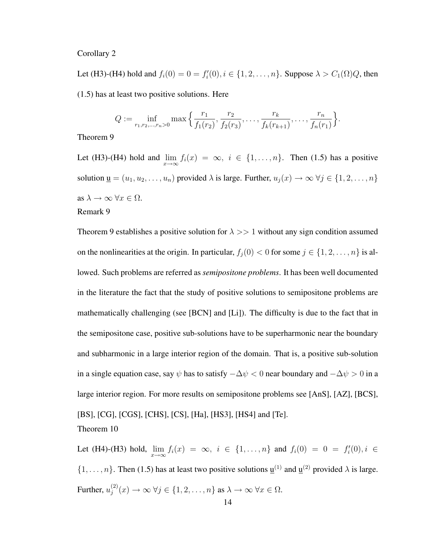#### Corollary 2

Let (H3)-(H4) hold and  $f_i(0) = 0 = f'_i(0), i \in \{1, 2, ..., n\}$ . Suppose  $\lambda > C_1(\Omega)Q$ , then (1.5) has at least two positive solutions. Here

$$
Q := \inf_{r_1, r_2, \dots, r_n > 0} \max \left\{ \frac{r_1}{f_1(r_2)}, \frac{r_2}{f_2(r_3)}, \dots, \frac{r_k}{f_k(r_{k+1})}, \dots, \frac{r_n}{f_n(r_1)} \right\}.
$$

Theorem 9

Let (H3)-(H4) hold and  $\lim_{x\to\infty} f_i(x) = \infty$ ,  $i \in \{1, ..., n\}$ . Then (1.5) has a positive solution  $\underline{\mathbf{u}} = (u_1, u_2, \dots, u_n)$  provided  $\lambda$  is large. Further,  $u_j(x) \to \infty$   $\forall j \in \{1, 2, \dots, n\}$ as  $\lambda \to \infty$   $\forall x \in \Omega$ . Remark 9

Theorem 9 establishes a positive solution for  $\lambda >> 1$  without any sign condition assumed on the nonlinearities at the origin. In particular,  $f_j(0) < 0$  for some  $j \in \{1, 2, \ldots, n\}$  is allowed. Such problems are referred as *semipositone problems*. It has been well documented in the literature the fact that the study of positive solutions to semipositone problems are mathematically challenging (see [BCN] and [Li]). The difficulty is due to the fact that in the semipositone case, positive sub-solutions have to be superharmonic near the boundary and subharmonic in a large interior region of the domain. That is, a positive sub-solution in a single equation case, say  $\psi$  has to satisfy  $-\Delta \psi < 0$  near boundary and  $-\Delta \psi > 0$  in a large interior region. For more results on semipositone problems see [AnS], [AZ], [BCS], [BS], [CG], [CGS], [CHS], [CS], [Ha], [HS3], [HS4] and [Te]. Theorem 10

Let (H4)-(H3) hold,  $\lim_{x \to \infty} f_i(x) = \infty$ ,  $i \in \{1, ..., n\}$  and  $f_i(0) = 0 = f'_i(0), i \in$  $\{1, \ldots, n\}$ . Then (1.5) has at least two positive solutions  $\underline{\mathbf{u}}^{(1)}$  and  $\underline{\mathbf{u}}^{(2)}$  provided  $\lambda$  is large. Further,  $u_i^{(2)}$  $j^{(2)}(x) \to \infty \ \forall j \in \{1, 2, \ldots, n\} \text{ as } \lambda \to \infty \ \forall x \in \Omega.$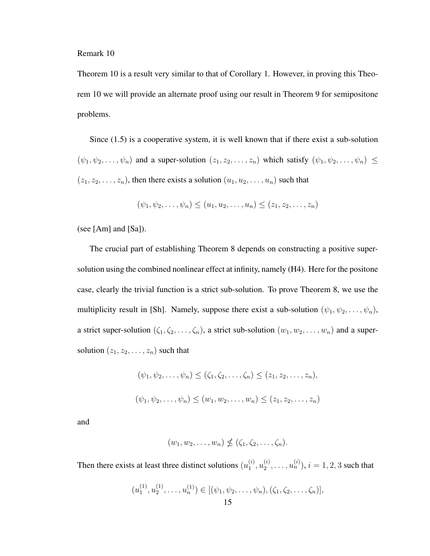Remark 10

Theorem 10 is a result very similar to that of Corollary 1. However, in proving this Theorem 10 we will provide an alternate proof using our result in Theorem 9 for semipositone problems.

Since (1.5) is a cooperative system, it is well known that if there exist a sub-solution  $(\psi_1, \psi_2, \dots, \psi_n)$  and a super-solution  $(z_1, z_2, \dots, z_n)$  which satisfy  $(\psi_1, \psi_2, \dots, \psi_n) \leq$  $(z_1, z_2, \ldots, z_n)$ , then there exists a solution  $(u_1, u_2, \ldots, u_n)$  such that

$$
(\psi_1, \psi_2, \dots, \psi_n) \le (u_1, u_2, \dots, u_n) \le (z_1, z_2, \dots, z_n)
$$

(see [Am] and [Sa]).

The crucial part of establishing Theorem 8 depends on constructing a positive supersolution using the combined nonlinear effect at infinity, namely (H4). Here for the positone case, clearly the trivial function is a strict sub-solution. To prove Theorem 8, we use the multiplicity result in [Sh]. Namely, suppose there exist a sub-solution  $(\psi_1, \psi_2, \dots, \psi_n)$ , a strict super-solution  $(\zeta_1, \zeta_2, \ldots, \zeta_n)$ , a strict sub-solution  $(w_1, w_2, \ldots, w_n)$  and a supersolution  $(z_1, z_2, \ldots, z_n)$  such that

$$
(\psi_1, \psi_2, \dots, \psi_n) \le (\zeta_1, \zeta_2, \dots, \zeta_n) \le (z_1, z_2, \dots, z_n),
$$
  

$$
(\psi_1, \psi_2, \dots, \psi_n) \le (w_1, w_2, \dots, w_n) \le (z_1, z_2, \dots, z_n)
$$

and

$$
(w_1, w_2, \ldots, w_n) \nleq (\zeta_1, \zeta_2, \ldots, \zeta_n).
$$

Then there exists at least three distinct solutions  $(u_1^{(i)})$  $\stackrel{(i)}{1},u_2^{(i)}$  $\mathbf{u}_2^{(i)}, \ldots, \mathbf{u}_n^{(i)}$ ),  $i = 1, 2, 3$  such that

$$
(u_1^{(1)}, u_2^{(1)}, \dots, u_n^{(1)}) \in [(\psi_1, \psi_2, \dots, \psi_n), (\zeta_1, \zeta_2, \dots, \zeta_n)],
$$
  
15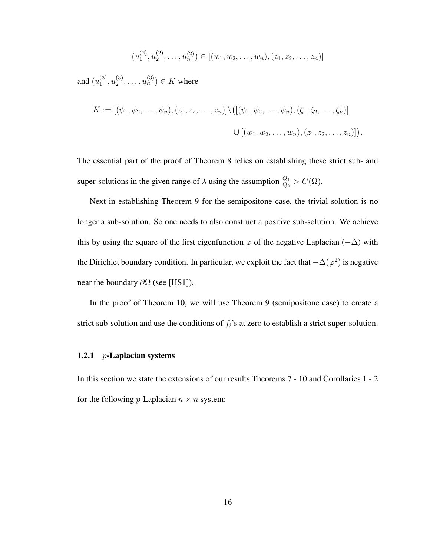$$
(u_1^{(2)}, u_2^{(2)}, \dots, u_n^{(2)}) \in [(w_1, w_2, \dots, w_n), (z_1, z_2, \dots, z_n)]
$$

and  $(u_1^{(3)}$  $\binom{(3)}{1},u_2^{(3)}$  $u_2^{(3)}, \ldots, u_n^{(3)}$ )  $\in K$  where

$$
K := [(\psi_1, \psi_2, \dots, \psi_n), (z_1, z_2, \dots, z_n)] \setminus ([(\psi_1, \psi_2, \dots, \psi_n), (\zeta_1, \zeta_2, \dots, \zeta_n)]
$$
  

$$
\cup [(\psi_1, \psi_2, \dots, \psi_n), (z_1, z_2, \dots, z_n)]).
$$

The essential part of the proof of Theorem 8 relies on establishing these strict sub- and super-solutions in the given range of  $\lambda$  using the assumption  $\frac{Q_1}{Q_2} > C(\Omega)$ .

Next in establishing Theorem 9 for the semipositone case, the trivial solution is no longer a sub-solution. So one needs to also construct a positive sub-solution. We achieve this by using the square of the first eigenfunction  $\varphi$  of the negative Laplacian ( $-\Delta$ ) with the Dirichlet boundary condition. In particular, we exploit the fact that  $-\Delta(\varphi^2)$  is negative near the boundary  $\partial\Omega$  (see [HS1]).

In the proof of Theorem 10, we will use Theorem 9 (semipositone case) to create a strict sub-solution and use the conditions of  $f_i$ 's at zero to establish a strict super-solution.

#### 1.2.1 *p*-Laplacian systems

In this section we state the extensions of our results Theorems 7 - 10 and Corollaries 1 - 2 for the following *p*-Laplacian  $n \times n$  system: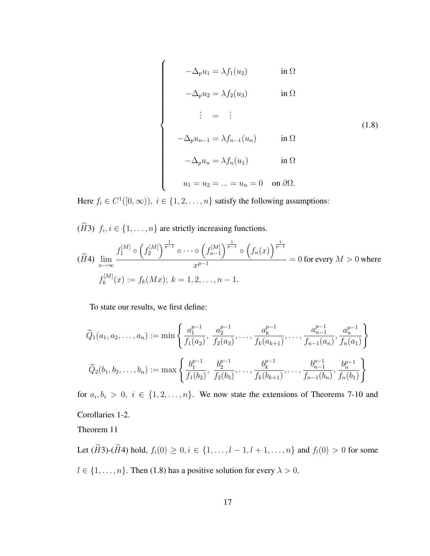$$
-\Delta_p u_1 = \lambda f_1(u_2) \qquad \text{in } \Omega
$$

$$
-\Delta_p u_2 = \lambda f_2(u_3) \qquad \text{in } \Omega
$$

$$
\begin{array}{rcl}\n\vdots & = & \vdots \\
-\Delta_p u_{n-1} & = & \lambda f_{n-1}(u_n) \\
\text{in } \Omega\n\end{array} \tag{1.8}
$$

$$
-\Delta_p u_n = \lambda f_n(u_1) \qquad \text{in } \Omega
$$

$$
u_1 = u_2 = \dots = u_n = 0 \quad \text{on } \partial\Omega.
$$

Here  $f_i \in C^1([0,\infty))$ ,  $i \in \{1,2,\ldots,n\}$  satisfy the following assumptions:

 $(\widetilde{H}3)$   $f_i, i \in \{1, \ldots, n\}$  are strictly increasing functions.

 $\overline{a}$ 

 $\begin{bmatrix} \phantom{-} \end{bmatrix}$ 

$$
(\widetilde{H}4) \lim_{x \to \infty} \frac{f_1^{[M]} \circ \left(f_2^{[M]}\right)^{\frac{1}{p-1}} \circ \cdots \circ \left(f_{n-1}^{[M]}\right)^{\frac{1}{p-1}} \circ \left(f_n(x)\right)^{\frac{1}{p-1}}}{x^{p-1}} = 0 \text{ for every } M > 0 \text{ where}
$$

$$
f_k^{[M]}(x) := f_k(Mx); \ k = 1, 2, \dots, n-1.
$$

To state our results, we first define:

$$
\widetilde{Q}_1(a_1, a_2, \dots, a_n) := \min \left\{ \frac{a_1^{p-1}}{f_1(a_2)}, \frac{a_2^{p-1}}{f_2(a_3)}, \dots, \frac{a_k^{p-1}}{f_k(a_{k+1})}, \dots, \frac{a_{n-1}^{p-1}}{f_{n-1}(a_n)}, \frac{a_n^{p-1}}{f_n(a_1)} \right\}
$$
\n
$$
\widetilde{Q}_2(b_1, b_2, \dots, b_n) := \max \left\{ \frac{b_1^{p-1}}{f_1(b_2)}, \frac{b_2^{p-1}}{f_2(b_3)}, \dots, \frac{b_k^{p-1}}{f_k(b_{k+1})}, \dots, \frac{b_{n-1}^{p-1}}{f_{n-1}(b_n)}, \frac{b_n^{p-1}}{f_n(b_1)} \right\}
$$

for  $a_i, b_i > 0$ ,  $i \in \{1, 2, ..., n\}$ . We now state the extensions of Theorems 7-10 and Corollaries 1-2.

Theorem 11

Let  $(\widetilde{H}3)$ - $(\widetilde{H}4)$  hold,  $f_i(0) \geq 0, i \in \{1, ..., l-1, l+1, ..., n\}$  and  $f_i(0) > 0$  for some  $l \in \{1, \ldots, n\}$ . Then (1.8) has a positive solution for every  $\lambda > 0$ .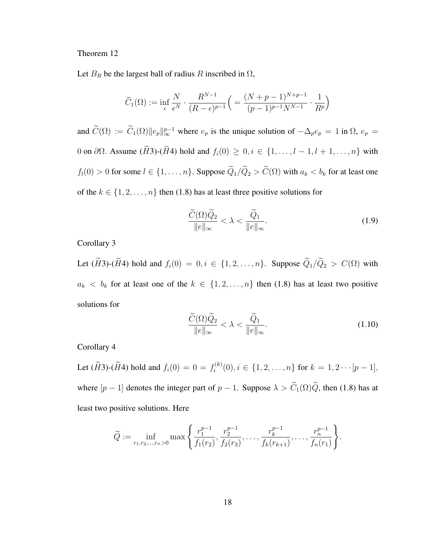#### Theorem 12

Let  $B_R$  be the largest ball of radius R inscribed in  $\Omega$ ,

$$
\widetilde{C}_1(\Omega) := \inf_{\epsilon} \frac{N}{\epsilon^N} \cdot \frac{R^{N-1}}{(R-\epsilon)^{p-1}} \left( \frac{(N+p-1)^{N+p-1}}{(p-1)^{p-1}N^{N-1}} \cdot \frac{1}{R^p} \right)
$$

and  $\widetilde{C}(\Omega) := \widetilde{C}_1(\Omega) ||e_p||_{\infty}^{p-1}$  where  $e_p$  is the unique solution of  $-\Delta_p e_p = 1$  in  $\Omega$ ,  $e_p =$ 0 on  $\partial\Omega$ . Assume  $(H3)-(H4)$  hold and  $f_i(0) \geq 0, i \in \{1, ..., l-1, l+1, ..., n\}$  with  $f_l(0) > 0$  for some  $l \in \{1, \ldots, n\}$ . Suppose  $\widetilde{Q}_1/\widetilde{Q}_2 > \widetilde{C}(\Omega)$  with  $a_k < b_k$  for at least one of the  $k \in \{1, 2, ..., n\}$  then (1.8) has at least three positive solutions for

$$
\frac{\widetilde{C}(\Omega)\widetilde{Q}_2}{\|e\|_{\infty}} < \lambda < \frac{\widetilde{Q}_1}{\|e\|_{\infty}}.
$$
\n(1.9)

Corollary 3

Let  $(H3)-(H4)$  hold and  $f_i(0) = 0, i \in \{1, 2, ..., n\}$ . Suppose  $\widetilde{Q}_1/\widetilde{Q}_2 > C(\Omega)$  with  $a_k < b_k$  for at least one of the  $k \in \{1, 2, ..., n\}$  then (1.8) has at least two positive solutions for

$$
\frac{\widetilde{C}(\Omega)\widetilde{Q}_2}{\|e\|_{\infty}} < \lambda < \frac{\widetilde{Q}_1}{\|e\|_{\infty}}.
$$
\n(1.10)

Corollary 4

Let  $(\widetilde{H}3)$ - $(\widetilde{H}4)$  hold and  $f_i(0) = 0 = f_i^{(k)}$  $i^{(k)}(0), i \in \{1, 2, \ldots, n\}$  for  $k = 1, 2 \cdots [p-1],$ where  $[p-1]$  denotes the integer part of  $p-1$ . Suppose  $\lambda > \widetilde{C}_1(\Omega)\widetilde{Q}$ , then (1.8) has at least two positive solutions. Here

$$
\widetilde{Q} := \inf_{r_1, r_2, \dots, r_n > 0} \max \left\{ \frac{r_1^{p-1}}{f_1(r_2)}, \frac{r_2^{p-1}}{f_2(r_3)}, \dots, \frac{r_k^{p-1}}{f_k(r_{k+1})}, \dots, \frac{r_n^{p-1}}{f_n(r_1)} \right\}.
$$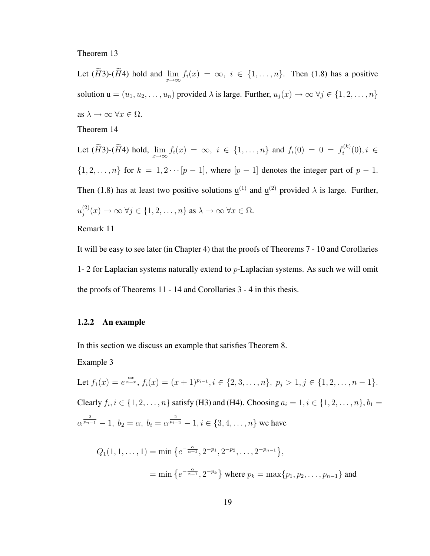#### Theorem 13

Let  $(H3)-(H4)$  hold and  $\lim_{x\to\infty} f_i(x) = \infty$ ,  $i \in \{1,\ldots,n\}$ . Then (1.8) has a positive solution  $\underline{\mathbf{u}} = (u_1, u_2, \dots, u_n)$  provided  $\lambda$  is large. Further,  $u_j(x) \to \infty$   $\forall j \in \{1, 2, \dots, n\}$ as  $\lambda \to \infty$   $\forall x \in \Omega$ . Theorem 14

Let  $(H3)-(H4)$  hold,  $\lim_{x\to\infty} f_i(x) = \infty$ ,  $i \in \{1,\ldots,n\}$  and  $f_i(0) = 0 = f_i^{(k)}$  $i^{(k)}(0), i \in$  $\{1, 2, \ldots, n\}$  for  $k = 1, 2 \cdots [p-1]$ , where  $[p-1]$  denotes the integer part of  $p-1$ . Then (1.8) has at least two positive solutions  $\underline{u}^{(1)}$  and  $\underline{u}^{(2)}$  provided  $\lambda$  is large. Further,  $u_i^{(2)}$  $j^{(2)}(x) \to \infty \ \forall j \in \{1, 2, \ldots, n\}$  as  $\lambda \to \infty \ \forall x \in \Omega$ .

## Remark 11

It will be easy to see later (in Chapter 4) that the proofs of Theorems 7 - 10 and Corollaries 1- 2 for Laplacian systems naturally extend to  $p$ -Laplacian systems. As such we will omit the proofs of Theorems 11 - 14 and Corollaries 3 - 4 in this thesis.

#### 1.2.2 An example

In this section we discuss an example that satisfies Theorem 8.

Example 3

Let  $f_1(x) = e^{\frac{\alpha x}{\alpha + x}}$ ,  $f_i(x) = (x + 1)^{p_{i-1}}, i \in \{2, 3, ..., n\}$ ,  $p_j > 1, j \in \{1, 2, ..., n-1\}$ . Clearly  $f_i, i \in \{1, 2, ..., n\}$  satisfy (H3) and (H4). Choosing  $a_i = 1, i \in \{1, 2, ..., n\}, b_1 =$  $\alpha^{\frac{2}{p_{n-1}}} - 1, b_2 = \alpha, b_i = \alpha^{\frac{2}{p_{i-2}}} - 1, i \in \{3, 4, \ldots, n\}$  we have

$$
Q_1(1, 1, \dots, 1) = \min \left\{ e^{-\frac{\alpha}{\alpha+1}}, 2^{-p_1}, 2^{-p_2}, \dots, 2^{-p_{n-1}} \right\},
$$
  
=  $\min \left\{ e^{-\frac{\alpha}{\alpha+1}}, 2^{-p_k} \right\}$  where  $p_k = \max \{p_1, p_2, \dots, p_{n-1}\}$  and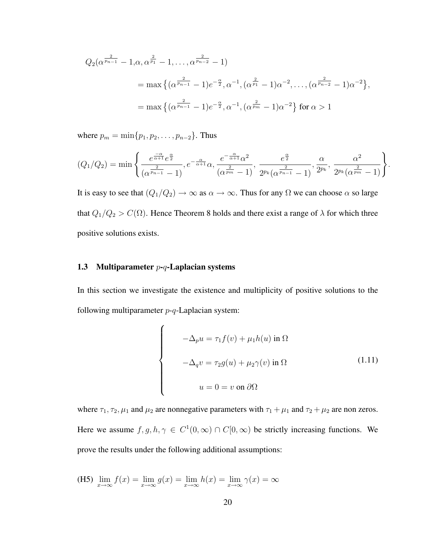$$
Q_2(\alpha^{\frac{2}{p_{n-1}}} - 1, \alpha, \alpha^{\frac{2}{p_1}} - 1, \dots, \alpha^{\frac{2}{p_{n-2}}} - 1)
$$
  
=  $\max \{ (\alpha^{\frac{2}{p_{n-1}}} - 1) e^{-\frac{\alpha}{2}}, \alpha^{-1}, (\alpha^{\frac{2}{p_1}} - 1) \alpha^{-2}, \dots, (\alpha^{\frac{2}{p_{n-2}}} - 1) \alpha^{-2} \},$   
=  $\max \{ (\alpha^{\frac{2}{p_{n-1}}} - 1) e^{-\frac{\alpha}{2}}, \alpha^{-1}, (\alpha^{\frac{2}{p_m}} - 1) \alpha^{-2} \} \text{ for } \alpha > 1$ 

where  $p_m = \min\{p_1, p_2, \ldots, p_{n-2}\}.$  Thus

$$
(Q_1/Q_2) = \min \left\{ \frac{e^{\frac{-\alpha}{\alpha+1}}e^{\frac{\alpha}{2}}}{(\alpha^{\frac{2}{p_{n-1}}}-1)}, e^{-\frac{\alpha}{\alpha+1}}\alpha, \frac{e^{-\frac{\alpha}{\alpha+1}}\alpha^2}{(\alpha^{\frac{2}{p_m}}-1)}, \frac{e^{\frac{\alpha}{2}}}{2^{p_k}(\alpha^{\frac{2}{p_{n-1}}}-1)}, \frac{\alpha}{2^{p_k}}, \frac{\alpha^2}{2^{p_k}(\alpha^{\frac{2}{p_m}}-1)} \right\}.
$$

It is easy to see that  $(Q_1/Q_2) \to \infty$  as  $\alpha \to \infty$ . Thus for any  $\Omega$  we can choose  $\alpha$  so large that  $Q_1/Q_2 > C(\Omega)$ . Hence Theorem 8 holds and there exist a range of  $\lambda$  for which three positive solutions exists.

#### 1.3 Multiparameter  $p-q$ -Laplacian systems

In this section we investigate the existence and multiplicity of positive solutions to the following multiparameter  $p-q$ -Laplacian system:

$$
\begin{cases}\n-\Delta_p u = \tau_1 f(v) + \mu_1 h(u) \text{ in } \Omega \\
-\Delta_q v = \tau_2 g(u) + \mu_2 \gamma(v) \text{ in } \Omega \\
u = 0 = v \text{ on } \partial \Omega\n\end{cases}
$$
\n(1.11)

where  $\tau_1$ ,  $\tau_2$ ,  $\mu_1$  and  $\mu_2$  are nonnegative parameters with  $\tau_1 + \mu_1$  and  $\tau_2 + \mu_2$  are non zeros. Here we assume  $f, g, h, \gamma \in C^1(0, \infty) \cap C[0, \infty)$  be strictly increasing functions. We prove the results under the following additional assumptions:

(H5) 
$$
\lim_{x \to \infty} f(x) = \lim_{x \to \infty} g(x) = \lim_{x \to \infty} h(x) = \lim_{x \to \infty} \gamma(x) = \infty
$$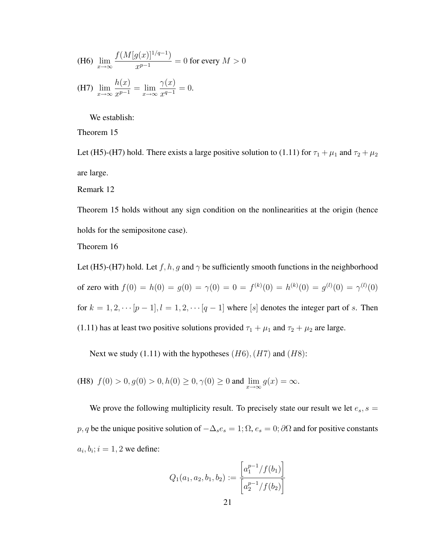(H6) 
$$
\lim_{x \to \infty} \frac{f(M[g(x)]^{1/q-1})}{x^{p-1}} = 0 \text{ for every } M > 0
$$
  
(H7) 
$$
\lim_{x \to \infty} \frac{h(x)}{x^{p-1}} = \lim_{x \to \infty} \frac{\gamma(x)}{x^{q-1}} = 0.
$$

We establish:

Theorem 15

Let (H5)-(H7) hold. There exists a large positive solution to (1.11) for  $\tau_1 + \mu_1$  and  $\tau_2 + \mu_2$ are large.

Remark 12

Theorem 15 holds without any sign condition on the nonlinearities at the origin (hence holds for the semipositone case).

Theorem 16

Let (H5)-(H7) hold. Let  $f, h, g$  and  $\gamma$  be sufficiently smooth functions in the neighborhood of zero with  $f(0) = h(0) = g(0) = \gamma(0) = 0 = f^{(k)}(0) = h^{(k)}(0) = g^{(l)}(0) = \gamma^{(l)}(0)$ for  $k = 1, 2, \cdots [p-1], l = 1, 2, \cdots [q-1]$  where [s] denotes the integer part of s. Then (1.11) has at least two positive solutions provided  $\tau_1 + \mu_1$  and  $\tau_2 + \mu_2$  are large.

Next we study (1.11) with the hypotheses  $(H6)$ ,  $(H7)$  and  $(H8)$ :

(H8)  $f(0) > 0, g(0) > 0, h(0) \ge 0, \gamma(0) \ge 0$  and  $\lim_{x \to \infty} g(x) = \infty$ .

We prove the following multiplicity result. To precisely state our result we let  $e_s$ ,  $s =$ p, q be the unique positive solution of  $-\Delta_s e_s = 1$ ;  $\Omega$ ,  $e_s = 0$ ;  $\partial\Omega$  and for positive constants  $a_i, b_i; i = 1, 2$  we define:

$$
Q_1(a_1, a_2, b_1, b_2) := \frac{\left[a_1^{p-1}/f(b_1)\right]}{\left[a_2^{p-1}/f(b_2)\right]}
$$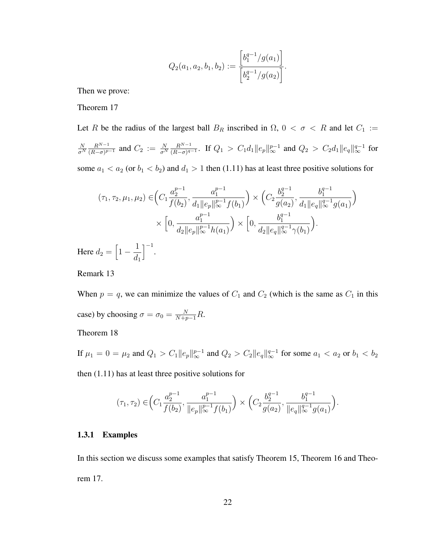$$
Q_2(a_1, a_2, b_1, b_2) := \frac{\left[b_1^{q-1}/g(a_1)\right]}{\left[b_2^{q-1}/g(a_2)\right]}.
$$

Then we prove:

Theorem 17

Let R be the radius of the largest ball  $B_R$  inscribed in  $\Omega$ ,  $0 < \sigma < R$  and let  $C_1 :=$ N  $\overline{\sigma^N}$  $R^{N-1}$  $\frac{R^{N-1}}{(R-\sigma)^{p-1}}$  and  $C_2 := \frac{N}{\sigma^N}$  $R^{N-1}$  $\frac{R^{N-1}}{(R-\sigma)^{q-1}}$ . If  $Q_1 > C_1d_1 \|e_p\|_\infty^{p-1}$  and  $Q_2 > C_2d_1 \|e_q\|_\infty^{q-1}$  for some  $a_1 < a_2$  (or  $b_1 < b_2$ ) and  $d_1 > 1$  then (1.11) has at least three positive solutions for

$$
(\tau_1, \tau_2, \mu_1, \mu_2) \in \left(C_1 \frac{a_2^{p-1}}{f(b_2)}, \frac{a_1^{p-1}}{d_1 \|e_p\|_{\infty}^{p-1} f(b_1)}\right) \times \left(C_2 \frac{b_2^{q-1}}{g(a_2)}, \frac{b_1^{q-1}}{d_1 \|e_q\|_{\infty}^{q-1} g(a_1)}\right)
$$

$$
\times \left[0, \frac{a_1^{p-1}}{d_2 \|e_p\|_{\infty}^{p-1} h(a_1)}\right) \times \left[0, \frac{b_1^{q-1}}{d_2 \|e_q\|_{\infty}^{q-1} \gamma(b_1)}\right).
$$

$$
d_2 = \left[1 - \frac{1}{1}\right]^{-1}.
$$

Here  $d_1$ 

Remark 13

When  $p = q$ , we can minimize the values of  $C_1$  and  $C_2$  (which is the same as  $C_1$  in this case) by choosing  $\sigma = \sigma_0 = \frac{N}{N+p-1}R$ .

Theorem 18

If  $\mu_1 = 0 = \mu_2$  and  $Q_1 > C_1 ||e_p||_{\infty}^{p-1}$  and  $Q_2 > C_2 ||e_q||_{\infty}^{q-1}$  for some  $a_1 < a_2$  or  $b_1 < b_2$ 

then (1.11) has at least three positive solutions for

$$
(\tau_1, \tau_2) \in \left(C_1 \frac{a_2^{p-1}}{f(b_2)}, \frac{a_1^{p-1}}{\|e_p\|_{\infty}^{p-1} f(b_1)}\right) \times \left(C_2 \frac{b_2^{q-1}}{g(a_2)}, \frac{b_1^{q-1}}{\|e_q\|_{\infty}^{q-1} g(a_1)}\right).
$$

#### 1.3.1 Examples

In this section we discuss some examples that satisfy Theorem 15, Theorem 16 and Theorem 17.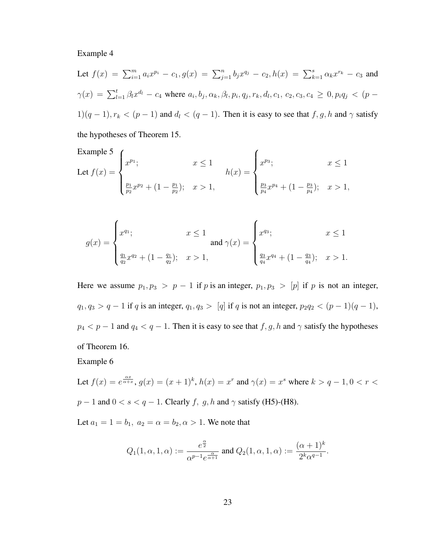#### Example 4

Let 
$$
f(x) = \sum_{i=1}^{m} a_i x^{p_i} - c_1
$$
,  $g(x) = \sum_{j=1}^{n} b_j x^{q_j} - c_2$ ,  $h(x) = \sum_{k=1}^{s} \alpha_k x^{r_k} - c_3$  and  
\n $\gamma(x) = \sum_{l=1}^{t} \beta_l x^{d_l} - c_4$  where  $a_i, b_j, \alpha_k, \beta_l, p_i, q_j, r_k, d_l, c_1, c_2, c_3, c_4 \ge 0$ ,  $p_i q_j < (p-1)(q-1)$ ,  $r_k < (p-1)$  and  $d_l < (q-1)$ . Then it is easy to see that  $f, g, h$  and  $\gamma$  satisfy

the hypotheses of Theorem 15.

Example 5  
Let 
$$
f(x) = \begin{cases} x^{p_1}; & x \le 1 \\ \frac{p_1}{p_2}x^{p_2} + (1 - \frac{p_1}{p_2}); & x > 1, \end{cases}
$$
  $h(x) = \begin{cases} x^{p_3}; & x \le 1 \\ \frac{p_3}{p_4}x^{p_4} + (1 - \frac{p_3}{p_4}); & x > 1, \end{cases}$ 

$$
g(x) = \begin{cases} x^{q_1}; & x \le 1 \\ \frac{q_1}{q_2} x^{q_2} + (1 - \frac{q_1}{q_2}); & x > 1, \end{cases} \text{ and } \gamma(x) = \begin{cases} x^{q_3}; & x \le 1 \\ \frac{q_3}{q_4} x^{q_4} + (1 - \frac{q_3}{q_4}); & x > 1. \end{cases}
$$

Here we assume  $p_1, p_3 > p - 1$  if p is an integer,  $p_1, p_3 > [p]$  if p is not an integer,  $q_1, q_3 > q - 1$  if q is an integer,  $q_1, q_3 > [q]$  if q is not an integer,  $p_2q_2 < (p - 1)(q - 1)$ ,  $p_4 < p - 1$  and  $q_4 < q - 1$ . Then it is easy to see that  $f, g, h$  and  $\gamma$  satisfy the hypotheses of Theorem 16.

Example 6

Let  $f(x) = e^{\frac{\alpha x}{\alpha + x}}$ ,  $g(x) = (x + 1)^k$ ,  $h(x) = x^r$  and  $\gamma(x) = x^s$  where  $k > q - 1$ ,  $0 < r <$  $p-1$  and  $0 < s < q-1$ . Clearly f, g, h and  $\gamma$  satisfy (H5)-(H8).

Let  $a_1 = 1 = b_1$ ,  $a_2 = \alpha = b_2$ ,  $\alpha > 1$ . We note that

$$
Q_1(1,\alpha,1,\alpha):=\frac{e^{\frac{\alpha}{2}}}{\alpha^{p-1}e^{\frac{\alpha}{\alpha+1}}}\text{ and }Q_2(1,\alpha,1,\alpha):=\frac{(\alpha+1)^k}{2^k\alpha^{q-1}}.
$$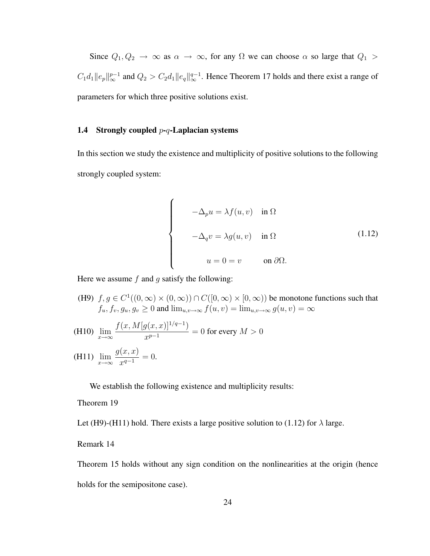Since  $Q_1, Q_2 \rightarrow \infty$  as  $\alpha \rightarrow \infty$ , for any  $\Omega$  we can choose  $\alpha$  so large that  $Q_1 >$  $C_1d_1\|e_p\|_\infty^{p-1}$  and  $Q_2 > C_2d_1\|e_q\|_\infty^{q-1}$ . Hence Theorem 17 holds and there exist a range of parameters for which three positive solutions exist.

### 1.4 Strongly coupled  $p-q$ -Laplacian systems

In this section we study the existence and multiplicity of positive solutions to the following strongly coupled system:

$$
\begin{cases}\n-\Delta_p u = \lambda f(u, v) & \text{in } \Omega \\
-\Delta_q v = \lambda g(u, v) & \text{in } \Omega\n\end{cases}
$$
\n
$$
u = 0 = v \qquad \text{on } \partial\Omega.
$$
\n(1.12)

Here we assume  $f$  and  $g$  satisfy the following:

- (H9)  $f, g \in C^1((0,\infty) \times (0,\infty)) \cap C([0,\infty) \times [0,\infty))$  be monotone functions such that  $f_u, f_v, g_u, g_v \geq 0$  and  $\lim_{u,v \to \infty} f(u, v) = \lim_{u,v \to \infty} g(u, v) = \infty$
- (H10)  $\lim_{x\to\infty}$  $f(x, M[g(x, x)]^{1/q-1})$  $\frac{f(x, y)}{x^{p-1}} = 0$  for every  $M > 0$

(H11) 
$$
\lim_{x \to \infty} \frac{g(x, x)}{x^{q-1}} = 0.
$$

We establish the following existence and multiplicity results:

#### Theorem 19

Let (H9)-(H11) hold. There exists a large positive solution to (1.12) for  $\lambda$  large.

## Remark 14

Theorem 15 holds without any sign condition on the nonlinearities at the origin (hence holds for the semipositone case).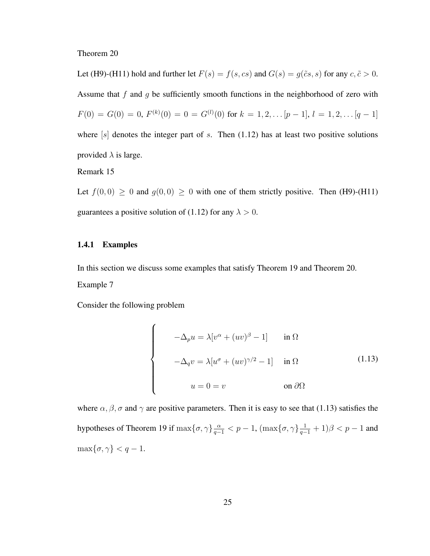Theorem 20

Let (H9)-(H11) hold and further let  $F(s) = f(s, cs)$  and  $G(s) = g(\tilde{c}s, s)$  for any  $c, \tilde{c} > 0$ . Assume that f and g be sufficiently smooth functions in the neighborhood of zero with  $F(0) = G(0) = 0, F^{(k)}(0) = 0 = G^{(l)}(0)$  for  $k = 1, 2, \ldots [p-1], l = 1, 2, \ldots [q-1]$ where  $[s]$  denotes the integer part of s. Then (1.12) has at least two positive solutions provided  $\lambda$  is large.

Remark 15

Let  $f(0, 0) \ge 0$  and  $g(0, 0) \ge 0$  with one of them strictly positive. Then (H9)-(H11) guarantees a positive solution of (1.12) for any  $\lambda > 0$ .

#### 1.4.1 Examples

In this section we discuss some examples that satisfy Theorem 19 and Theorem 20. Example 7

Consider the following problem

$$
\begin{cases}\n-\Delta_p u = \lambda [v^\alpha + (uv)^\beta - 1] & \text{in } \Omega \\
-\Delta_q v = \lambda [u^\sigma + (uv)^{\gamma/2} - 1] & \text{in } \Omega\n\end{cases}
$$
\n(1.13)\n
$$
u = 0 = v \qquad \text{on } \partial\Omega
$$

where  $\alpha, \beta, \sigma$  and  $\gamma$  are positive parameters. Then it is easy to see that (1.13) satisfies the hypotheses of Theorem 19 if  $\max\{\sigma, \gamma\}\frac{\alpha}{q-1} < p-1$ ,  $(\max\{\sigma, \gamma\}\frac{1}{q-1} + 1)\beta < p-1$  and  $\max\{\sigma, \gamma\} < q-1.$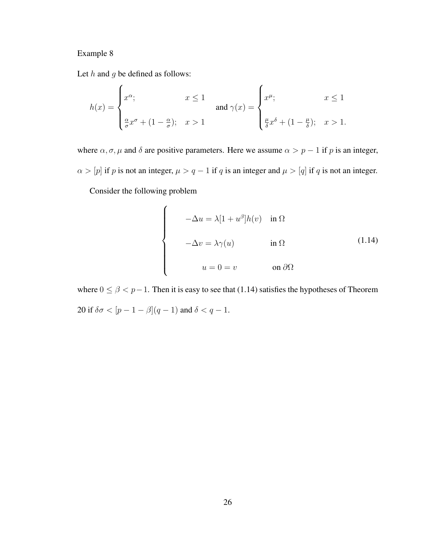# Example 8

Let  $h$  and  $g$  be defined as follows:

$$
h(x) = \begin{cases} x^{\alpha}; & x \le 1 \\ \frac{\alpha}{\sigma} x^{\sigma} + (1 - \frac{\alpha}{\sigma}); & x > 1 \end{cases} \quad \text{and } \gamma(x) = \begin{cases} x^{\mu}; & x \le 1 \\ \frac{\mu}{\delta} x^{\delta} + (1 - \frac{\mu}{\delta}); & x > 1. \end{cases}
$$

where  $\alpha$ ,  $\sigma$ ,  $\mu$  and  $\delta$  are positive parameters. Here we assume  $\alpha > p - 1$  if p is an integer,  $\alpha > [p]$  if p is not an integer,  $\mu > q - 1$  if q is an integer and  $\mu > [q]$  if q is not an integer.

Consider the following problem

$$
\begin{cases}\n-\Delta u = \lambda [1 + u^{\beta}] h(v) & \text{in } \Omega \\
-\Delta v = \lambda \gamma(u) & \text{in } \Omega\n\end{cases}
$$
\n(1.14)\n
$$
u = 0 = v \qquad \text{on } \partial \Omega
$$

where  $0 \le \beta < p-1$ . Then it is easy to see that (1.14) satisfies the hypotheses of Theorem 20 if  $\delta \sigma < [p - 1 - \beta](q - 1)$  and  $\delta < q - 1$ .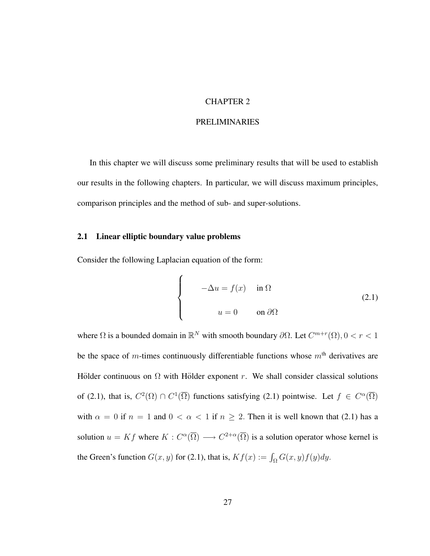# CHAPTER 2

### PRELIMINARIES

In this chapter we will discuss some preliminary results that will be used to establish our results in the following chapters. In particular, we will discuss maximum principles, comparison principles and the method of sub- and super-solutions.

## 2.1 Linear elliptic boundary value problems

Consider the following Laplacian equation of the form:

 $\overline{a}$ 

$$
\begin{cases}\n-\Delta u = f(x) & \text{in } \Omega \\
u = 0 & \text{on } \partial\Omega\n\end{cases}
$$
\n(2.1)

where  $\Omega$  is a bounded domain in  $\mathbb{R}^N$  with smooth boundary  $\partial\Omega$ . Let  $C^{m+r}(\Omega)$ ,  $0 < r < 1$ be the space of m-times continuously differentiable functions whose  $m<sup>th</sup>$  derivatives are Hölder continuous on  $\Omega$  with Hölder exponent r. We shall consider classical solutions of (2.1), that is,  $C^2(\Omega) \cap C^1(\overline{\Omega})$  functions satisfying (2.1) pointwise. Let  $f \in C^{\alpha}(\overline{\Omega})$ with  $\alpha = 0$  if  $n = 1$  and  $0 < \alpha < 1$  if  $n \ge 2$ . Then it is well known that (2.1) has a solution  $u = Kf$  where  $K : C^{\alpha}(\overline{\Omega}) \longrightarrow C^{2+\alpha}(\overline{\Omega})$  is a solution operator whose kernel is the Green's function  $G(x, y)$  for (2.1), that is,  $Kf(x) := \int_{\Omega} G(x, y)f(y)dy$ .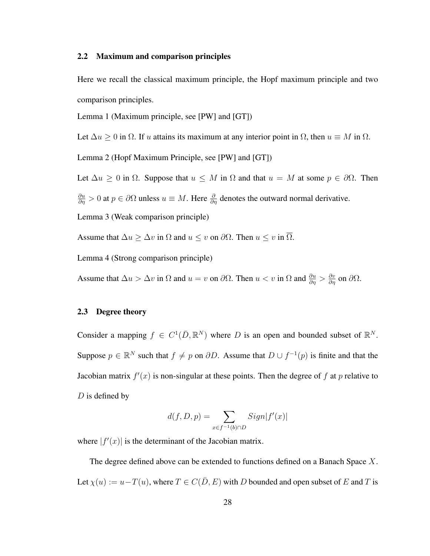### 2.2 Maximum and comparison principles

Here we recall the classical maximum principle, the Hopf maximum principle and two comparison principles.

Lemma 1 (Maximum principle, see [PW] and [GT])

Let  $\Delta u \geq 0$  in  $\Omega$ . If u attains its maximum at any interior point in  $\Omega$ , then  $u \equiv M$  in  $\Omega$ .

Lemma 2 (Hopf Maximum Principle, see [PW] and [GT])

Let  $\Delta u \geq 0$  in  $\Omega$ . Suppose that  $u \leq M$  in  $\Omega$  and that  $u = M$  at some  $p \in \partial \Omega$ . Then  $\frac{\partial u}{\partial \eta} > 0$  at  $p \in \partial \Omega$  unless  $u \equiv M$ . Here  $\frac{\partial}{\partial \eta}$  denotes the outward normal derivative. Lemma 3 (Weak comparison principle)

Assume that  $\Delta u \geq \Delta v$  in  $\Omega$  and  $u \leq v$  on  $\partial \Omega$ . Then  $u \leq v$  in  $\overline{\Omega}$ .

Lemma 4 (Strong comparison principle)

Assume that  $\Delta u > \Delta v$  in  $\Omega$  and  $u = v$  on  $\partial \Omega$ . Then  $u < v$  in  $\Omega$  and  $\frac{\partial u}{\partial \eta} > \frac{\partial v}{\partial \eta}$  on  $\partial \Omega$ .

# 2.3 Degree theory

Consider a mapping  $f \in C^1(\overline{D}, \mathbb{R}^N)$  where D is an open and bounded subset of  $\mathbb{R}^N$ . Suppose  $p \in \mathbb{R}^N$  such that  $f \neq p$  on  $\partial D$ . Assume that  $D \cup f^{-1}(p)$  is finite and that the Jacobian matrix  $f'(x)$  is non-singular at these points. Then the degree of f at p relative to  $D$  is defined by

$$
d(f, D, p) = \sum_{x \in f^{-1}(b) \cap D} Sign|f'(x)|
$$

where  $|f'(x)|$  is the determinant of the Jacobian matrix.

The degree defined above can be extended to functions defined on a Banach Space X. Let  $\chi(u) := u - T(u)$ , where  $T \in C(\overline{D}, E)$  with D bounded and open subset of E and T is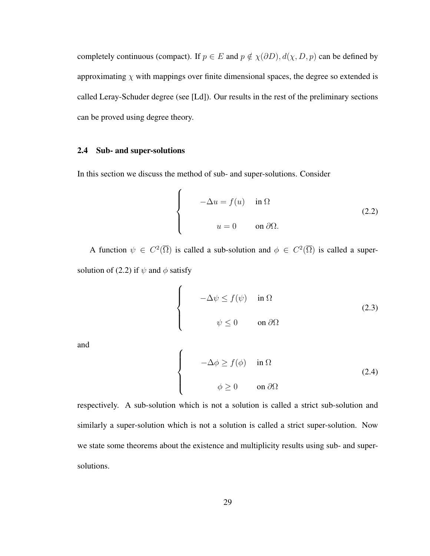completely continuous (compact). If  $p \in E$  and  $p \notin \chi(\partial D)$ ,  $d(\chi, D, p)$  can be defined by approximating  $\chi$  with mappings over finite dimensional spaces, the degree so extended is called Leray-Schuder degree (see [Ld]). Our results in the rest of the preliminary sections can be proved using degree theory.

## 2.4 Sub- and super-solutions

In this section we discuss the method of sub- and super-solutions. Consider

$$
\begin{cases}\n-\Delta u = f(u) & \text{in } \Omega \\
u = 0 & \text{on } \partial\Omega.\n\end{cases}
$$
\n(2.2)

A function  $\psi \in C^2(\overline{\Omega})$  is called a sub-solution and  $\phi \in C^2(\overline{\Omega})$  is called a supersolution of (2.2) if  $\psi$  and  $\phi$  satisfy

$$
\begin{cases}\n-\Delta \psi \le f(\psi) & \text{in } \Omega \\
\psi \le 0 & \text{on } \partial \Omega\n\end{cases}
$$
\n(2.3)

and

$$
\begin{cases}\n-\Delta \phi \ge f(\phi) & \text{in } \Omega \\
\phi \ge 0 & \text{on } \partial \Omega\n\end{cases}
$$
\n(2.4)

respectively. A sub-solution which is not a solution is called a strict sub-solution and similarly a super-solution which is not a solution is called a strict super-solution. Now we state some theorems about the existence and multiplicity results using sub- and supersolutions.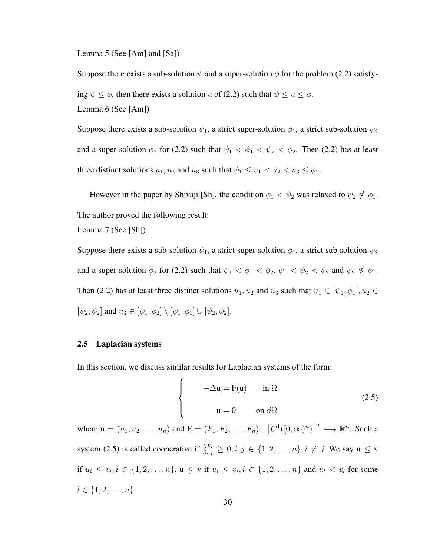Lemma 5 (See [Am] and [Sa])

Suppose there exists a sub-solution  $\psi$  and a super-solution  $\phi$  for the problem (2.2) satisfying  $\psi \leq \phi$ , then there exists a solution u of (2.2) such that  $\psi \leq u \leq \phi$ . Lemma 6 (See [Am])

Suppose there exists a sub-solution  $\psi_1$ , a strict super-solution  $\phi_1$ , a strict sub-solution  $\psi_2$ and a super-solution  $\phi_2$  for (2.2) such that  $\psi_1 < \phi_1 < \psi_2 < \phi_2$ . Then (2.2) has at least three distinct solutions  $u_1, u_2$  and  $u_3$  such that  $\psi_1 \leq u_1 < u_2 < u_3 \leq \phi_2$ .

However in the paper by Shivaji [Sh], the condition  $\phi_1 < \psi_2$  was relaxed to  $\psi_2 \nleq \phi_1$ . The author proved the following result:

Lemma 7 (See [Sh])

Suppose there exists a sub-solution  $\psi_1$ , a strict super-solution  $\phi_1$ , a strict sub-solution  $\psi_2$ and a super-solution  $\phi_2$  for (2.2) such that  $\psi_1 < \phi_1 < \phi_2$ ,  $\psi_1 < \psi_2 < \phi_2$  and  $\psi_2 \nleq \phi_1$ . Then (2.2) has at least three distinct solutions  $u_1, u_2$  and  $u_3$  such that  $u_1 \in [\psi_1, \phi_1], u_2 \in$  $[\psi_2, \phi_2]$  and  $u_3 \in [\psi_1, \phi_2] \setminus [\psi_1, \phi_1] \cup [\psi_2, \phi_2]$ .

## 2.5 Laplacian systems

In this section, we discuss similar results for Laplacian systems of the form:  $\overline{ }$ 

$$
\begin{cases}\n-\Delta \underline{u} = \underline{F}(\underline{u}) & \text{in } \Omega \\
\underline{u} = \underline{0} & \text{on } \partial \Omega\n\end{cases}
$$
\n(2.5)

where  $\underline{\mathbf{u}} = (u_1, u_2, \dots, u_n)$  and  $\underline{\mathbf{F}} = (F_1, F_2, \dots, F_n) : [C^1([0, \infty)^n)]^n \longrightarrow \mathbb{R}^n$ . Such a system (2.5) is called cooperative if  $\frac{\partial F_i}{\partial u_j} \geq 0, i, j \in \{1, 2, ..., n\}, i \neq j$ . We say  $\underline{u} \leq \underline{v}$ if  $u_i \leq v_i, i \in \{1, 2, \ldots, n\}, \underline{\mathbf{u}} \leq \underline{\mathbf{v}}$  if  $u_i \leq v_i, i \in \{1, 2, \ldots, n\}$  and  $u_i < v_i$  for some  $l \in \{1, 2, \ldots, n\}.$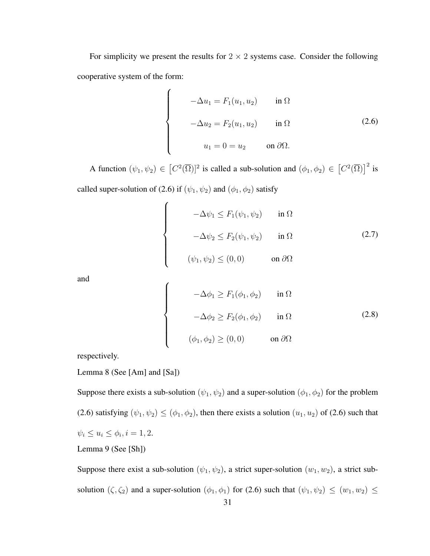For simplicity we present the results for  $2 \times 2$  systems case. Consider the following cooperative system of the form:

$$
\begin{cases}\n-\Delta u_1 = F_1(u_1, u_2) & \text{in } \Omega \\
-\Delta u_2 = F_2(u_1, u_2) & \text{in } \Omega\n\end{cases}
$$
\n
$$
u_1 = 0 = u_2 \qquad \text{on } \partial\Omega.
$$
\n(2.6)

A function  $(\psi_1, \psi_2) \in$ £  $C^2(\overline{\Omega})^2$  is called a sub-solution and  $(\phi_1, \phi_2) \in$ £  $C^2(\overline{\Omega})^2$  is called super-solution of (2.6) if  $(\psi_1, \psi_2)$  and  $(\phi_1, \phi_2)$  satisfy

 $\overline{a}$ 

 $\begin{bmatrix} \phantom{-} \end{bmatrix}$ 

 $\begin{matrix} \phantom{-} \end{matrix}$ 

 $\overline{a}$ 

 $\begin{bmatrix} \phantom{-} \end{bmatrix}$ 

 $\begin{matrix} \phantom{-} \end{matrix}$ 

$$
-\Delta \psi_1 \le F_1(\psi_1, \psi_2) \quad \text{in } \Omega
$$
  

$$
-\Delta \psi_2 \le F_2(\psi_1, \psi_2) \quad \text{in } \Omega
$$
  

$$
(\psi_1, \psi_2) \le (0, 0) \quad \text{on } \partial\Omega
$$
 (2.7)

and

$$
-\Delta \phi_1 \ge F_1(\phi_1, \phi_2) \quad \text{in } \Omega
$$
  

$$
-\Delta \phi_2 \ge F_2(\phi_1, \phi_2) \quad \text{in } \Omega
$$
  

$$
(\phi_1, \phi_2) \ge (0, 0) \quad \text{on } \partial \Omega
$$
 (2.8)

respectively.

Lemma 8 (See [Am] and [Sa])

Suppose there exists a sub-solution  $(\psi_1, \psi_2)$  and a super-solution  $(\phi_1, \phi_2)$  for the problem (2.6) satisfying  $(\psi_1, \psi_2) \le (\phi_1, \phi_2)$ , then there exists a solution  $(u_1, u_2)$  of (2.6) such that  $\psi_i \leq u_i \leq \phi_i, i = 1, 2.$ Lemma 9 (See [Sh])

Suppose there exist a sub-solution  $(\psi_1, \psi_2)$ , a strict super-solution  $(w_1, w_2)$ , a strict subsolution  $(\zeta, \zeta_2)$  and a super-solution  $(\phi_1, \phi_1)$  for (2.6) such that  $(\psi_1, \psi_2) \leq (w_1, w_2) \leq$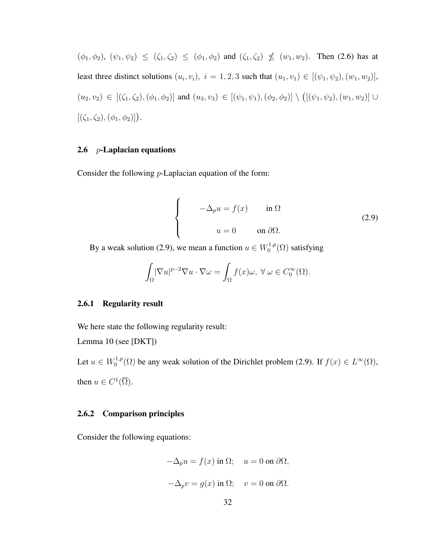$(\phi_1, \phi_2), (\psi_1, \psi_2) \leq (\zeta_1, \zeta_2) \leq (\phi_1, \phi_2)$  and  $(\zeta_1, \zeta_2) \nleq (w_1, w_2)$ . Then (2.6) has at least three distinct solutions  $(u_i, v_i)$ ,  $i = 1, 2, 3$  such that  $(u_1, v_1) \in [(\psi_1, \psi_2), (w_1, w_2)],$  $(u_2, v_2) \in [(\zeta_1, \zeta_2), (\phi_1, \phi_2)]$  and  $(u_3, v_3) \in [(\psi_1, \psi_1), (\phi_2, \phi_2)] \setminus$ ¡  $[(\psi_1, \psi_2), (w_1, w_2)] \cup$  $[(\zeta_1, \zeta_2), (\phi_1, \phi_2)]$ .

## 2.6  $p$ -Laplacian equations

Consider the following p-Laplacian equation of the form:

$$
\begin{cases}\n-\Delta_p u = f(x) & \text{in } \Omega \\
u = 0 & \text{on } \partial \Omega.\n\end{cases}
$$
\n(2.9)

By a weak solution (2.9), we mean a function  $u \in W_0^{1,p}$  $\chi_0^{1,p}(\Omega)$  satisfying

$$
\int_{\Omega} |\nabla u|^{p-2} \nabla u \cdot \nabla \omega = \int_{\Omega} f(x) \omega, \ \forall \ \omega \in C_0^{\infty}(\Omega).
$$

#### 2.6.1 Regularity result

We here state the following regularity result:

Lemma 10 (see [DKT])

Let  $u \in W_0^{1,p}$  $C_0^{1,p}(\Omega)$  be any weak solution of the Dirichlet problem (2.9). If  $f(x) \in L^{\infty}(\Omega)$ , then  $u \in C^1(\overline{\Omega})$ .

## 2.6.2 Comparison principles

Consider the following equations:

$$
-\Delta_p u = f(x) \text{ in } \Omega; \quad u = 0 \text{ on } \partial\Omega,
$$
  

$$
-\Delta_p v = g(x) \text{ in } \Omega; \quad v = 0 \text{ on } \partial\Omega.
$$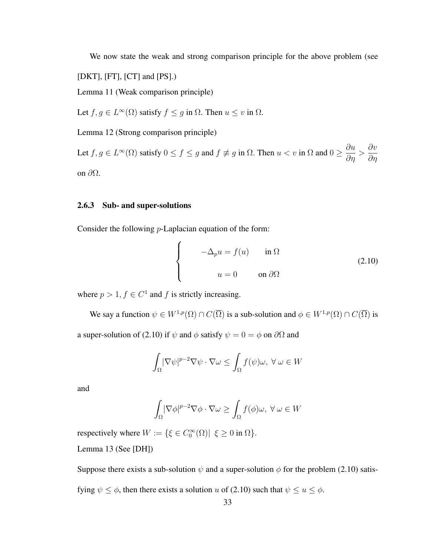We now state the weak and strong comparison principle for the above problem (see

[DKT], [FT], [CT] and [PS].)

Lemma 11 (Weak comparison principle)

Let  $f, g \in L^{\infty}(\Omega)$  satisfy  $f \le g$  in  $\Omega$ . Then  $u \le v$  in  $\Omega$ .

Lemma 12 (Strong comparison principle)

Let  $f, g \in L^{\infty}(\Omega)$  satisfy  $0 \le f \le g$  and  $f \not\equiv g$  in  $\Omega$ . Then  $u < v$  in  $\Omega$  and  $0 \ge \frac{\partial u}{\partial \Omega}$  $rac{\partial u}{\partial \eta}$  > ∂v ∂η on  $\partial\Omega$ .

# 2.6.3 Sub- and super-solutions

Consider the following  $p$ -Laplacian equation of the form:

 $\overline{a}$ 

$$
\begin{cases}\n-\Delta_p u = f(u) & \text{in } \Omega \\
u = 0 & \text{on } \partial\Omega\n\end{cases}
$$
\n(2.10)

where  $p > 1, f \in C^1$  and f is strictly increasing.

We say a function  $\psi \in W^{1,p}(\Omega) \cap C(\overline{\Omega})$  is a sub-solution and  $\phi \in W^{1,p}(\Omega) \cap C(\overline{\Omega})$  is

a super-solution of (2.10) if  $\psi$  and  $\phi$  satisfy  $\psi = 0 = \phi$  on  $\partial\Omega$  and

$$
\int_{\Omega} |\nabla \psi|^{p-2} \nabla \psi \cdot \nabla \omega \le \int_{\Omega} f(\psi) \omega, \ \forall \ \omega \in W
$$

and

$$
\int_{\Omega} |\nabla \phi|^{p-2} \nabla \phi \cdot \nabla \omega \ge \int_{\Omega} f(\phi) \omega, \ \forall \ \omega \in W
$$

respectively where  $W := \{ \xi \in C_0^{\infty}(\Omega) | \xi \ge 0 \text{ in } \Omega \}.$ Lemma 13 (See [DH])

Suppose there exists a sub-solution  $\psi$  and a super-solution  $\phi$  for the problem (2.10) satis-

fying  $\psi \leq \phi$ , then there exists a solution u of (2.10) such that  $\psi \leq u \leq \phi$ .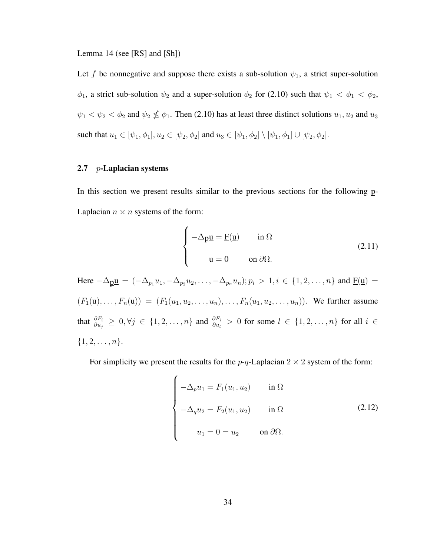Lemma 14 (see [RS] and [Sh])

Let f be nonnegative and suppose there exists a sub-solution  $\psi_1$ , a strict super-solution  $\phi_1$ , a strict sub-solution  $\psi_2$  and a super-solution  $\phi_2$  for (2.10) such that  $\psi_1 < \phi_1 < \phi_2$ ,  $\psi_1 < \psi_2 < \phi_2$  and  $\psi_2 \nleq \phi_1$ . Then (2.10) has at least three distinct solutions  $u_1, u_2$  and  $u_3$ such that  $u_1 \in [\psi_1, \phi_1], u_2 \in [\psi_2, \phi_2]$  and  $u_3 \in [\psi_1, \phi_2] \setminus [\psi_1, \phi_1] \cup [\psi_2, \phi_2]$ .

## 2.7 *p*-Laplacian systems

In this section we present results similar to the previous sections for the following p-Laplacian  $n \times n$  systems of the form:

 $\overline{a}$ 

 $\overline{ }$ 

$$
\begin{cases}\n-\Delta_{\underline{\mathbf{p}}}\underline{\mathbf{u}} = \underline{\mathbf{F}}(\underline{\mathbf{u}}) & \text{in } \Omega \\
\underline{\mathbf{u}} = \underline{\mathbf{0}} & \text{on } \partial\Omega.\n\end{cases}
$$
\n(2.11)

Here  $-\Delta p \underline{u} = (-\Delta_{p_1} u_1, -\Delta_{p_2} u_2, \dots, -\Delta_{p_n} u_n); p_i > 1, i \in \{1, 2, \dots, n\}$  and  $\underline{F}(\underline{u}) =$  $(F_1(\underline{u}),..., F_n(\underline{u})) = (F_1(u_1, u_2,..., u_n),..., F_n(u_1, u_2,..., u_n)).$  We further assume that  $\frac{\partial F_i}{\partial u_j} \geq 0, \forall j \in \{1, 2, ..., n\}$  and  $\frac{\partial F_i}{\partial u_l} > 0$  for some  $l \in \{1, 2, ..., n\}$  for all  $i \in$  $\{1, 2, \ldots, n\}.$ 

For simplicity we present the results for the  $p-q$ -Laplacian 2  $\times$  2 system of the form:

$$
\begin{cases}\n-\Delta_p u_1 = F_1(u_1, u_2) & \text{in } \Omega \\
-\Delta_q u_2 = F_2(u_1, u_2) & \text{in } \Omega \\
u_1 = 0 = u_2 & \text{on } \partial\Omega.\n\end{cases}
$$
\n(2.12)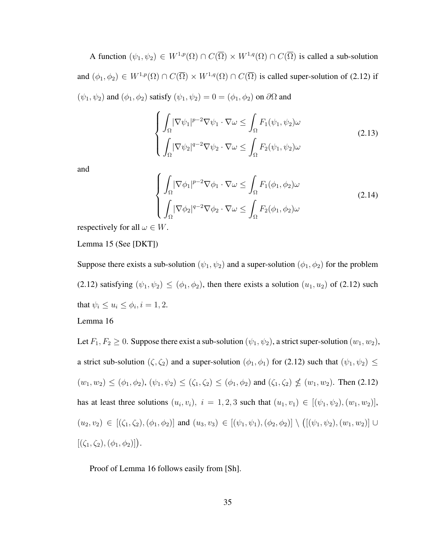A function  $(\psi_1, \psi_2) \in W^{1,p}(\Omega) \cap C(\overline{\Omega}) \times W^{1,q}(\Omega) \cap C(\overline{\Omega})$  is called a sub-solution and  $(\phi_1, \phi_2) \in W^{1,p}(\Omega) \cap C(\overline{\Omega}) \times W^{1,q}(\Omega) \cap C(\overline{\Omega})$  is called super-solution of (2.12) if  $(\psi_1, \psi_2)$  and  $(\phi_1, \phi_2)$  satisfy  $(\psi_1, \psi_2) = 0 = (\phi_1, \phi_2)$  on  $\partial\Omega$  and

$$
\begin{cases}\n\int_{\Omega} |\nabla \psi_1|^{p-2} \nabla \psi_1 \cdot \nabla \omega \leq \int_{\Omega} F_1(\psi_1, \psi_2) \omega \\
\int_{\Omega} |\nabla \psi_2|^{q-2} \nabla \psi_2 \cdot \nabla \omega \leq \int_{\Omega} F_2(\psi_1, \psi_2) \omega\n\end{cases}
$$
\n(2.13)

and

$$
\begin{cases}\n\int_{\Omega} |\nabla \phi_1|^{p-2} \nabla \phi_1 \cdot \nabla \omega \le \int_{\Omega} F_1(\phi_1, \phi_2) \omega \\
\int_{\Omega} |\nabla \phi_2|^{q-2} \nabla \phi_2 \cdot \nabla \omega \le \int_{\Omega} F_2(\phi_1, \phi_2) \omega\n\end{cases}
$$
\n(2.14)

respectively for all  $\omega \in W$ .

Lemma 15 (See [DKT])

Suppose there exists a sub-solution  $(\psi_1, \psi_2)$  and a super-solution  $(\phi_1, \phi_2)$  for the problem (2.12) satisfying  $(\psi_1, \psi_2) \leq (\phi_1, \phi_2)$ , then there exists a solution  $(u_1, u_2)$  of (2.12) such that  $\psi_i \leq u_i \leq \phi_i, i = 1, 2$ .

# Lemma 16

Let  $F_1, F_2 \ge 0$ . Suppose there exist a sub-solution  $(\psi_1, \psi_2)$ , a strict super-solution  $(w_1, w_2)$ , a strict sub-solution  $(\zeta, \zeta_2)$  and a super-solution  $(\phi_1, \phi_1)$  for (2.12) such that  $(\psi_1, \psi_2) \le$  $(w_1, w_2) \le (\phi_1, \phi_2), (\psi_1, \psi_2) \le (\zeta_1, \zeta_2) \le (\phi_1, \phi_2)$  and  $(\zeta_1, \zeta_2) \nle (w_1, w_2)$ . Then (2.12) has at least three solutions  $(u_i, v_i)$ ,  $i = 1, 2, 3$  such that  $(u_1, v_1) \in [(\psi_1, \psi_2), (w_1, w_2)],$  $(u_2, v_2) \in [(\zeta_1, \zeta_2), (\phi_1, \phi_2)]$  and  $(u_3, v_3) \in [(\psi_1, \psi_1), (\phi_2, \phi_2)] \setminus$ ¡  $[(\psi_1, \psi_2), (w_1, w_2)] \cup$  $[(\zeta_1, \zeta_2), (\phi_1, \phi_2)]$ .

Proof of Lemma 16 follows easily from [Sh].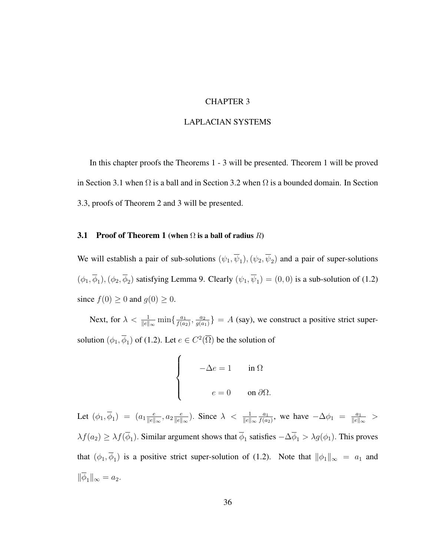## CHAPTER 3

#### LAPLACIAN SYSTEMS

In this chapter proofs the Theorems 1 - 3 will be presented. Theorem 1 will be proved in Section 3.1 when  $\Omega$  is a ball and in Section 3.2 when  $\Omega$  is a bounded domain. In Section 3.3, proofs of Theorem 2 and 3 will be presented.

## 3.1 Proof of Theorem 1 (when  $\Omega$  is a ball of radius  $R$ )

 $\overline{ }$ 

We will establish a pair of sub-solutions  $(\psi_1, \overline{\psi}_1), (\psi_2, \overline{\psi}_2)$  and a pair of super-solutions  $(\phi_1, \overline{\phi}_1), (\phi_2, \overline{\phi}_2)$  satisfying Lemma 9. Clearly  $(\psi_1, \overline{\psi}_1) = (0, 0)$  is a sub-solution of (1.2) since  $f(0) \ge 0$  and  $g(0) \ge 0$ .

Next, for  $\lambda < \frac{1}{\|e\|_{\infty}} \min\{\frac{a_1}{f(a)}\}$  $\frac{a_1}{f(a_2)}, \frac{a_2}{g(a)}$  $\left\{\frac{a_2}{g(a_1)}\right\} = A$  (say), we construct a positive strict supersolution  $(\phi_1, \overline{\phi}_1)$  of (1.2). Let  $e \in C^2(\overline{\Omega})$  be the solution of

$$
\begin{cases}\n-\Delta e = 1 & \text{in } \Omega \\
e = 0 & \text{on } \partial \Omega.\n\end{cases}
$$

Let  $(\phi_1, \overline{\phi}_1) = (a_1 \frac{e}{\|e\|})$  $\frac{e}{\|e\|_{\infty}}, a_2 \frac{e}{\|e\|}$  $\frac{e}{\|e\|_{\infty}}$ ). Since  $\lambda < \frac{1}{\|e\|_{\infty}}$  $a_1$  $\frac{a_1}{f(a_2)}$ , we have  $-\Delta\phi_1 = \frac{a_1}{\|e\|_2}$  $\frac{a_1}{\|e\|_{\infty}}$  >  $\lambda f(a_2) \geq \lambda f(\phi_1)$ . Similar argument shows that  $\phi_1$  satisfies  $-\Delta \phi_1 > \lambda g(\phi_1)$ . This proves that  $(\phi_1, \phi_1)$  is a positive strict super-solution of (1.2). Note that  $\|\phi_1\|_{\infty} = a_1$  and  $\|\overline{\phi}_1\|_{\infty} = a_2.$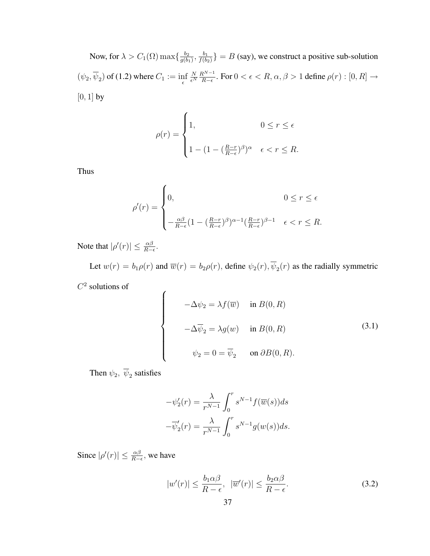Now, for  $\lambda > C_1(\Omega) \max\{\frac{b_2}{a(b)}\}$  $\frac{b_2}{g(b_1)}, \frac{b_1}{f(b_2)}$  $\left\{\frac{b_1}{f(b_2)}\right\} = B$  (say), we construct a positive sub-solution  $(\psi_2, \psi_2)$  of (1.2) where  $C_1 := \inf_{\epsilon}$ N  $\overline{\epsilon^N}$  $R^{N-1}$  $\frac{R^{N-1}}{R-\epsilon}$ . For  $0 < \epsilon < R$ ,  $\alpha, \beta > 1$  define  $\rho(r) : [0, R] \rightarrow$  $[0, 1]$  by

$$
\rho(r) = \begin{cases} 1, & 0 \le r \le \epsilon \\ 1 - (1 - (\frac{R-r}{R-\epsilon})^{\beta})^{\alpha} & \epsilon < r \le R. \end{cases}
$$

Thus

$$
\rho'(r) = \begin{cases} 0, & 0 \le r \le \epsilon \\ -\frac{\alpha\beta}{R-\epsilon} (1-(\frac{R-r}{R-\epsilon})^{\beta})^{\alpha-1} (\frac{R-r}{R-\epsilon})^{\beta-1} & \epsilon < r \le R. \end{cases}
$$

Note that  $|\rho'(r)| \leq \frac{\alpha \beta}{R - \epsilon}$ .

Let  $w(r) = b_1 \rho(r)$  and  $\overline{w}(r) = b_2 \rho(r)$ , define  $\psi_2(r), \psi_2(r)$  as the radially symmetric

 $C^2$  solutions of

$$
\begin{cases}\n-\Delta \psi_2 = \lambda f(\overline{w}) & \text{in } B(0, R) \\
-\Delta \overline{\psi}_2 = \lambda g(w) & \text{in } B(0, R) \\
\psi_2 = 0 = \overline{\psi}_2 & \text{on } \partial B(0, R).\n\end{cases}
$$
\n(3.1)

Then  $\psi_2, \overline{\psi}_2$  satisfies

$$
-\psi_2'(r) = \frac{\lambda}{r^{N-1}} \int_0^r s^{N-1} f(\overline{w}(s)) ds
$$

$$
-\overline{\psi}_2'(r) = \frac{\lambda}{r^{N-1}} \int_0^r s^{N-1} g(w(s)) ds.
$$

Since  $|\rho'(r)| \leq \frac{\alpha \beta}{R-\epsilon}$ , we have

$$
|w'(r)| \le \frac{b_1 \alpha \beta}{R - \epsilon}, \quad |\overline{w}'(r)| \le \frac{b_2 \alpha \beta}{R - \epsilon}.
$$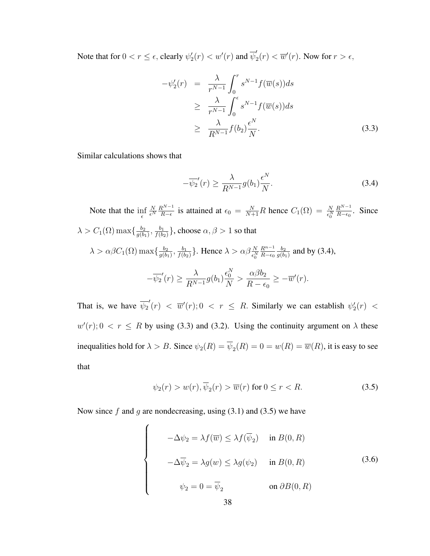Note that for  $0 < r \leq \epsilon$ , clearly  $\psi_2'(r) < w'(r)$  and  $\overline{\psi}_2'$  $\overline{w}'_2(r) < \overline{w}'(r)$ . Now for  $r > \epsilon$ ,

$$
-\psi_2'(r) = \frac{\lambda}{r^{N-1}} \int_0^r s^{N-1} f(\overline{w}(s)) ds
$$
  
\n
$$
\geq \frac{\lambda}{r^{N-1}} \int_0^{\epsilon} s^{N-1} f(\overline{w}(s)) ds
$$
  
\n
$$
\geq \frac{\lambda}{R^{N-1}} f(b_2) \frac{\epsilon^N}{N}.
$$
\n(3.3)

Similar calculations shows that

$$
-\overline{\psi_2}'(r) \ge \frac{\lambda}{R^{N-1}} g(b_1) \frac{\epsilon^N}{N}.
$$
\n(3.4)

Note that the  $\inf_{\epsilon}$ N  $\overline{\epsilon^N}$  $R^{N-1}$  $\frac{R^{N-1}}{R-\epsilon}$  is attained at  $\epsilon_0 = \frac{N}{N+1}R$  hence  $C_1(\Omega) = \frac{N}{\epsilon_0^N}$  $R^{N-1}$  $rac{R^{N-1}}{R-\epsilon_0}$ . Since  $\lambda > C_1(\Omega) \max\{\frac{b_2}{a(b)}\}$  $\frac{b_2}{g(b_1)}, \frac{b_1}{f(b_2)}$  $\frac{b_1}{f(b_2)}\},$  choose  $\alpha, \beta > 1$  so that  $\lambda > \alpha \beta C_1(\Omega) \max\{\frac{b_2}{a(b)}\}$  $\frac{b_2}{g(b_1)}, \frac{b_1}{f(b_2)}$  $\frac{b_1}{f(b_2)}\}$ . Hence  $\lambda > \alpha \beta \frac{N}{\epsilon_0^N}$  $R^{n-1}$  $R-\epsilon_0$  $b_2$  $\frac{b_2}{g(b_1)}$  and by (3.4),  $-\overline{\psi_2}'(r) \geq$ λ  $\frac{N}{R^{N-1}}g(b_1)$  $\epsilon_{0}^{N}$ N  $> \frac{\alpha \beta b_2}{\sqrt{b_2}}$  $R - \epsilon_0$  $\geq -\overline{w}'(r).$ 

That is, we have  $\overline{\psi_2}'(r) < \overline{w}'(r)$ ;  $0 < r \le R$ . Similarly we can establish  $\psi_2'(r) <$  $w'(r)$ ;  $0 < r \le R$  by using (3.3) and (3.2). Using the continuity argument on  $\lambda$  these inequalities hold for  $\lambda > B$ . Since  $\psi_2(R) = \psi_2(R) = 0 = w(R) = \overline{w}(R)$ , it is easy to see that

$$
\psi_2(r) > w(r), \overline{\psi}_2(r) > \overline{w}(r) \text{ for } 0 \le r < R. \tag{3.5}
$$

Now since f and g are nondecreasing, using  $(3.1)$  and  $(3.5)$  we have

 $\overline{ }$ 

 $\begin{bmatrix} \phantom{-} \end{bmatrix}$ 

 $\begin{matrix} \phantom{-} \end{matrix}$ 

$$
-\Delta \psi_2 = \lambda f(\overline{w}) \le \lambda f(\overline{\psi}_2) \quad \text{in } B(0, R)
$$

$$
-\Delta \overline{\psi}_2 = \lambda g(w) \le \lambda g(\psi_2) \quad \text{in } B(0, R)
$$

$$
\psi_2 = 0 = \overline{\psi}_2 \qquad \text{on } \partial B(0, R)
$$

$$
(3.6)
$$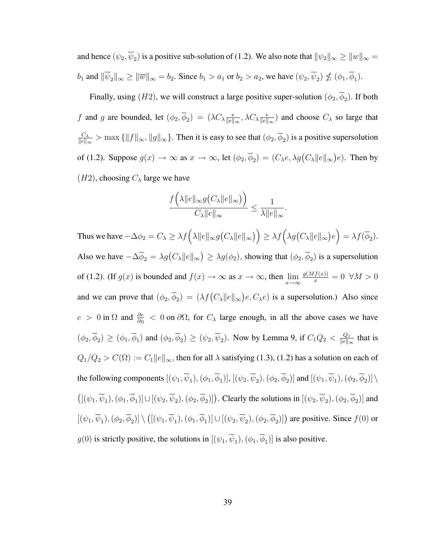and hence  $(\psi_2, \psi_2)$  is a positive sub-solution of (1.2). We also note that  $\|\psi_2\|_{\infty} \ge \|w\|_{\infty} =$  $b_1$  and  $\|\psi_2\|_{\infty} \ge \|\overline{w}\|_{\infty} = b_2$ . Since  $b_1 > a_1$  or  $b_2 > a_2$ , we have  $(\psi_2, \psi_2) \nleq (\phi_1, \phi_1)$ .

Finally, using  $(H2)$ , we will construct a large positive super-solution  $(\phi_2, \phi_2)$ . If both f and g are bounded, let  $(\phi_2, \overline{\phi}_2) = (\lambda C_{\lambda} \frac{e}{\|\theta\|})$  $\frac{e}{\|e\|_{\infty}}, \lambda C_{\lambda} \frac{e}{\|e\|}$  $\frac{e}{\|e\|_{\infty}}$ ) and choose  $C_{\lambda}$  so large that  $C_{\lambda}$  $\frac{C_{\lambda}}{\|e\|_{\infty}}$  > max  $\{\|f\|_{\infty}, \|g\|_{\infty}\}.$  Then it is easy to see that  $(\phi_2, \phi_2)$  is a positive supersolution of (1.2). Suppose  $g(x) \to \infty$  as  $x \to \infty$ , let  $(\phi_2, \overline{\phi}_2) = (C_\lambda e, \lambda g)C_\lambda ||e||_\infty$ ¢  $e$ ). Then by  $(H2)$ , choosing  $C_{\lambda}$  large we have

$$
\frac{f\left(\lambda\|e\|_{\infty}g\left(C_{\lambda}\|e\|_{\infty}\right)\right)}{C_{\lambda}\|e\|_{\infty}} \leq \frac{1}{\lambda\|e\|_{\infty}}.
$$

Thus we have  $-\Delta\phi_2 = C_{\lambda} \geq \lambda f(\lambda ||e||_{\infty}g)$ ¡  $C_{\lambda}||e||_{\infty}$  $)\big)\geq \lambda f\big(\lambda g\big(C_{\lambda}\|e\|_{\infty}\big)$ ¢ e ´  $=\lambda f(\overline{\phi}_2).$ Also we have  $-\Delta \overline{\phi}_2 = \lambda g(C_\lambda \|e\|_\infty)$ ¢  $\geq \lambda g(\phi_2)$ , showing that  $(\phi_2, \overline{\phi}_2)$  is a supersolution of (1.2). (If  $g(x)$  is bounded and  $f(x) \to \infty$  as  $x \to \infty$ , then  $\lim_{x \to \infty} \frac{g(Mf(x))}{x} = 0 \quad \forall M > 0$ and we can prove that  $(\phi_2, \overline{\phi}_2) = (\lambda f(C_{\lambda} || e ||_{\infty}))$ ¢  $e, C_{\lambda}e$  is a supersolution.) Also since  $e > 0$  in  $\Omega$  and  $\frac{\partial e}{\partial \eta} < 0$  on  $\partial \Omega$ , for  $C_{\lambda}$  large enough, in all the above cases we have  $(\phi_2, \overline{\phi}_2) \ge (\phi_1, \overline{\phi}_1)$  and  $(\phi_2, \overline{\phi}_2) \ge (\psi_2, \overline{\psi}_2)$ . Now by Lemma 9, if  $C_1Q_2 < \frac{Q_1}{\|e\|_2}$  $\frac{Q_1}{\|e\|_{\infty}}$  that is  $Q_1/Q_2 > C(\Omega) := C_1 ||e||_{\infty}$ , then for all  $\lambda$  satisfying (1.3), (1.2) has a solution on each of the following components  $[(\psi_1,\overline{\psi}_1),(\phi_1,\overline{\phi}_1)], [(\psi_2,\overline{\psi}_2),(\phi_2,\overline{\phi}_2)]$  and  $[(\psi_1,\overline{\psi}_1),(\phi_2,\overline{\phi}_2)] \setminus$ ¡  $[(\psi_1,\overline{\psi}_1),(\phi_1,\overline{\phi}_1)] \cup [(\psi_2,\overline{\psi}_2),(\phi_2,\overline{\phi}_2)]$ . Clearly the solutions in  $[(\psi_2,\overline{\psi}_2),(\phi_2,\overline{\phi}_2)]$  and  $[(\psi_1,\overline{\psi}_1),(\phi_2,\overline{\phi}_2)] \setminus$ ¡  $[(\psi_1, \overline{\psi}_1), (\phi_1, \overline{\phi}_1)] \cup [(\psi_2, \overline{\psi}_2), (\phi_2, \overline{\phi}_2)]$  are positive. Since  $f(0)$  or  $g(0)$  is strictly positive, the solutions in  $[(\psi_1, \psi_1), (\phi_1, \phi_1)]$  is also positive.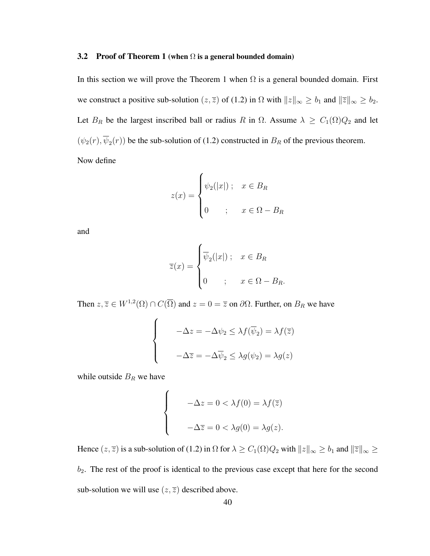#### 3.2 Proof of Theorem 1 (when  $\Omega$  is a general bounded domain)

In this section we will prove the Theorem 1 when  $\Omega$  is a general bounded domain. First we construct a positive sub-solution  $(z, \overline{z})$  of (1.2) in  $\Omega$  with  $||z||_{\infty} \ge b_1$  and  $||\overline{z}||_{\infty} \ge b_2$ . Let  $B_R$  be the largest inscribed ball or radius R in  $\Omega$ . Assume  $\lambda \geq C_1(\Omega)Q_2$  and let  $(\psi_2(r), \overline{\psi}_2(r))$  be the sub-solution of (1.2) constructed in  $B_R$  of the previous theorem. Now define

$$
z(x) = \begin{cases} \psi_2(|x|) ; & x \in B_R \\ 0 & ; x \in \Omega - B_R \end{cases}
$$

and

$$
\overline{z}(x) = \begin{cases} \overline{\psi}_2(|x|) ; & x \in B_R \\ 0 & ; x \in \Omega - B_R. \end{cases}
$$

Then  $z, \overline{z} \in W^{1,2}(\Omega) \cap C(\overline{\Omega})$  and  $z = 0 = \overline{z}$  on  $\partial \Omega$ . Further, on  $B_R$  we have

$$
\begin{cases}\n-\Delta z = -\Delta \psi_2 \leq \lambda f(\overline{\psi}_2) = \lambda f(\overline{z}) \\
-\Delta \overline{z} = -\Delta \overline{\psi}_2 \leq \lambda g(\psi_2) = \lambda g(z)\n\end{cases}
$$

while outside  $B_R$  we have

$$
\begin{cases}\n-\Delta z = 0 < \lambda f(0) = \lambda f(\overline{z}) \\
-\Delta \overline{z} = 0 < \lambda g(0) = \lambda g(z).\n\end{cases}
$$

Hence  $(z, \overline{z})$  is a sub-solution of (1.2) in  $\Omega$  for  $\lambda \ge C_1(\Omega)Q_2$  with  $||z||_{\infty} \ge b_1$  and  $||\overline{z}||_{\infty} \ge$  $b_2$ . The rest of the proof is identical to the previous case except that here for the second sub-solution we will use  $(z, \overline{z})$  described above.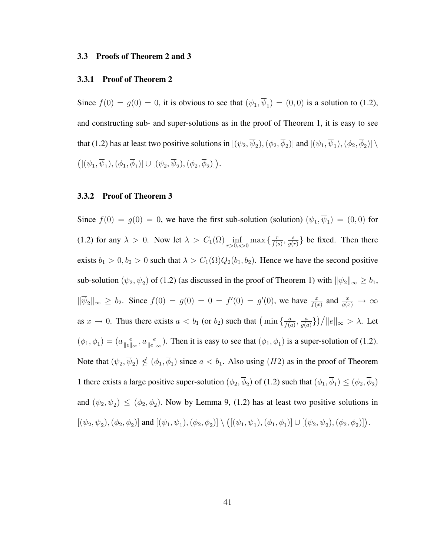#### 3.3 Proofs of Theorem 2 and 3

#### 3.3.1 Proof of Theorem 2

Since  $f(0) = g(0) = 0$ , it is obvious to see that  $(\psi_1, \psi_1) = (0, 0)$  is a solution to (1.2), and constructing sub- and super-solutions as in the proof of Theorem 1, it is easy to see that (1.2) has at least two positive solutions in  $[(\psi_2, \psi_2), (\phi_2, \phi_2)]$  and  $[(\psi_1, \psi_1), (\phi_2, \phi_2)] \setminus$ ¡  $[(\psi_1,\overline{\psi}_1),(\phi_1,\overline{\phi}_1)] \cup [(\psi_2,\overline{\psi}_2),(\phi_2,\overline{\phi}_2)]$ .

## 3.3.2 Proof of Theorem 3

Since  $f(0) = g(0) = 0$ , we have the first sub-solution (solution)  $(\psi_1, \overline{\psi}_1) = (0, 0)$  for (1.2) for any  $\lambda > 0$ . Now let  $\lambda > C_1(\Omega) \inf_{r>0, s>0} \max \left\{ \frac{r}{f(s)} \right\}$  $\frac{r}{f(s)}, \frac{s}{g(s)}$  $\frac{s}{g(r)}$ } be fixed. Then there exists  $b_1 > 0$ ,  $b_2 > 0$  such that  $\lambda > C_1(\Omega)Q_2(b_1, b_2)$ . Hence we have the second positive sub-solution  $(\psi_2, \overline{\psi}_2)$  of (1.2) (as discussed in the proof of Theorem 1) with  $\|\psi_2\|_{\infty} \ge b_1$ ,  $\|\overline{\psi}_2\|_{\infty} \geq b_2$ . Since  $f(0) = g(0) = 0 = f'(0) = g'(0)$ , we have  $\frac{x}{f(x)}$  and  $\frac{x}{g(x)} \to \infty$ as  $x \to 0$ . Thus there exists  $a < b_1$  (or  $b_2$ ) such that  $\left(\min\left\{\frac{a}{f(a)}\right\}\right)$  $\frac{a}{f(a)}, \frac{a}{g(a)}$  $\frac{a}{g(a)}\}$ ) /  $||e||_{\infty} > \lambda$ . Let  $(\phi_1, \overline{\phi}_1) = (a_{\overline{\Vert e \Vert}}^{\overline{e}})$  $\frac{e}{\|e\|_{\infty}}, a \frac{e}{\|e\|_{\infty}}$ . Then it is easy to see that  $(\phi_1, \overline{\phi}_1)$  is a super-solution of (1.2). Note that  $(\psi_2, \overline{\psi}_2) \nleq (\phi_1, \overline{\phi}_1)$  since  $a < b_1$ . Also using  $(H2)$  as in the proof of Theorem 1 there exists a large positive super-solution  $(\phi_2, \overline{\phi}_2)$  of (1.2) such that  $(\phi_1, \overline{\phi}_1) \le (\phi_2, \overline{\phi}_2)$ and  $(\psi_2, \overline{\psi}_2) \le (\phi_2, \overline{\phi}_2)$ . Now by Lemma 9, (1.2) has at least two positive solutions in  $[(\psi_2,\overline{\psi}_2),(\phi_2,\overline{\phi}_2)]$  and  $[(\psi_1,\overline{\psi}_1),(\phi_2,\overline{\phi}_2)] \setminus$ ¡  $[(\psi_1,\overline{\psi}_1),(\phi_1,\overline{\phi}_1)] \cup [(\psi_2,\overline{\psi}_2),(\phi_2,\overline{\phi}_2)]$ .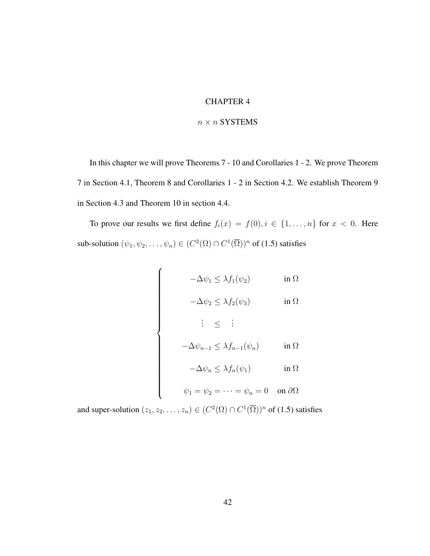# CHAPTER 4

#### $n \times n$  SYSTEMS

In this chapter we will prove Theorems 7 - 10 and Corollaries 1 - 2. We prove Theorem 7 in Section 4.1, Theorem 8 and Corollaries 1 - 2 in Section 4.2. We establish Theorem 9 in Section 4.3 and Theorem 10 in section 4.4.

To prove our results we first define  $f_i(x) = f(0), i \in \{1, ..., n\}$  for  $x < 0$ . Here sub-solution  $(\psi_1, \psi_2, \dots, \psi_n) \in (C^2(\Omega) \cap C^1(\overline{\Omega}))^n$  of (1.5) satisfies

$$
\begin{cases}\n-\Delta \psi_1 \leq \lambda f_1(\psi_2) & \text{in } \Omega \\
-\Delta \psi_2 \leq \lambda f_2(\psi_3) & \text{in } \Omega\n\end{cases}
$$
\n
$$
\vdots \leq \vdots
$$
\n
$$
-\Delta \psi_{n-1} \leq \lambda f_{n-1}(\psi_n) \quad \text{in } \Omega
$$
\n
$$
-\Delta \psi_n \leq \lambda f_n(\psi_1) \quad \text{in } \Omega
$$
\n
$$
\psi_1 = \psi_2 = \dots = \psi_n = 0 \quad \text{on } \partial \Omega
$$

and super-solution  $(z_1, z_2, \ldots, z_n) \in (C^2(\Omega) \cap C^1(\overline{\Omega}))^n$  of (1.5) satisfies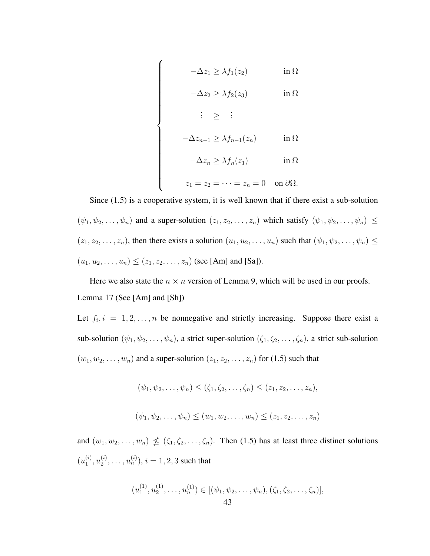$$
-\Delta z_1 \geq \lambda f_1(z_2) \qquad \text{in } \Omega
$$

 $\overline{a}$ 

 $\begin{bmatrix} \phantom{-} \end{bmatrix}$ 

$$
-\Delta z_2 \geq \lambda f_2(z_3) \qquad \text{in } \Omega
$$

$$
\vdots \geq \vdots
$$
  
\n
$$
-\Delta z_{n-1} \geq \lambda f_{n-1}(z_n) \qquad \text{in } \Omega
$$
  
\n
$$
-\Delta z_n \geq \lambda f_n(z_1) \qquad \text{in } \Omega
$$
  
\n
$$
z_1 = z_2 = \dots = z_n = 0 \quad \text{on } \partial \Omega.
$$

Since (1.5) is a cooperative system, it is well known that if there exist a sub-solution  $(\psi_1, \psi_2, \dots, \psi_n)$  and a super-solution  $(z_1, z_2, \dots, z_n)$  which satisfy  $(\psi_1, \psi_2, \dots, \psi_n) \leq$  $(z_1, z_2, \ldots, z_n)$ , then there exists a solution  $(u_1, u_2, \ldots, u_n)$  such that  $(\psi_1, \psi_2, \ldots, \psi_n) \leq$  $(u_1, u_2, \ldots, u_n) \le (z_1, z_2, \ldots, z_n)$  (see [Am] and [Sa]).

Here we also state the  $n \times n$  version of Lemma 9, which will be used in our proofs. Lemma 17 (See [Am] and [Sh])

Let  $f_i$ ,  $i = 1, 2, ..., n$  be nonnegative and strictly increasing. Suppose there exist a sub-solution  $(\psi_1, \psi_2, \dots, \psi_n)$ , a strict super-solution  $(\zeta_1, \zeta_2, \dots, \zeta_n)$ , a strict sub-solution  $(w_1, w_2, \ldots, w_n)$  and a super-solution  $(z_1, z_2, \ldots, z_n)$  for (1.5) such that

$$
(\psi_1, \psi_2, \dots, \psi_n) \leq (\zeta_1, \zeta_2, \dots, \zeta_n) \leq (z_1, z_2, \dots, z_n),
$$

 $(\psi_1, \psi_2, \ldots, \psi_n) \leq (w_1, w_2, \ldots, w_n) \leq (z_1, z_2, \ldots, z_n)$ 

and  $(w_1, w_2, \ldots, w_n) \nleq (\zeta_1, \zeta_2, \ldots, \zeta_n)$ . Then (1.5) has at least three distinct solutions  $(u_1^{(i)}$  $\binom{i}{1},u_2^{(i)}$  $u_2^{(i)}, \ldots, u_n^{(i)}$ ),  $i = 1, 2, 3$  such that

$$
(u_1^{(1)}, u_2^{(1)}, \dots, u_n^{(1)}) \in [(\psi_1, \psi_2, \dots, \psi_n), (\zeta_1, \zeta_2, \dots, \zeta_n)],
$$
  
43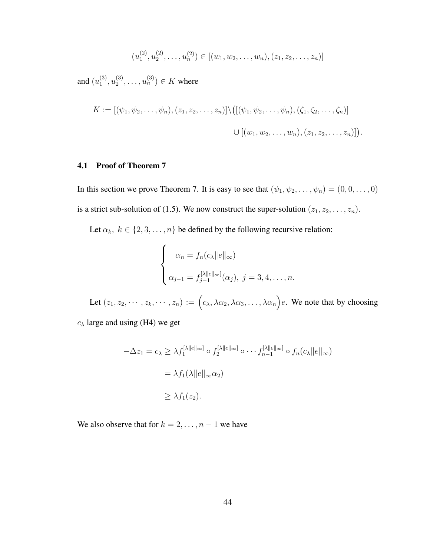$$
(u_1^{(2)}, u_2^{(2)}, \dots, u_n^{(2)}) \in [(w_1, w_2, \dots, w_n), (z_1, z_2, \dots, z_n)]
$$

and  $(u_1^{(3)}$  $\binom{(3)}{1},u_2^{(3)}$  $u_2^{(3)}, \ldots, u_n^{(3)}$ )  $\in K$  where

$$
K := [(\psi_1, \psi_2, \dots, \psi_n), (z_1, z_2, \dots, z_n)] \setminus ([(\psi_1, \psi_2, \dots, \psi_n), (\zeta_1, \zeta_2, \dots, \zeta_n)]
$$
  

$$
\cup [(w_1, w_2, \dots, w_n), (z_1, z_2, \dots, z_n)]).
$$

### 4.1 Proof of Theorem 7

In this section we prove Theorem 7. It is easy to see that  $(\psi_1, \psi_2, \dots, \psi_n) = (0, 0, \dots, 0)$ is a strict sub-solution of (1.5). We now construct the super-solution  $(z_1, z_2, \ldots, z_n)$ .

Let  $\alpha_k, k \in \{2, 3, ..., n\}$  be defined by the following recursive relation:

$$
\begin{cases}\n\alpha_n = f_n(c_\lambda ||e||_\infty) \\
\alpha_{j-1} = f_{j-1}^{[\lambda ||e||_\infty]}(\alpha_j), \ j = 3, 4, \dots, n.\n\end{cases}
$$

Let  $(z_1, z_2, \dots, z_k, \dots, z_n) := \int c_{\lambda}, \lambda \alpha_2, \lambda \alpha_3, \dots, \lambda \alpha_n$ e. We note that by choosing

 $c_{\lambda}$  large and using (H4) we get

$$
-\Delta z_1 = c_\lambda \ge \lambda f_1^{[\lambda ||e||_\infty]} \circ f_2^{[\lambda ||e||_\infty]} \circ \cdots f_{n-1}^{[\lambda ||e||_\infty]} \circ f_n(c_\lambda ||e||_\infty)
$$
  
=  $\lambda f_1(\lambda ||e||_\infty \alpha_2)$   

$$
\ge \lambda f_1(z_2).
$$

We also observe that for  $k = 2, \ldots, n - 1$  we have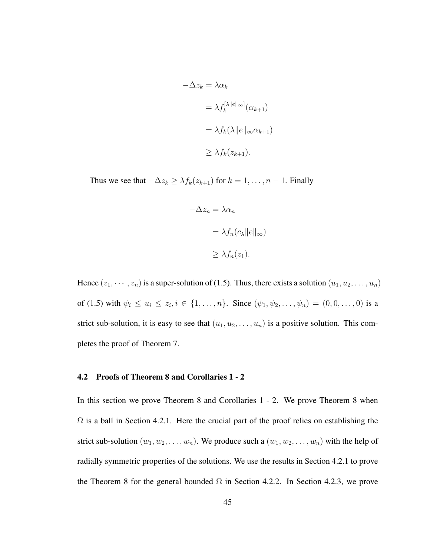$$
-\Delta z_k = \lambda \alpha_k
$$
  
=  $\lambda f_k^{[\lambda ||e||_{\infty}]}(\alpha_{k+1})$   
=  $\lambda f_k(\lambda ||e||_{\infty} \alpha_{k+1})$   
 $\geq \lambda f_k(z_{k+1}).$ 

Thus we see that  $-\Delta z_k \geq \lambda f_k(z_{k+1})$  for  $k = 1, ..., n-1$ . Finally

$$
-\Delta z_n = \lambda \alpha_n
$$
  
=  $\lambda f_n(c_\lambda ||e||_\infty)$   

$$
\geq \lambda f_n(z_1).
$$

Hence  $(z_1, \dots, z_n)$  is a super-solution of (1.5). Thus, there exists a solution  $(u_1, u_2, \dots, u_n)$ of (1.5) with  $\psi_i \leq u_i \leq z_i, i \in \{1, ..., n\}$ . Since  $(\psi_1, \psi_2, ..., \psi_n) = (0, 0, ..., 0)$  is a strict sub-solution, it is easy to see that  $(u_1, u_2, \ldots, u_n)$  is a positive solution. This completes the proof of Theorem 7.

#### 4.2 Proofs of Theorem 8 and Corollaries 1 - 2

In this section we prove Theorem 8 and Corollaries 1 - 2. We prove Theorem 8 when  $\Omega$  is a ball in Section 4.2.1. Here the crucial part of the proof relies on establishing the strict sub-solution  $(w_1, w_2, \ldots, w_n)$ . We produce such a  $(w_1, w_2, \ldots, w_n)$  with the help of radially symmetric properties of the solutions. We use the results in Section 4.2.1 to prove the Theorem 8 for the general bounded  $\Omega$  in Section 4.2.2. In Section 4.2.3, we prove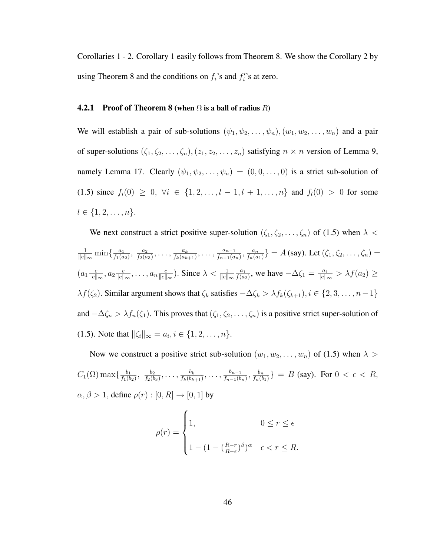Corollaries 1 - 2. Corollary 1 easily follows from Theorem 8. We show the Corollary 2 by using Theorem 8 and the conditions on  $f_i$ 's and  $f_i'$ 's at zero.

## **4.2.1** Proof of Theorem 8 (when  $\Omega$  is a ball of radius R)

We will establish a pair of sub-solutions  $(\psi_1, \psi_2, \dots, \psi_n), (w_1, w_2, \dots, w_n)$  and a pair of super-solutions  $(\zeta_1, \zeta_2, \ldots, \zeta_n), (z_1, z_2, \ldots, z_n)$  satisfying  $n \times n$  version of Lemma 9, namely Lemma 17. Clearly  $(\psi_1, \psi_2, \dots, \psi_n) = (0, 0, \dots, 0)$  is a strict sub-solution of (1.5) since  $f_i(0) \geq 0$ ,  $\forall i \in \{1, 2, ..., l-1, l+1, ..., n\}$  and  $f_i(0) > 0$  for some  $l \in \{1, 2, \ldots, n\}.$ 

We next construct a strict positive super-solution  $(\zeta_1, \zeta_2, \ldots, \zeta_n)$  of (1.5) when  $\lambda$  < 1  $\frac{1}{\|e\|_{\infty}} \min\left\{\frac{a_1}{f_1(a)}\right\}$  $\frac{a_1}{f_1(a_2)}, \frac{a_2}{f_2(a)}$  $\frac{a_2}{f_2(a_3)}, \ldots, \frac{a_k}{f_k(a_k)}$  $\frac{a_k}{f_k(a_{k+1})}, \ldots, \frac{a_{n-1}}{f_{n-1}(a)}$  $\frac{a_{n-1}}{f_{n-1}(a_n)}, \frac{a_n}{f_n(a)}$  $\{\frac{a_n}{f_n(a_1)}\} = A$  (say). Let  $(\zeta_1, \zeta_2, \ldots, \zeta_n) =$  $(a_1 \frac{e}{\|e\|})$  $\frac{e}{\|e\|_{\infty}}, a_2 \frac{e}{\|e\|}$  $\frac{e}{\|e\|_{\infty}}, \ldots, a_n \frac{e}{\|e\|}$  $\frac{e}{\|e\|_{\infty}}$ ). Since  $\lambda < \frac{1}{\|e\|_{\infty}}$  $a_1$  $\frac{a_1}{f(a_2)}$ , we have  $-\Delta\zeta_1 = \frac{a_1}{\|e\|_2}$  $\frac{a_1}{\|e\|_{\infty}} > \lambda f(a_2) \geq$  $\lambda f(\zeta_2)$ . Similar argument shows that  $\zeta_k$  satisfies  $-\Delta \zeta_k > \lambda f_k(\zeta_{k+1}), i \in \{2, 3, ..., n-1\}$ and  $-\Delta\zeta_n > \lambda f_n(\zeta_1)$ . This proves that  $(\zeta_1, \zeta_2, \ldots, \zeta_n)$  is a positive strict super-solution of (1.5). Note that  $\|\zeta_i\|_{\infty} = a_i, i \in \{1, 2, ..., n\}.$ 

Now we construct a positive strict sub-solution  $(w_1, w_2, \ldots, w_n)$  of (1.5) when  $\lambda >$  $C_1(\Omega)$  max $\{\frac{b_1}{f_1(h)}\}$  $\frac{b_1}{f_1(b_2)}, \frac{b_2}{f_2(b)}$  $\frac{b_2}{f_2(b_3)},\ldots,\frac{b_k}{f_k(b_k)}$  $\frac{b_k}{f_k(b_{k+1})}, \ldots, \frac{b_{n-1}}{f_{n-1}(b)}$  $\frac{b_{n-1}}{f_{n-1}(b_n)}, \frac{b_n}{f_n(b)}$  $\{\frac{b_n}{f_n(b_1)}\} = B$  (say). For  $0 < \epsilon < R$ ,  $\alpha, \beta > 1$ , define  $\rho(r) : [0, R] \rightarrow [0, 1]$  by

$$
\rho(r) = \begin{cases} 1, & 0 \le r \le \epsilon \\ 1 - (1 - (\frac{R-r}{R-\epsilon})^{\beta})^{\alpha} & \epsilon < r \le R. \end{cases}
$$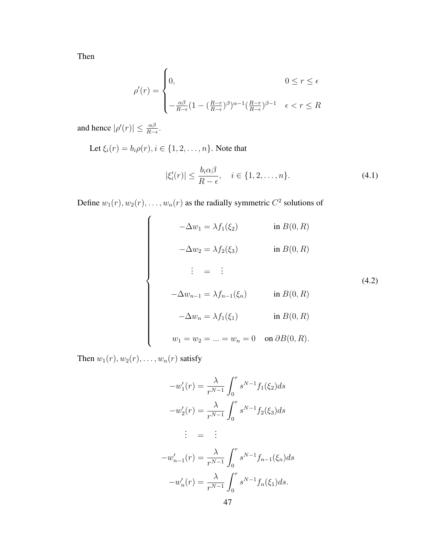Then

$$
\rho'(r) = \begin{cases} 0, & 0 \le r \le \epsilon \\ -\frac{\alpha\beta}{R-\epsilon} (1 - (\frac{R-r}{R-\epsilon})^{\beta})^{\alpha-1} (\frac{R-r}{R-\epsilon})^{\beta-1} & \epsilon < r \le R \end{cases}
$$

and hence  $|\rho'(r)| \leq \frac{\alpha\beta}{R-\epsilon}$ .

Let  $\xi_i(r) = b_i \rho(r), i \in \{1, 2, ..., n\}$ . Note that

$$
|\xi_i'(r)| \le \frac{b_i \alpha \beta}{R - \epsilon}, \quad i \in \{1, 2, \dots, n\}.
$$
\n(4.1)

Define  $w_1(r)$ ,  $w_2(r)$ , ...,  $w_n(r)$  as the radially symmetric  $C^2$  solutions of

$$
-\Delta w_1 = \lambda f_1(\xi_2) \qquad \text{in } B(0, R)
$$

$$
-\Delta w_2 = \lambda f_2(\xi_3) \qquad \text{in } B(0, R)
$$

$$
\vdots = \vdots
$$

$$
-\Delta w_{n-1} = \lambda f_{n-1}(\xi_n) \qquad \text{in } B(0, R)
$$

$$
-\Delta w_n = \lambda f_1(\xi_1) \qquad \text{in } B(0, R)
$$

$$
w_1 = w_2 = \dots = w_n = 0 \quad \text{on } \partial B(0, R).
$$

$$
(4.2)
$$

Then  $w_1(r)$ ,  $w_2(r)$ , ...,  $w_n(r)$  satisfy

$$
-w'_1(r) = \frac{\lambda}{r^{N-1}} \int_0^r s^{N-1} f_1(\xi_2) ds
$$
  

$$
-w'_2(r) = \frac{\lambda}{r^{N-1}} \int_0^r s^{N-1} f_2(\xi_3) ds
$$
  

$$
\vdots = \vdots
$$
  

$$
-w'_{n-1}(r) = \frac{\lambda}{r^{N-1}} \int_0^r s^{N-1} f_{n-1}(\xi_n) ds
$$
  

$$
-w'_n(r) = \frac{\lambda}{r^{N-1}} \int_0^r s^{N-1} f_n(\xi_1) ds.
$$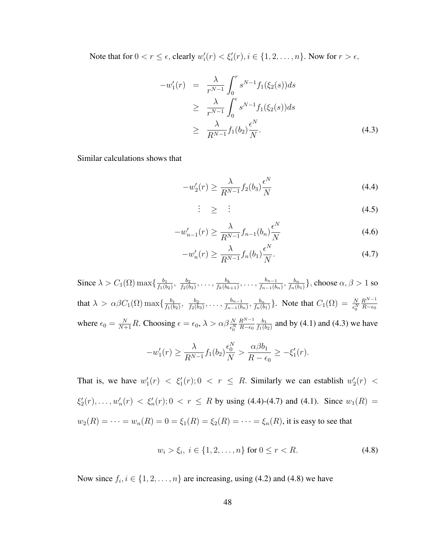Note that for  $0 < r \leq \epsilon$ , clearly  $w'_i(r) < \xi'_i(r), i \in \{1, 2, ..., n\}$ . Now for  $r > \epsilon$ ,

$$
-w'_{1}(r) = \frac{\lambda}{r^{N-1}} \int_{0}^{r} s^{N-1} f_{1}(\xi_{2}(s)) ds
$$
  
\n
$$
\geq \frac{\lambda}{r^{N-1}} \int_{0}^{\epsilon} s^{N-1} f_{1}(\xi_{2}(s)) ds
$$
  
\n
$$
\geq \frac{\lambda}{R^{N-1}} f_{1}(b_{2}) \frac{\epsilon^{N}}{N}.
$$
\n(4.3)

Similar calculations shows that

$$
-w_2'(r) \ge \frac{\lambda}{R^{N-1}} f_2(b_3) \frac{\epsilon^N}{N}
$$
\n(4.4)

$$
\vdots \quad \geq \quad \vdots \tag{4.5}
$$

$$
-w'_{n-1}(r) \ge \frac{\lambda}{R^{N-1}} f_{n-1}(b_n) \frac{\epsilon^N}{N}
$$
\n(4.6)

$$
-w'_n(r) \ge \frac{\lambda}{R^{N-1}} f_n(b_1) \frac{\epsilon^N}{N}.
$$
\n(4.7)

Since  $\lambda > C_1(\Omega) \max\{\frac{b_1}{f_1(h)}\}$  $\frac{b_1}{f_1(b_2)}, \frac{b_2}{f_2(b)}$  $\frac{b_2}{f_2(b_3)},\ldots,\frac{b_k}{f_k(b_k)}$  $\frac{b_k}{f_k(b_{k+1})}, \ldots, \frac{b_{n-1}}{f_{n-1}(b_{n})}$  $\frac{b_{n-1}}{f_{n-1}(b_n)}, \frac{b_n}{f_n(b)}$  $\frac{b_n}{f_n(b_1)}\},$  choose  $\alpha,\beta>1$  so that  $\lambda > \alpha \beta C_1(\Omega) \max\{\frac{b_1}{f_1(h)}\}$  $\frac{b_1}{f_1(b_2)}, \frac{b_2}{f_2(b)}$  $\frac{b_2}{f_2(b_3)},\ldots,\frac{b_{n-1}}{f_{n-1}(b)}$  $\frac{b_{n-1}}{f_{n-1}(b_n)}, \frac{b_n}{f_n(b)}$  $\frac{b_n}{f_n(b_1)}\}$ . Note that  $C_1(\Omega) = \frac{N}{\epsilon_0^N}$  $R^{N-1}$  $R-\epsilon_0$ where  $\epsilon_0 = \frac{N}{N+1}R$ . Choosing  $\epsilon = \epsilon_0$ ,  $\lambda > \alpha \beta \frac{N}{\epsilon_0^N}$  $R^{N-1}$  $R-\epsilon_0$  $b_1$  $\frac{b_1}{f_1(b_2)}$  and by (4.1) and (4.3) we have

$$
-w'_1(r) \ge \frac{\lambda}{R^{N-1}} f_1(b_2) \frac{\epsilon_0^N}{N} > \frac{\alpha \beta b_1}{R - \epsilon_0} \ge -\xi'_1(r).
$$

That is, we have  $w'_1(r) < \xi'_1(r)$ ;  $0 < r \leq R$ . Similarly we can establish  $w'_2(r) <$  $\xi_2'(r), \ldots, w_n'(r) < \xi_n'(r)$ ;  $0 < r \le R$  by using (4.4)-(4.7) and (4.1). Since  $w_1(R) =$  $w_2(R) = \cdots = w_n(R) = 0 = \xi_1(R) = \xi_2(R) = \cdots = \xi_n(R)$ , it is easy to see that

$$
w_i > \xi_i, \ i \in \{1, 2, \dots, n\} \text{ for } 0 \le r < R. \tag{4.8}
$$

Now since  $f_i, i \in \{1, 2, ..., n\}$  are increasing, using (4.2) and (4.8) we have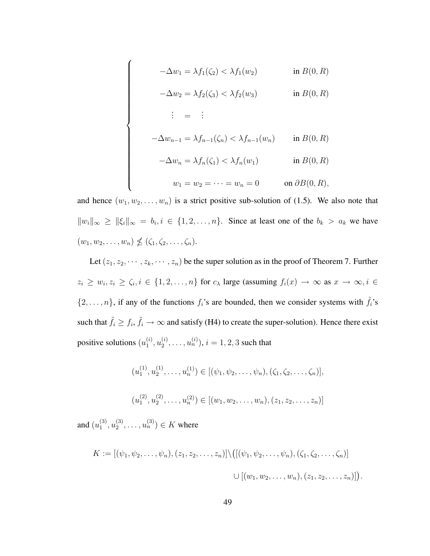$$
-\Delta w_1 = \lambda f_1(\zeta_2) < \lambda f_1(w_2) \quad \text{in } B(0, R)
$$
\n
$$
-\Delta w_2 = \lambda f_2(\zeta_3) < \lambda f_2(w_3) \quad \text{in } B(0, R)
$$
\n
$$
\vdots = \vdots
$$
\n
$$
-\Delta w_{n-1} = \lambda f_{n-1}(\zeta_n) < \lambda f_{n-1}(w_n) \quad \text{in } B(0, R)
$$
\n
$$
-\Delta w_n = \lambda f_n(\zeta_1) < \lambda f_n(w_1) \quad \text{in } B(0, R)
$$
\n
$$
w_1 = w_2 = \dots = w_n = 0 \quad \text{on } \partial B(0, R),
$$

and hence  $(w_1, w_2, \ldots, w_n)$  is a strict positive sub-solution of (1.5). We also note that  $||w_i||_{\infty} \ge ||\xi_i||_{\infty} = b_i, i \in \{1, 2, ..., n\}.$  Since at least one of the  $b_k > a_k$  we have  $(w_1, w_2, \ldots, w_n) \nleq (\zeta_1, \zeta_2, \ldots, \zeta_n).$ 

Let  $(z_1, z_2, \dots, z_k, \dots, z_n)$  be the super solution as in the proof of Theorem 7. Further  $z_i \geq w_i, z_i \geq \zeta_i, i \in \{1, 2, \ldots, n\}$  for  $c_{\lambda}$  large (assuming  $f_i(x) \to \infty$  as  $x \to \infty, i \in$  $\{2, \ldots, n\}$ , if any of the functions  $f_i$ 's are bounded, then we consider systems with  $\tilde{f}_i$ 's such that  $\tilde{f}_i \ge f_i$ ,  $\tilde{f}_i \to \infty$  and satisfy (H4) to create the super-solution). Hence there exist positive solutions  $(u_1^{(i)})$  $\stackrel{(i)}{1},u_2^{(i)}$  $\mathbf{u}_2^{(i)}, \ldots, \mathbf{u}_n^{(i)}$ ),  $i = 1, 2, 3$  such that

$$
(u_1^{(1)}, u_2^{(1)}, \dots, u_n^{(1)}) \in [(\psi_1, \psi_2, \dots, \psi_n), (\zeta_1, \zeta_2, \dots, \zeta_n)],
$$

$$
(u_1^{(2)}, u_2^{(2)}, \ldots, u_n^{(2)}) \in [(w_1, w_2, \ldots, w_n), (z_1, z_2, \ldots, z_n)]
$$

and  $(u_1^{(3)}$  $\binom{3}{1}, u_2^{(3)}$  $u_2^{(3)}, \ldots, u_n^{(3)}$ )  $\in K$  where

$$
K := [(\psi_1, \psi_2, \dots, \psi_n), (z_1, z_2, \dots, z_n)] \setminus ([(\psi_1, \psi_2, \dots, \psi_n), (\zeta_1, \zeta_2, \dots, \zeta_n)]
$$
  

$$
\cup [(w_1, w_2, \dots, w_n), (z_1, z_2, \dots, z_n)]).
$$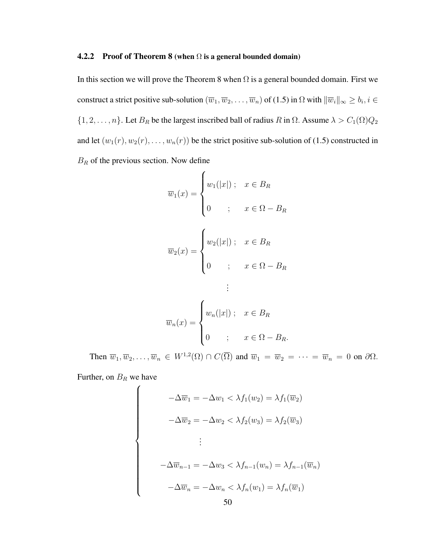#### **4.2.2** Proof of Theorem 8 (when  $\Omega$  is a general bounded domain)

In this section we will prove the Theorem 8 when  $\Omega$  is a general bounded domain. First we construct a strict positive sub-solution  $(\overline{w}_1,\overline{w}_2,\ldots,\overline{w}_n)$  of (1.5) in  $\Omega$  with  $\|\overline{w}_i\|_\infty\geq b_i, i\in$  $\{1, 2, \ldots, n\}$ . Let  $B_R$  be the largest inscribed ball of radius R in  $\Omega$ . Assume  $\lambda > C_1(\Omega)Q_2$ and let  $(w_1(r), w_2(r), \ldots, w_n(r))$  be the strict positive sub-solution of (1.5) constructed in  $B_R$  of the previous section. Now define

$$
\overline{w}_1(x) = \begin{cases} w_1(|x|) ; & x \in B_R \\ 0 & ; x \in \Omega - B_R \end{cases}
$$

$$
\overline{w}_2(x) = \begin{cases} w_2(|x|) ; & x \in B_R \\ 0 & ; x \in \Omega - B_R \\ \vdots \end{cases}
$$

$$
\overline{w}_n(x) = \begin{cases} w_n(|x|) ; & x \in B_R \\ 0 & ; x \in \Omega - B_R. \end{cases}
$$

Then  $\overline{w}_1, \overline{w}_2, \ldots, \overline{w}_n \in W^{1,2}(\Omega) \cap C(\overline{\Omega})$  and  $\overline{w}_1 = \overline{w}_2 = \cdots = \overline{w}_n = 0$  on  $\partial\Omega$ .

Further, on  $B_R$  we have

 $\begin{array}{c} \hline \end{array}$ 

$$
-\Delta \overline{w}_1 = -\Delta w_1 < \lambda f_1(w_2) = \lambda f_1(\overline{w}_2)
$$
\n
$$
-\Delta \overline{w}_2 = -\Delta w_2 < \lambda f_2(w_3) = \lambda f_2(\overline{w}_3)
$$
\n
$$
\vdots
$$
\n
$$
-\Delta \overline{w}_{n-1} = -\Delta w_3 < \lambda f_{n-1}(w_n) = \lambda f_{n-1}(\overline{w}_n)
$$
\n
$$
-\Delta \overline{w}_n = -\Delta w_n < \lambda f_n(w_1) = \lambda f_n(\overline{w}_1)
$$
\n
$$
50
$$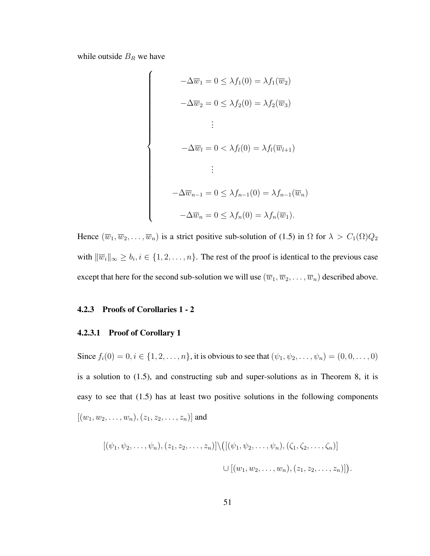while outside  $B_R$  we have

$$
-\Delta \overline{w}_1 = 0 \le \lambda f_1(0) = \lambda f_1(\overline{w}_2)
$$

$$
-\Delta \overline{w}_2 = 0 \le \lambda f_2(0) = \lambda f_2(\overline{w}_3)
$$

$$
\vdots
$$

$$
-\Delta \overline{w}_l = 0 < \lambda f_l(0) = \lambda f_l(\overline{w}_{l+1})
$$

$$
\vdots
$$

$$
-\Delta \overline{w}_{n-1} = 0 \le \lambda f_{n-1}(0) = \lambda f_{n-1}(\overline{w}_n)
$$

$$
-\Delta \overline{w}_n = 0 \le \lambda f_n(0) = \lambda f_n(\overline{w}_1).
$$

Hence  $(\overline{w}_1, \overline{w}_2, \ldots, \overline{w}_n)$  is a strict positive sub-solution of (1.5) in  $\Omega$  for  $\lambda > C_1(\Omega)Q_2$ with  $\|\overline{w}_i\|_{\infty} \ge b_i, i \in \{1, 2, ..., n\}$ . The rest of the proof is identical to the previous case except that here for the second sub-solution we will use  $(\overline{w}_1,\overline{w}_2,\ldots,\overline{w}_n)$  described above.

# 4.2.3 Proofs of Corollaries 1 - 2

## 4.2.3.1 Proof of Corollary 1

Since  $f_i(0) = 0, i \in \{1, 2, ..., n\}$ , it is obvious to see that  $(\psi_1, \psi_2, ..., \psi_n) = (0, 0, ..., 0)$ is a solution to (1.5), and constructing sub and super-solutions as in Theorem 8, it is easy to see that (1.5) has at least two positive solutions in the following components  $[(w_1, w_2, \ldots, w_n), (z_1, z_2, \ldots, z_n)]$  and

$$
[(\psi_1, \psi_2, \dots, \psi_n), (z_1, z_2, \dots, z_n)] \setminus ([(\psi_1, \psi_2, \dots, \psi_n), (\zeta_1, \zeta_2, \dots, \zeta_n)]
$$
  

$$
\cup [(w_1, w_2, \dots, w_n), (z_1, z_2, \dots, z_n)])
$$

.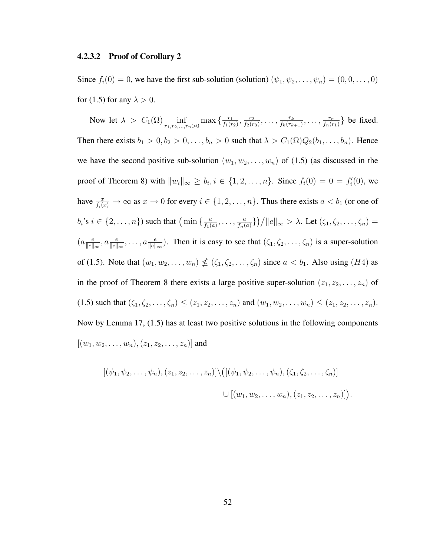#### 4.2.3.2 Proof of Corollary 2

Since  $f_i(0) = 0$ , we have the first sub-solution (solution)  $(\psi_1, \psi_2, \dots, \psi_n) = (0, 0, \dots, 0)$ for (1.5) for any  $\lambda > 0$ .

Now let  $\lambda > C_1(\Omega) \inf_{r_1, r_2, ..., r_n > 0} \max\left\{\frac{r_1}{f_1(r_1)}\right\}$  $\frac{r_1}{f_1(r_2)}, \frac{r_2}{f_2(r)}$  $\frac{r_2}{f_2(r_3)}, \ldots, \frac{r_k}{f_k(r_k)}$  $\frac{r_k}{f_k(r_{k+1})}, \ldots, \frac{r_n}{f_n(r)}$  $\frac{r_n}{f_n(r_1)}$ } be fixed. Then there exists  $b_1 > 0, b_2 > 0, \ldots, b_n > 0$  such that  $\lambda > C_1(\Omega)Q_2(b_1, \ldots, b_n)$ . Hence we have the second positive sub-solution  $(w_1, w_2, \ldots, w_n)$  of (1.5) (as discussed in the proof of Theorem 8) with  $||w_i||_{\infty} \ge b_i, i \in \{1, 2, ..., n\}$ . Since  $f_i(0) = 0 = f'_i(0)$ , we have  $\frac{x}{f_i(x)} \to \infty$  as  $x \to 0$  for every  $i \in \{1, 2, \ldots, n\}$ . Thus there exists  $a < b_1$  (or one of  $b_i$ 's  $i \in \{2, \ldots, n\}$ ) such that  $\left(\min\left\{\frac{a}{f_i}\right\}\right)$  $\frac{a}{f_1(a)}, \ldots, \frac{a}{f_n(a)}$  $\frac{a}{f_n(a)}\}$ )/||e||<sub>∞</sub> >  $\lambda$ . Let  $(\zeta_1, \zeta_2, ..., \zeta_n)$  =  $(a\frac{e}{\|a\|}$  $\frac{e}{\|e\|_{\infty}}, a \frac{e}{\|e\|_{\infty}}, \ldots, a \frac{e}{\|e\|_{\infty}}$ . Then it is easy to see that  $(\zeta_1, \zeta_2, \ldots, \zeta_n)$  is a super-solution of (1.5). Note that  $(w_1, w_2, \ldots, w_n) \nleq (\zeta_1, \zeta_2, \ldots, \zeta_n)$  since  $a < b_1$ . Also using (H4) as in the proof of Theorem 8 there exists a large positive super-solution  $(z_1, z_2, \ldots, z_n)$  of (1.5) such that  $(\zeta_1, \zeta_2, ..., \zeta_n) \le (z_1, z_2, ..., z_n)$  and  $(w_1, w_2, ..., w_n) \le (z_1, z_2, ..., z_n)$ . Now by Lemma 17, (1.5) has at least two positive solutions in the following components  $[(w_1, w_2, \ldots, w_n), (z_1, z_2, \ldots, z_n)]$  and

$$
[(\psi_1, \psi_2, \dots, \psi_n), (z_1, z_2, \dots, z_n)] \setminus ([(\psi_1, \psi_2, \dots, \psi_n), (\zeta_1, \zeta_2, \dots, \zeta_n)]
$$
  

$$
\cup [(w_1, w_2, \dots, w_n), (z_1, z_2, \dots, z_n)])
$$

.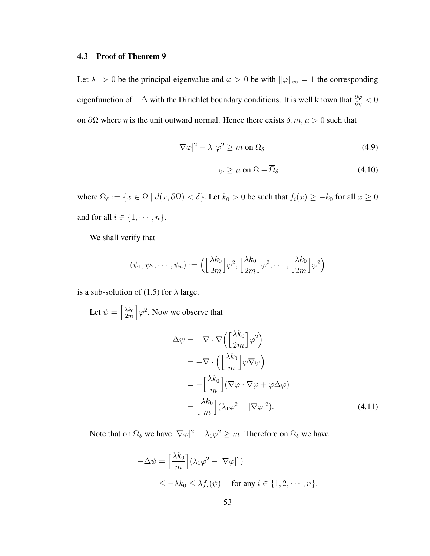#### 4.3 Proof of Theorem 9

Let  $\lambda_1 > 0$  be the principal eigenvalue and  $\varphi > 0$  be with  $\|\varphi\|_{\infty} = 1$  the corresponding eigenfunction of  $-\Delta$  with the Dirichlet boundary conditions. It is well known that  $\frac{\partial \varphi}{\partial \eta} < 0$ on  $\partial\Omega$  where  $\eta$  is the unit outward normal. Hence there exists  $\delta, m, \mu > 0$  such that

$$
|\nabla \varphi|^2 - \lambda_1 \varphi^2 \ge m \text{ on } \overline{\Omega}_\delta \tag{4.9}
$$

$$
\varphi \ge \mu \text{ on } \Omega - \overline{\Omega}_{\delta} \tag{4.10}
$$

where  $\Omega_{\delta} := \{x \in \Omega \mid d(x, \partial \Omega) < \delta\}$ . Let  $k_0 > 0$  be such that  $f_i(x) \geq -k_0$  for all  $x \geq 0$ and for all  $i\in\{1,\cdots,n\}.$ 

We shall verify that

$$
(\psi_1, \psi_2, \cdots, \psi_n) := \left( \left[ \frac{\lambda k_0}{2m} \right] \varphi^2, \left[ \frac{\lambda k_0}{2m} \right] \varphi^2, \cdots, \left[ \frac{\lambda k_0}{2m} \right] \varphi^2 \right)
$$

is a sub-solution of (1.5) for  $\lambda$  large.

Let  $\psi =$ h  $\lambda k_0$ 2m i  $\varphi^2$ . Now we observe that

$$
-\Delta \psi = -\nabla \cdot \nabla \left( \left[ \frac{\lambda k_0}{2m} \right] \varphi^2 \right)
$$
  
=  $-\nabla \cdot \left( \left[ \frac{\lambda k_0}{m} \right] \varphi \nabla \varphi \right)$   
=  $-\left[ \frac{\lambda k_0}{m} \right] (\nabla \varphi \cdot \nabla \varphi + \varphi \Delta \varphi)$   
=  $\left[ \frac{\lambda k_0}{m} \right] (\lambda_1 \varphi^2 - |\nabla \varphi|^2).$  (4.11)

Note that on  $\overline{\Omega}_\delta$  we have  $|\nabla \varphi|^2 - \lambda_1 \varphi^2 \geq m.$  Therefore on  $\overline{\Omega}_\delta$  we have

$$
-\Delta \psi = \left[\frac{\lambda k_0}{m}\right] (\lambda_1 \varphi^2 - |\nabla \varphi|^2)
$$
  
 
$$
\leq -\lambda k_0 \leq \lambda f_i(\psi) \quad \text{for any } i \in \{1, 2, \cdots, n\}.
$$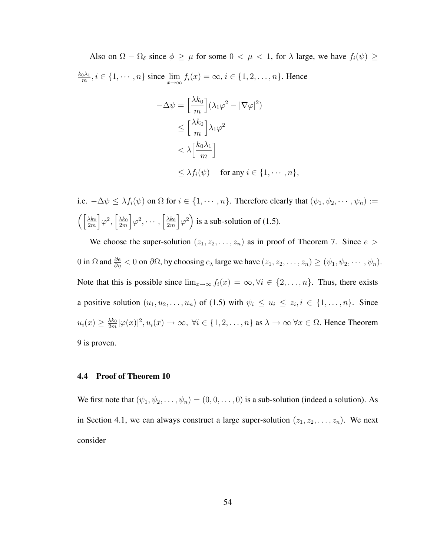Also on  $\Omega - \overline{\Omega}_{\delta}$  since  $\phi \ge \mu$  for some  $0 < \mu < 1$ , for  $\lambda$  large, we have  $f_i(\psi) \ge$  $k_0\lambda_1$  $\lim_{m \to \infty} i \in \{1, \cdots, n\}$  since  $\lim_{x \to \infty} f_i(x) = \infty$ ,  $i \in \{1, 2, \ldots, n\}$ . Hence

$$
-\Delta \psi = \left[\frac{\lambda k_0}{m}\right] (\lambda_1 \varphi^2 - |\nabla \varphi|^2)
$$
  
\n
$$
\leq \left[\frac{\lambda k_0}{m}\right] \lambda_1 \varphi^2
$$
  
\n
$$
< \lambda \left[\frac{k_0 \lambda_1}{m}\right]
$$
  
\n
$$
\leq \lambda f_i(\psi) \quad \text{for any } i \in \{1, \dots, n\},
$$

i.e.  $-\Delta \psi \leq \lambda f_i(\psi)$  on  $\Omega$  for  $i \in \{1, \dots, n\}$ . Therefore clearly that  $(\psi_1, \psi_2, \dots, \psi_n) :=$  $\int$   $\frac{\lambda k_0}{k_0}$ 2m i  $\varphi^2,$ h  $\frac{\lambda k_0}{\lambda}$ 2m i  $\varphi^2, \cdots,$ h  $\lambda k_0$ 2m i  $\varphi^2$ ´ is a sub-solution of (1.5).

We choose the super-solution  $(z_1, z_2, \ldots, z_n)$  as in proof of Theorem 7. Since  $e >$ 0 in  $\Omega$  and  $\frac{\partial e}{\partial \eta} < 0$  on  $\partial \Omega$ , by choosing  $c_{\lambda}$  large we have  $(z_1, z_2, \dots, z_n) \ge (\psi_1, \psi_2, \dots, \psi_n)$ . Note that this is possible since  $\lim_{x\to\infty} f_i(x) = \infty, \forall i \in \{2, ..., n\}$ . Thus, there exists a positive solution  $(u_1, u_2, \ldots, u_n)$  of (1.5) with  $\psi_i \leq u_i \leq z_i, i \in \{1, \ldots, n\}$ . Since  $u_i(x) \geq \frac{\lambda k_0}{2m}$  $\frac{\lambda k_0}{2m}[\varphi(x)]^2, u_i(x) \to \infty, \ \forall i \in \{1, 2, \ldots, n\} \text{ as } \lambda \to \infty \ \forall x \in \Omega.$  Hence Theorem 9 is proven.

### 4.4 Proof of Theorem 10

We first note that  $(\psi_1, \psi_2, \dots, \psi_n) = (0, 0, \dots, 0)$  is a sub-solution (indeed a solution). As in Section 4.1, we can always construct a large super-solution  $(z_1, z_2, \ldots, z_n)$ . We next consider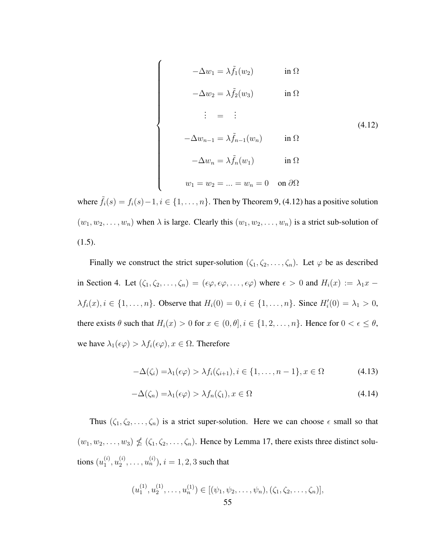$$
-\Delta w_1 = \lambda \tilde{f}_1(w_2) \qquad \text{in } \Omega
$$

 $\overline{a}$ 

 $\begin{picture}(20,20) \put(0,0){\vector(1,0){10}} \put(15,0){\vector(1,0){10}} \put(15,0){\vector(1,0){10}} \put(15,0){\vector(1,0){10}} \put(15,0){\vector(1,0){10}} \put(15,0){\vector(1,0){10}} \put(15,0){\vector(1,0){10}} \put(15,0){\vector(1,0){10}} \put(15,0){\vector(1,0){10}} \put(15,0){\vector(1,0){10}} \put(15,0){\vector(1,0){10}} \put(15,0){\vector(1$ 

$$
-\Delta w_2 = \lambda \tilde{f}_2(w_3) \qquad \text{in } \Omega
$$

$$
\vdots = \vdots
$$
  
\n
$$
-\Delta w_{n-1} = \lambda \tilde{f}_{n-1}(w_n) \qquad \text{in } \Omega
$$
  
\n
$$
-\Delta w_n = \lambda \tilde{f}_n(w_1) \qquad \text{in } \Omega
$$
  
\n
$$
w_1 = w_2 = \dots = w_n = 0 \quad \text{on } \partial\Omega
$$

where  $\tilde{f}_i(s) = f_i(s) - 1, i \in \{1, \dots, n\}$ . Then by Theorem 9, (4.12) has a positive solution  $(w_1, w_2, \ldots, w_n)$  when  $\lambda$  is large. Clearly this  $(w_1, w_2, \ldots, w_n)$  is a strict sub-solution of (1.5).

Finally we construct the strict super-solution  $(\zeta_1, \zeta_2, \ldots, \zeta_n)$ . Let  $\varphi$  be as described in Section 4. Let  $(\zeta_1, \zeta_2, \ldots, \zeta_n) = (\epsilon \varphi, \epsilon \varphi, \ldots, \epsilon \varphi)$  where  $\epsilon > 0$  and  $H_i(x) := \lambda_1 x \lambda f_i(x), i \in \{1, ..., n\}$ . Observe that  $H_i(0) = 0, i \in \{1, ..., n\}$ . Since  $H_i'(0) = \lambda_1 > 0$ , there exists  $\theta$  such that  $H_i(x) > 0$  for  $x \in (0, \theta], i \in \{1, 2, ..., n\}$ . Hence for  $0 < \epsilon \le \theta$ , we have  $\lambda_1(\epsilon \varphi) > \lambda f_i(\epsilon \varphi)$ ,  $x \in \Omega$ . Therefore

$$
-\Delta(\zeta_i) = \lambda_1(\epsilon \varphi) > \lambda f_i(\zeta_{i+1}), i \in \{1, \ldots, n-1\}, x \in \Omega
$$
\n(4.13)

$$
-\Delta(\zeta_n) = \lambda_1(\epsilon \varphi) > \lambda f_n(\zeta_1), x \in \Omega \tag{4.14}
$$

Thus  $(\zeta_1, \zeta_2, \ldots, \zeta_n)$  is a strict super-solution. Here we can choose  $\epsilon$  small so that  $(w_1, w_2, \ldots, w_3) \nleq (\zeta_1, \zeta_2, \ldots, \zeta_n)$ . Hence by Lemma 17, there exists three distinct solutions  $(u_1^{(i)}$  $\stackrel{(i)}{1},u_2^{(i)}$  $\mathbf{u}_2^{(i)}, \ldots, \mathbf{u}_n^{(i)}$ ),  $i = 1, 2, 3$  such that

$$
(u_1^{(1)}, u_2^{(1)}, \dots, u_n^{(1)}) \in [(\psi_1, \psi_2, \dots, \psi_n), (\zeta_1, \zeta_2, \dots, \zeta_n)],
$$
  
55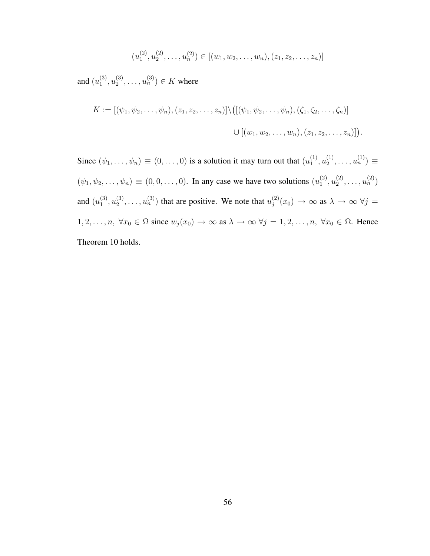$$
(u_1^{(2)}, u_2^{(2)}, \dots, u_n^{(2)}) \in [(w_1, w_2, \dots, w_n), (z_1, z_2, \dots, z_n)]
$$

and  $(u_1^{(3)}$  $\binom{(3)}{1},u_2^{(3)}$  $u_2^{(3)}, \ldots, u_n^{(3)}$ )  $\in K$  where

$$
K := [(\psi_1, \psi_2, \dots, \psi_n), (z_1, z_2, \dots, z_n)] \setminus ([(\psi_1, \psi_2, \dots, \psi_n), (\zeta_1, \zeta_2, \dots, \zeta_n)]
$$
  

$$
\cup [(w_1, w_2, \dots, w_n), (z_1, z_2, \dots, z_n)]).
$$

Since  $(\psi_1, \ldots, \psi_n) \equiv (0, \ldots, 0)$  is a solution it may turn out that  $(u_1^{(1)})$  $\binom{1}{1}, u_2^{(1)}$  $u_2^{(1)}, \ldots, u_n^{(1)} \equiv$  $(\psi_1, \psi_2, \dots, \psi_n) \equiv (0, 0, \dots, 0)$ . In any case we have two solutions  $(u_1^{(2)})$  $\binom{2}{1}, u_2^{(2)}$  $\binom{2}{2}, \ldots, \binom{2}{n}$ and  $(u_1^{(3)}$  $\binom{3}{1}, u_2^{(3)}$  $\mathbf{z}_2^{(3)}, \ldots, \mathbf{u}_n^{(3)}$  that are positive. We note that  $\mathbf{u}_j^{(2)}$  $j_j^{(2)}(x_0) \rightarrow \infty$  as  $\lambda \rightarrow \infty$   $\forall j =$  $1, 2, \ldots, n, \ \forall x_0 \in \Omega \text{ since } w_j(x_0) \to \infty \text{ as } \lambda \to \infty \ \forall j = 1, 2, \ldots, n, \ \forall x_0 \in \Omega. \text{ Hence}$ Theorem 10 holds.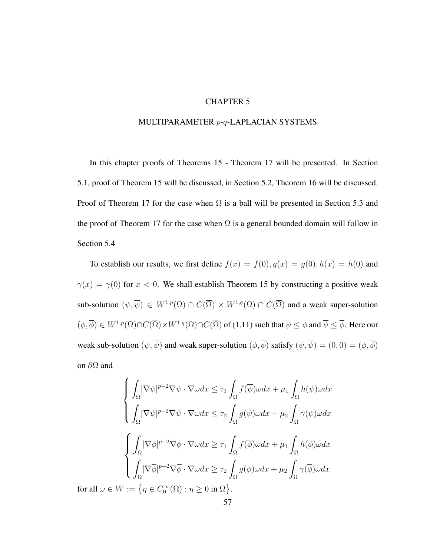# CHAPTER 5

## MULTIPARAMETER p-q-LAPLACIAN SYSTEMS

In this chapter proofs of Theorems 15 - Theorem 17 will be presented. In Section 5.1, proof of Theorem 15 will be discussed, in Section 5.2, Theorem 16 will be discussed. Proof of Theorem 17 for the case when  $\Omega$  is a ball will be presented in Section 5.3 and the proof of Theorem 17 for the case when  $\Omega$  is a general bounded domain will follow in Section 5.4

To establish our results, we first define  $f(x) = f(0), g(x) = g(0), h(x) = h(0)$  and  $\gamma(x) = \gamma(0)$  for  $x < 0$ . We shall establish Theorem 15 by constructing a positive weak sub-solution  $(\psi, \overline{\psi}) \in W^{1,p}(\Omega) \cap C(\overline{\Omega}) \times W^{1,q}(\Omega) \cap C(\overline{\Omega})$  and a weak super-solution  $(\phi, \overline{\phi}) \in W^{1,p}(\Omega) \cap C(\overline{\Omega}) \times W^{1,q}(\Omega) \cap C(\overline{\Omega})$  of  $(1.11)$  such that  $\psi \leq \phi$  and  $\overline{\psi} \leq \overline{\phi}$ . Here our weak sub-solution  $(\psi, \overline{\psi})$  and weak super-solution  $(\phi, \overline{\phi})$  satisfy  $(\psi, \overline{\psi}) = (0, 0) = (\phi, \overline{\phi})$ on  $\partial\Omega$  and

$$
\begin{cases}\n\int_{\Omega} |\nabla \psi|^{p-2} \nabla \psi \cdot \nabla \omega dx \leq \tau_{1} \int_{\Omega} f(\overline{\psi}) \omega dx + \mu_{1} \int_{\Omega} h(\psi) \omega dx \\
\int_{\Omega} |\nabla \overline{\psi}|^{p-2} \nabla \overline{\psi} \cdot \nabla \omega dx \leq \tau_{2} \int_{\Omega} g(\psi) \omega dx + \mu_{2} \int_{\Omega} \gamma(\overline{\psi}) \omega dx \\
\int_{\Omega} |\nabla \phi|^{p-2} \nabla \phi \cdot \nabla \omega dx \geq \tau_{1} \int_{\Omega} f(\overline{\phi}) \omega dx + \mu_{1} \int_{\Omega} h(\phi) \omega dx \\
\int_{\Omega} |\nabla \overline{\phi}|^{p-2} \nabla \overline{\phi} \cdot \nabla \omega dx \geq \tau_{2} \int_{\Omega} g(\phi) \omega dx + \mu_{2} \int_{\Omega} \gamma(\overline{\phi}) \omega dx \\
\omega \in W := \{ \eta \in C_{0}^{\infty}(\Omega) : \eta \geq 0 \text{ in } \Omega \}. \n\end{cases}
$$

for all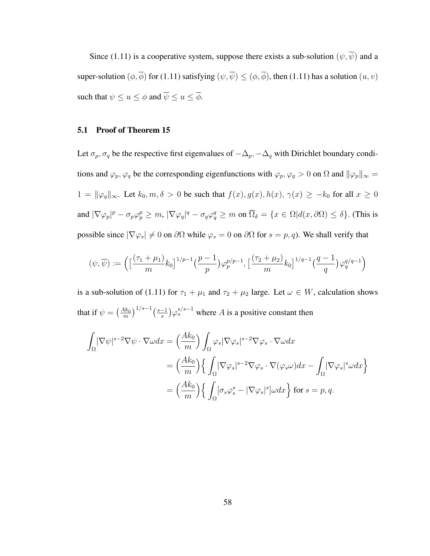Since (1.11) is a cooperative system, suppose there exists a sub-solution  $(\psi, \overline{\psi})$  and a super-solution  $(\phi, \overline{\phi})$  for (1.11) satisfying  $(\psi, \overline{\psi}) \le (\phi, \overline{\phi})$ , then (1.11) has a solution  $(u, v)$ such that  $\psi \leq u \leq \phi$  and  $\overline{\psi} \leq u \leq \overline{\phi}$ .

## 5.1 Proof of Theorem 15

Let  $\sigma_p$ ,  $\sigma_q$  be the respective first eigenvalues of  $-\Delta_p$ ,  $-\Delta_q$  with Dirichlet boundary conditions and  $\varphi_p, \varphi_q$  be the corresponding eigenfunctions with  $\varphi_p, \varphi_q > 0$  on  $\Omega$  and  $\|\varphi_p\|_{\infty} =$  $1 = ||\varphi_q||_{\infty}$ . Let  $k_0, m, \delta > 0$  be such that  $f(x), g(x), h(x), \gamma(x) \geq -k_0$  for all  $x \geq 0$ and  $|\nabla \varphi_p|^p - \sigma_p \varphi_p^p \ge m$ ,  $|\nabla \varphi_q|^q - \sigma_q \varphi_q^q \ge m$  on  $\overline{\Omega}_\delta = \{x \in \Omega | d(x, \partial \Omega) \le \delta\}$ . (This is possible since  $|\nabla \varphi_s| \neq 0$  on  $\partial \Omega$  while  $\varphi_s = 0$  on  $\partial \Omega$  for  $s = p, q$ ). We shall verify that

$$
(\psi, \overline{\psi}) := \Big( \big[ \frac{(\tau_1 + \mu_1)}{m} k_0 \big]^{1/p-1} \big( \frac{p-1}{p} \big) \varphi_p^{p/p-1}, \big[ \frac{(\tau_2 + \mu_2)}{m} k_0 \big]^{1/q-1} \big( \frac{q-1}{q} \big) \varphi_q^{q/q-1} \Big)
$$

is a sub-solution of (1.11) for  $\tau_1 + \mu_1$  and  $\tau_2 + \mu_2$  large. Let  $\omega \in W$ , calculation shows that if  $\psi =$  $\sqrt{\frac{Ak_0}{}}$ m  $\frac{1}{s-1}$  (s-1 s ¢  $\varphi_s^{s/s-1}$  where A is a positive constant then

$$
\int_{\Omega} |\nabla \psi|^{s-2} \nabla \psi \cdot \nabla \omega dx = \left(\frac{Ak_0}{m}\right) \int_{\Omega} \varphi_s |\nabla \varphi_s|^{s-2} \nabla \varphi_s \cdot \nabla \omega dx
$$
  

$$
= \left(\frac{Ak_0}{m}\right) \left\{ \int_{\Omega} |\nabla \varphi_s|^{s-2} \nabla \varphi_s \cdot \nabla (\varphi_s \omega) dx - \int_{\Omega} |\nabla \varphi_s|^s \omega dx \right\}
$$
  

$$
= \left(\frac{Ak_0}{m}\right) \left\{ \int_{\Omega} [\sigma_s \varphi_s^s - |\nabla \varphi_s|^s] \omega dx \right\} \text{ for } s = p, q.
$$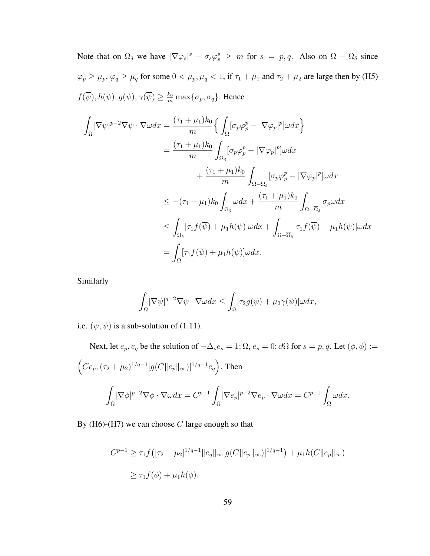Note that on  $\overline{\Omega}_{\delta}$  we have  $|\nabla \varphi_s|^s - \sigma_s \varphi_s^s \geq m$  for  $s = p, q$ . Also on  $\Omega - \overline{\Omega}_{\delta}$  since  $\varphi_p \ge \mu_p$ ,  $\varphi_q \ge \mu_q$  for some  $0 < \mu_p$ ,  $\mu_q < 1$ , if  $\tau_1 + \mu_1$  and  $\tau_2 + \mu_2$  are large then by (H5)  $f(\overline{\psi}), h(\psi), g(\psi), \gamma(\overline{\psi}) \geq \frac{k_0}{m} \max\{\sigma_p, \sigma_q\}.$  Hence

$$
\int_{\Omega} |\nabla \psi|^{p-2} \nabla \psi \cdot \nabla \omega dx = \frac{(\tau_1 + \mu_1) k_0}{m} \Big\{ \int_{\Omega} [\sigma_p \varphi_p^p - |\nabla \varphi_p|^p] \omega dx \Big\}
$$
  
\n
$$
= \frac{(\tau_1 + \mu_1) k_0}{m} \int_{\Omega_{\delta}} [\sigma_p \varphi_p^p - |\nabla \varphi_p|^p] \omega dx
$$
  
\n
$$
+ \frac{(\tau_1 + \mu_1) k_0}{m} \int_{\Omega - \overline{\Omega}_{\delta}} [\sigma_p \varphi_p^p - |\nabla \varphi_p|^p] \omega dx
$$
  
\n
$$
\leq -(\tau_1 + \mu_1) k_0 \int_{\Omega_{\delta}} \omega dx + \frac{(\tau_1 + \mu_1) k_0}{m} \int_{\Omega - \overline{\Omega}_{\delta}} \sigma_p \omega dx
$$
  
\n
$$
\leq \int_{\Omega_{\delta}} [\tau_1 f(\overline{\psi}) + \mu_1 h(\psi)] \omega dx + \int_{\Omega - \overline{\Omega}_{\delta}} [\tau_1 f(\overline{\psi}) + \mu_1 h(\psi)] \omega dx
$$
  
\n
$$
= \int_{\Omega} [\tau_1 f(\overline{\psi}) + \mu_1 h(\psi)] \omega dx.
$$

Similarly

$$
\int_{\Omega} |\nabla \overline{\psi}|^{q-2} \nabla \overline{\psi} \cdot \nabla \omega dx \le \int_{\Omega} [\tau_2 g(\psi) + \mu_2 \gamma(\overline{\psi})] \omega dx,
$$

i.e.  $(\psi, \overline{\psi})$  is a sub-solution of (1.11).

Next, let  $e_p, e_q$  be the solution of  $-\Delta_s e_s = 1; \Omega, e_s = 0; \partial\Omega$  for  $s = p, q$ . Let  $(\phi, \overline{\phi}) :=$  $\overline{a}$  $Ce_p, (\tau_2 + \mu_2)^{1/q-1}[g(C||e_p||_{\infty})]^{1/q-1}e_q$ ´ . Then Ω  $|\nabla \phi|^{p-2} \nabla \phi \cdot \nabla \omega dx = C^{p-1}$ Ω  $|\nabla e_p|^{p-2} \nabla e_p \cdot \nabla \omega dx = C^{p-1}$ Ω  $\omega dx$ .

By (H6)-(H7) we can choose  $C$  large enough so that

$$
C^{p-1} \ge \tau_1 f([\tau_2 + \mu_2]^{1/q-1} ||e_q||_{\infty} [g(C||e_p||_{\infty})]^{1/q-1}) + \mu_1 h(C||e_p||_{\infty})
$$
  

$$
\ge \tau_1 f(\overline{\phi}) + \mu_1 h(\phi).
$$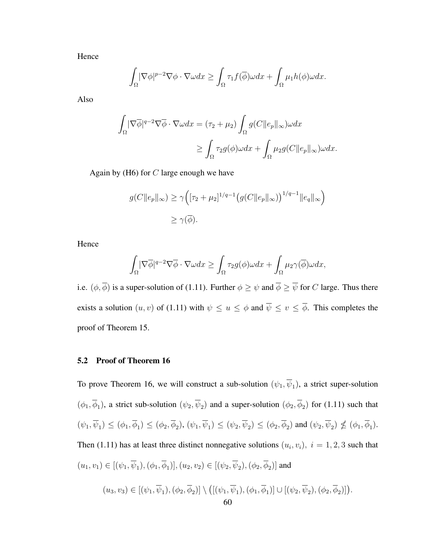Hence

$$
\int_{\Omega} |\nabla \phi|^{p-2} \nabla \phi \cdot \nabla \omega dx \ge \int_{\Omega} \tau_1 f(\overline{\phi}) \omega dx + \int_{\Omega} \mu_1 h(\phi) \omega dx.
$$

Also

$$
\int_{\Omega} |\nabla \overline{\phi}|^{q-2} \nabla \overline{\phi} \cdot \nabla \omega dx = (\tau_2 + \mu_2) \int_{\Omega} g(C \|e_p\|_{\infty}) \omega dx
$$

$$
\geq \int_{\Omega} \tau_2 g(\phi) \omega dx + \int_{\Omega} \mu_2 g(C \|e_p\|_{\infty}) \omega dx.
$$

Again by  $(H6)$  for  $C$  large enough we have

$$
g(C||e_p||_{\infty}) \geq \gamma \Big( [\tau_2 + \mu_2]^{1/q-1} \big( g(C||e_p||_{\infty}) \big)^{1/q-1} ||e_q||_{\infty} \Big)
$$
  

$$
\geq \gamma(\overline{\phi}).
$$

Hence

$$
\int_{\Omega} |\nabla \overline{\phi}|^{q-2} \nabla \overline{\phi} \cdot \nabla \omega dx \ge \int_{\Omega} \tau_2 g(\phi) \omega dx + \int_{\Omega} \mu_2 \gamma(\overline{\phi}) \omega dx,
$$

i.e.  $(\phi, \overline{\phi})$  is a super-solution of (1.11). Further  $\phi \ge \psi$  and  $\overline{\phi} \ge \overline{\psi}$  for C large. Thus there exists a solution  $(u, v)$  of (1.11) with  $\psi \leq u \leq \phi$  and  $\overline{\psi} \leq v \leq \overline{\phi}$ . This completes the proof of Theorem 15.

# 5.2 Proof of Theorem 16

To prove Theorem 16, we will construct a sub-solution  $(\psi_1, \overline{\psi}_1)$ , a strict super-solution  $(\phi_1, \overline{\phi}_1)$ , a strict sub-solution  $(\psi_2, \overline{\psi}_2)$  and a super-solution  $(\phi_2, \overline{\phi}_2)$  for (1.11) such that  $(\psi_1, \overline{\psi}_1) \leq (\phi_1, \overline{\phi}_1) \leq (\phi_2, \overline{\phi}_2), (\psi_1, \overline{\psi}_1) \leq (\psi_2, \overline{\psi}_2) \leq (\phi_2, \overline{\phi}_2)$  and  $(\psi_2, \overline{\psi}_2) \nleq (\phi_1, \overline{\phi}_1)$ . Then (1.11) has at least three distinct nonnegative solutions  $(u_i, v_i)$ ,  $i = 1, 2, 3$  such that  $(u_1, v_1) \in [(\psi_1, \overline{\psi}_1), (\phi_1, \overline{\phi}_1)], (u_2, v_2) \in [(\psi_2, \overline{\psi}_2), (\phi_2, \overline{\phi}_2)]$  and  $(u_3, v_3) \in [(\psi_1, \overline{\psi}_1), (\phi_2, \phi_2)] \setminus$ ¡  $[(\psi_1,\overline{\psi}_1),(\phi_1,\overline{\phi}_1)] \cup [(\psi_2,\overline{\psi}_2),(\phi_2,\overline{\phi}_2)]$ .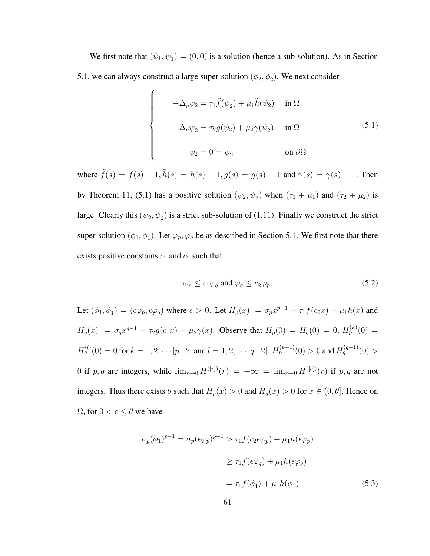We first note that  $(\psi_1, \psi_1) = (0, 0)$  is a solution (hence a sub-solution). As in Section 5.1, we can always construct a large super-solution  $(\phi_2, \phi_2)$ . We next consider

$$
\begin{cases}\n-\Delta_p \psi_2 = \tau_1 \tilde{f}(\overline{\psi}_2) + \mu_1 \tilde{h}(\psi_2) & \text{in } \Omega \\
-\Delta_q \overline{\psi}_2 = \tau_2 \tilde{g}(\psi_2) + \mu_2 \tilde{\gamma}(\overline{\psi}_2) & \text{in } \Omega\n\end{cases}
$$
\n
$$
\psi_2 = 0 = \overline{\psi}_2
$$
\n(5.1)

where  $\tilde{f}(s) = f(s) - 1$ ,  $\tilde{h}(s) = h(s) - 1$ ,  $\tilde{g}(s) = g(s) - 1$  and  $\tilde{\gamma}(s) = \gamma(s) - 1$ . Then by Theorem 11, (5.1) has a positive solution  $(\psi_2, \overline{\psi}_2)$  when  $(\tau_1 + \mu_1)$  and  $(\tau_2 + \mu_2)$  is large. Clearly this  $(\psi_2, \overline{\psi}_2)$  is a strict sub-solution of (1.11). Finally we construct the strict super-solution  $(\phi_1, \overline{\phi}_1)$ . Let  $\varphi_p, \varphi_q$  be as described in Section 5.1. We first note that there exists positive constants  $c_1$  and  $c_2$  such that

$$
\varphi_p \le c_1 \varphi_q \text{ and } \varphi_q \le c_2 \varphi_p. \tag{5.2}
$$

Let  $(\phi_1, \overline{\phi}_1) = (\epsilon \varphi_p, \epsilon \varphi_q)$  where  $\epsilon > 0$ . Let  $H_p(x) := \sigma_p x^{p-1} - \tau_1 f(c_2 x) - \mu_1 h(x)$  and  $H_q(x) := \sigma_q x^{q-1} - \tau_2 g(c_1 x) - \mu_2 \gamma(x)$ . Observe that  $H_p(0) = H_q(0) = 0$ ,  $H_p^{(k)}(0) =$  $H_q^{(l)}(0) = 0$  for  $k = 1, 2, \cdots [p-2]$  and  $l = 1, 2, \cdots [q-2]$ .  $H_p^{(p-1)}(0) > 0$  and  $H_q^{(q-1)}(0) > 0$ 0 if p, q are integers, while  $\lim_{r\to 0} H^{([p])}(r) = +\infty = \lim_{r\to 0} H^{([q])}(r)$  if p, q are not integers. Thus there exists  $\theta$  such that  $H_p(x) > 0$  and  $H_q(x) > 0$  for  $x \in (0, \theta]$ . Hence on  $\Omega$ , for  $0 < \epsilon \leq \theta$  we have

$$
\sigma_p(\phi_1)^{p-1} = \sigma_p(\epsilon \varphi_p)^{p-1} > \tau_1 f(c_2 \epsilon \varphi_p) + \mu_1 h(\epsilon \varphi_p)
$$
  
\n
$$
\geq \tau_1 f(\epsilon \varphi_q) + \mu_1 h(\epsilon \varphi_p)
$$
  
\n
$$
= \tau_1 f(\overline{\phi}_1) + \mu_1 h(\phi_1)
$$
 (5.3)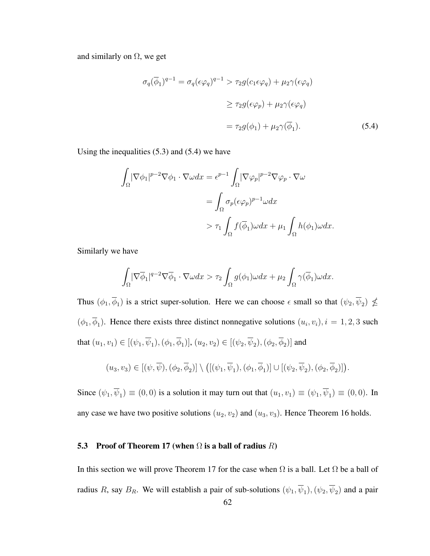and similarly on  $\Omega$ , we get

$$
\sigma_q(\overline{\phi}_1)^{q-1} = \sigma_q(\epsilon \varphi_q)^{q-1} > \tau_2 g(c_1 \epsilon \varphi_q) + \mu_2 \gamma(\epsilon \varphi_q)
$$
  

$$
\geq \tau_2 g(\epsilon \varphi_p) + \mu_2 \gamma(\epsilon \varphi_q)
$$
  

$$
= \tau_2 g(\phi_1) + \mu_2 \gamma(\overline{\phi}_1).
$$
 (5.4)

Using the inequalities  $(5.3)$  and  $(5.4)$  we have

$$
\int_{\Omega} |\nabla \phi_1|^{p-2} \nabla \phi_1 \cdot \nabla \omega dx = \epsilon^{p-1} \int_{\Omega} |\nabla \varphi_p|^{p-2} \nabla \varphi_p \cdot \nabla \omega
$$

$$
= \int_{\Omega} \sigma_p (\epsilon \varphi_p)^{p-1} \omega dx
$$

$$
> \tau_1 \int_{\Omega} f(\overline{\phi}_1) \omega dx + \mu_1 \int_{\Omega} h(\phi_1) \omega dx.
$$

Similarly we have

$$
\int_{\Omega} |\nabla \overline{\phi}_1|^{q-2} \nabla \overline{\phi}_1 \cdot \nabla \omega dx > \tau_2 \int_{\Omega} g(\phi_1) \omega dx + \mu_2 \int_{\Omega} \gamma(\overline{\phi}_1) \omega dx.
$$

Thus  $(\phi_1, \overline{\phi}_1)$  is a strict super-solution. Here we can choose  $\epsilon$  small so that  $(\psi_2, \overline{\psi}_2) \nleq$  $(\phi_1, \overline{\phi}_1)$ . Hence there exists three distinct nonnegative solutions  $(u_i, v_i)$ ,  $i = 1, 2, 3$  such that  $(u_1, v_1) \in [(\psi_1, \overline{\psi}_1), (\phi_1, \overline{\phi}_1)], (u_2, v_2) \in [(\psi_2, \overline{\psi}_2), (\phi_2, \overline{\phi}_2)]$  and

$$
(u_3, v_3) \in [(\psi, \overline{\psi}), (\phi_2, \overline{\phi}_2)] \setminus \big( [(\psi_1, \overline{\psi}_1), (\phi_1, \overline{\phi}_1)] \cup [(\psi_2, \overline{\psi}_2), (\phi_2, \overline{\phi}_2)] \big).
$$

Since  $(\psi_1, \overline{\psi}_1) \equiv (0, 0)$  is a solution it may turn out that  $(u_1, v_1) \equiv (\psi_1, \overline{\psi}_1) \equiv (0, 0)$ . In any case we have two positive solutions  $(u_2, v_2)$  and  $(u_3, v_3)$ . Hence Theorem 16 holds.

### 5.3 Proof of Theorem 17 (when  $\Omega$  is a ball of radius  $R$ )

In this section we will prove Theorem 17 for the case when  $\Omega$  is a ball. Let  $\Omega$  be a ball of radius R, say  $B_R$ . We will establish a pair of sub-solutions  $(\psi_1, \overline{\psi}_1), (\psi_2, \overline{\psi}_2)$  and a pair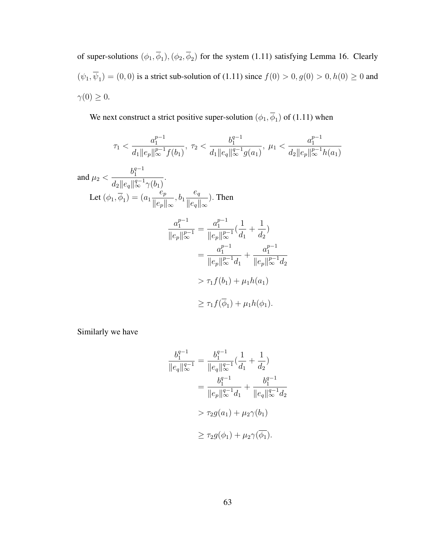of super-solutions  $(\phi_1, \phi_1), (\phi_2, \phi_2)$  for the system (1.11) satisfying Lemma 16. Clearly  $(\psi_1, \psi_1) = (0, 0)$  is a strict sub-solution of (1.11) since  $f(0) > 0, g(0) > 0, h(0) \ge 0$  and  $\gamma(0) \geq 0.$ 

We next construct a strict positive super-solution  $(\phi_1, \phi_1)$  of (1.11) when

$$
\tau_{1} < \frac{a_{1}^{p-1}}{d_{1} \|e_{p}\|_{\infty}^{p-1} f(b_{1})}, \ \tau_{2} < \frac{b_{1}^{q-1}}{d_{1} \|e_{q}\|_{\infty}^{q-1} g(a_{1})}, \ \mu_{1} < \frac{a_{1}^{p-1}}{d_{2} \|e_{p}\|_{\infty}^{p-1} h(a_{1})}
$$
\n
$$
\text{and } \mu_{2} < \frac{b_{1}^{q-1}}{d_{2} \|e_{q}\|_{\infty}^{q-1} \gamma(b_{1})}.
$$
\n
$$
\text{Let } (\phi_{1}, \overline{\phi}_{1}) = (a_{1} \frac{e_{p}}{\|e_{p}\|_{\infty}}, b_{1} \frac{e_{q}}{\|e_{q}\|_{\infty}}). \text{ Then}
$$
\n
$$
\frac{a_{1}^{p-1}}{\|e_{p}\|_{\infty}^{p-1}} = \frac{a_{1}^{p-1}}{\|e_{p}\|_{\infty}^{p-1}} (\frac{1}{d_{1}} + \frac{1}{d_{2}})
$$
\n
$$
= \frac{a_{1}^{p-1}}{\|e_{p}\|_{\infty}^{p-1} d_{1}} + \frac{a_{1}^{p-1}}{\|e_{p}\|_{\infty}^{p-1} d_{2}}
$$
\n
$$
> \tau_{1} f(b_{1}) + \mu_{1} h(a_{1})
$$
\n
$$
\geq \tau_{1} f(\overline{\phi}_{1}) + \mu_{1} h(\phi_{1}).
$$

Similarly we have

$$
\frac{b_1^{q-1}}{\|e_q\|_{\infty}^{q-1}} = \frac{b_1^{q-1}}{\|e_q\|_{\infty}^{q-1}} \left(\frac{1}{d_1} + \frac{1}{d_2}\right)
$$
  
= 
$$
\frac{b_1^{q-1}}{\|e_p\|_{\infty}^{q-1} d_1} + \frac{b_1^{q-1}}{\|e_q\|_{\infty}^{q-1} d_2}
$$
  
> 
$$
\tau_2 g(a_1) + \mu_2 \gamma(b_1)
$$
  

$$
\geq \tau_2 g(\phi_1) + \mu_2 \gamma(\overline{\phi_1}).
$$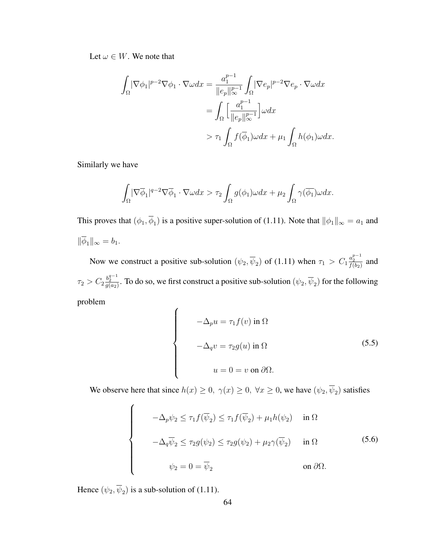Let  $\omega \in W$ . We note that

$$
\int_{\Omega} |\nabla \phi_1|^{p-2} \nabla \phi_1 \cdot \nabla \omega dx = \frac{a_1^{p-1}}{\|e_p\|_{\infty}^{p-1}} \int_{\Omega} |\nabla e_p|^{p-2} \nabla e_p \cdot \nabla \omega dx
$$

$$
= \int_{\Omega} \left[ \frac{a_1^{p-1}}{\|e_p\|_{\infty}^{p-1}} \right] \omega dx
$$

$$
> \tau_1 \int_{\Omega} f(\overline{\phi}_1) \omega dx + \mu_1 \int_{\Omega} h(\phi_1) \omega dx.
$$

Similarly we have

$$
\int_{\Omega} |\nabla \overline{\phi}_1|^{q-2} \nabla \overline{\phi}_1 \cdot \nabla \omega dx > \tau_2 \int_{\Omega} g(\phi_1) \omega dx + \mu_2 \int_{\Omega} \gamma(\overline{\phi_1}) \omega dx.
$$

This proves that  $(\phi_1, \overline{\phi}_1)$  is a positive super-solution of (1.11). Note that  $\|\phi_1\|_{\infty} = a_1$  and  $\|\overline{\phi}_1\|_{\infty} = b_1.$ 

Now we construct a positive sub-solution  $(\psi_2, \overline{\psi}_2)$  of (1.11) when  $\tau_1 > C_1 \frac{a_2^{p-1}}{f(b_2)}$  and  $\tau_2 > C_2 \frac{b_2^{q-1}}{g(a_2)}$ . To do so, we first construct a positive sub-solution  $(\psi_2, \overline{\psi}_2)$  for the following problem

$$
\begin{cases}\n-\Delta_p u = \tau_1 f(v) \text{ in } \Omega \\
-\Delta_q v = \tau_2 g(u) \text{ in } \Omega \\
u = 0 = v \text{ on } \partial \Omega.\n\end{cases}
$$
\n(5.5)

We observe here that since  $h(x) \ge 0$ ,  $\gamma(x) \ge 0$ ,  $\forall x \ge 0$ , we have  $(\psi_2, \overline{\psi}_2)$  satisfies

$$
-\Delta_p \psi_2 \le \tau_1 f(\overline{\psi}_2) \le \tau_1 f(\overline{\psi}_2) + \mu_1 h(\psi_2) \quad \text{in } \Omega
$$
  

$$
-\Delta_q \overline{\psi}_2 \le \tau_2 g(\psi_2) \le \tau_2 g(\psi_2) + \mu_2 \gamma(\overline{\psi}_2) \quad \text{in } \Omega
$$
  

$$
\psi_2 = 0 = \overline{\psi}_2 \qquad \text{on } \partial \Omega.
$$
 (5.6)

Hence  $(\psi_2, \overline{\psi}_2)$  is a sub-solution of (1.11).

 $\overline{a}$ 

 $\begin{bmatrix} \phantom{-} \end{bmatrix}$ 

 $\begin{matrix} \phantom{-} \end{matrix}$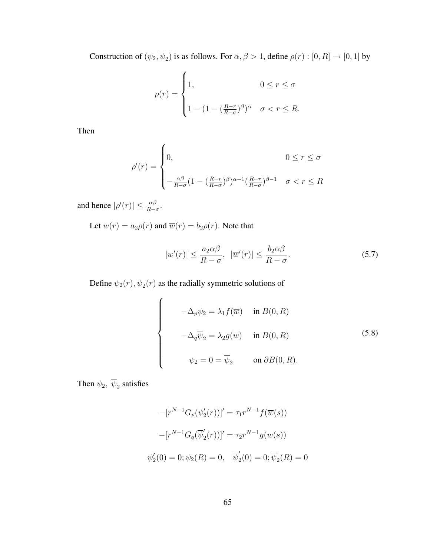Construction of  $(\psi_2, \psi_2)$  is as follows. For  $\alpha, \beta > 1$ , define  $\rho(r) : [0, R] \rightarrow [0, 1]$  by

$$
\rho(r) = \begin{cases} 1, & 0 \leq r \leq \sigma \\ 1 - (1 - (\frac{R-r}{R-\sigma})^{\beta})^{\alpha} & \sigma < r \leq R. \end{cases}
$$

Then

$$
\rho'(r) = \begin{cases}\n0, & 0 \le r \le \sigma \\
-\frac{\alpha\beta}{R-\sigma}(1 - \left(\frac{R-r}{R-\sigma}\right)^{\beta})^{\alpha-1} \left(\frac{R-r}{R-\sigma}\right)^{\beta-1} & \sigma < r \le R\n\end{cases}
$$

and hence  $|\rho'(r)| \leq \frac{\alpha\beta}{R-\sigma}$ .

Let  $w(r) = a_2 \rho(r)$  and  $\overline{w}(r) = b_2 \rho(r)$ . Note that

$$
|w'(r)| \le \frac{a_2 \alpha \beta}{R - \sigma}, \quad |\overline{w}'(r)| \le \frac{b_2 \alpha \beta}{R - \sigma}.
$$
\n
$$
(5.7)
$$

Define  $\psi_2(r), \overline{\psi}_2(r)$  as the radially symmetric solutions of

$$
\begin{cases}\n-\Delta_p \psi_2 = \lambda_1 f(\overline{w}) & \text{in } B(0, R) \\
-\Delta_q \overline{\psi}_2 = \lambda_2 g(w) & \text{in } B(0, R) \\
\psi_2 = 0 = \overline{\psi}_2 & \text{on } \partial B(0, R).\n\end{cases}
$$
\n(5.8)

Then  $\psi_2$ ,  $\overline{\psi}_2$  satisfies

$$
-[r^{N-1}G_p(\psi_2'(r))]' = \tau_1 r^{N-1} f(\overline{w}(s))
$$

$$
-[r^{N-1}G_q(\overline{\psi}_2'(r))]' = \tau_2 r^{N-1} g(w(s))
$$

$$
\psi_2'(0) = 0; \psi_2(R) = 0, \quad \overline{\psi}_2'(0) = 0; \overline{\psi}_2(R) = 0
$$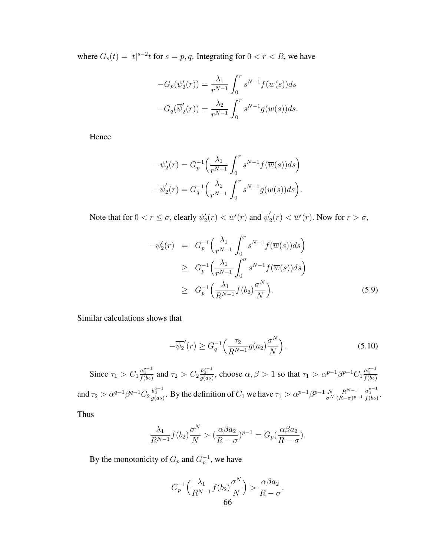where  $G_s(t) = |t|^{s-2}t$  for  $s = p, q$ . Integrating for  $0 < r < R$ , we have

$$
-G_p(\psi_2'(r)) = \frac{\lambda_1}{r^{N-1}} \int_0^r s^{N-1} f(\overline{w}(s)) ds
$$
  

$$
-G_q(\overline{\psi}_2'(r)) = \frac{\lambda_2}{r^{N-1}} \int_0^r s^{N-1} g(w(s)) ds.
$$

Hence

$$
-\psi_2'(r) = G_p^{-1}\left(\frac{\lambda_1}{r^{N-1}} \int_0^r s^{N-1} f(\overline{w}(s))ds\right)
$$

$$
-\overline{\psi}_2'(r) = G_q^{-1}\left(\frac{\lambda_2}{r^{N-1}} \int_0^r s^{N-1} g(w(s))ds\right).
$$

Note that for  $0 < r \le \sigma$ , clearly  $\psi_2'(r) < w'(r)$  and  $\overline{\psi}_2'$  $\overline{w}'_2(r) < \overline{w}'(r)$ . Now for  $r > \sigma$ ,

$$
-\psi_2'(r) = G_p^{-1}\left(\frac{\lambda_1}{r^{N-1}} \int_0^r s^{N-1} f(\overline{w}(s)) ds\right)
$$
  
\n
$$
\geq G_p^{-1}\left(\frac{\lambda_1}{r^{N-1}} \int_0^{\sigma} s^{N-1} f(\overline{w}(s)) ds\right)
$$
  
\n
$$
\geq G_p^{-1}\left(\frac{\lambda_1}{R^{N-1}} f(b_2) \frac{\sigma^N}{N}\right).
$$
 (5.9)

Similar calculations shows that

$$
-\overline{\psi_2}'(r) \ge G_q^{-1}\left(\frac{\tau_2}{R^{N-1}}g(a_2)\frac{\sigma^N}{N}\right).
$$
\n(5.10)

Since  $\tau_1 > C_1 \frac{a_2^{p-1}}{f(b_2)}$  and  $\tau_2 > C_2 \frac{b_2^{q-1}}{g(a_2)}$ , choose  $\alpha, \beta > 1$  so that  $\tau_1 > \alpha^{p-1} \beta^{p-1} C_1 \frac{a_2^{p-1}}{f(b_2)}$ and  $\tau_2 > \alpha^{q-1} \beta^{q-1} C_2 \frac{b_2^{q-1}}{g(a_2)}$ . By the definition of  $C_1$  we have  $\tau_1 > \alpha^{p-1} \beta^{p-1} \frac{N}{\sigma^N}$  $\overline{\sigma^N}$  $R^{N-1}$  $\frac{R^{N-1}}{(R-\sigma)^{p-1}} \frac{a_2^{p-1}}{f(b_2)}$ .

Thus

$$
\frac{\lambda_1}{R^{N-1}}f(b_2)\frac{\sigma^N}{N} > (\frac{\alpha\beta a_2}{R-\sigma})^{p-1} = G_p(\frac{\alpha\beta a_2}{R-\sigma}).
$$

By the monotonicity of  $G_p$  and  $G_p^{-1}$ , we have

$$
G_p^{-1}\left(\frac{\lambda_1}{R^{N-1}}f(b_2)\frac{\sigma^N}{N}\right) > \frac{\alpha\beta a_2}{R-\sigma}.
$$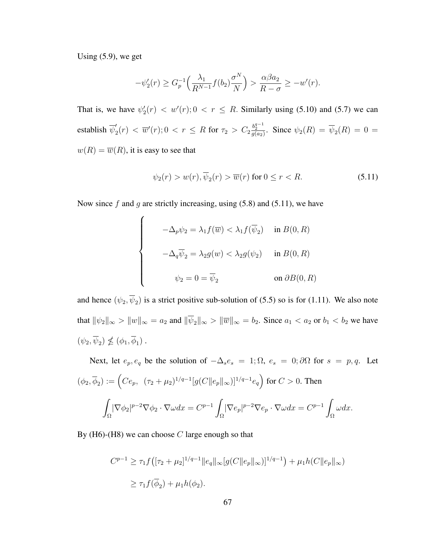Using (5.9), we get

$$
-\psi_2'(r) \ge G_p^{-1}\left(\frac{\lambda_1}{R^{N-1}}f(b_2)\frac{\sigma^N}{N}\right) > \frac{\alpha\beta a_2}{R-\sigma} \ge -w'(r).
$$

That is, we have  $\psi_2'(r) < w'(r)$ ;  $0 < r \le R$ . Similarly using (5.10) and (5.7) we can establish  $\overline{\psi}'_2$  $\mathcal{L}_2'(r) < \overline{w}'(r)$ ;  $0 < r \le R$  for  $\tau_2 > C_2 \frac{b_2^{q-1}}{g(a_2)}$ . Since  $\psi_2(R) = \overline{\psi}_2(R) = 0 = 0$  $w(R) = \overline{w}(R)$ , it is easy to see that

$$
\psi_2(r) > w(r), \overline{\psi}_2(r) > \overline{w}(r) \text{ for } 0 \le r < R. \tag{5.11}
$$

Now since f and g are strictly increasing, using  $(5.8)$  and  $(5.11)$ , we have

 $\overline{a}$ 

$$
-\Delta_p \psi_2 = \lambda_1 f(\overline{w}) < \lambda_1 f(\overline{\psi}_2) \quad \text{in } B(0, R)
$$
\n
$$
-\Delta_q \overline{\psi}_2 = \lambda_2 g(w) < \lambda_2 g(\psi_2) \quad \text{in } B(0, R)
$$
\n
$$
\psi_2 = 0 = \overline{\psi}_2 \quad \text{on } \partial B(0, R)
$$

and hence  $(\psi_2, \psi_2)$  is a strict positive sub-solution of (5.5) so is for (1.11). We also note that  $\|\psi_2\|_{\infty} > \|w\|_{\infty} = a_2$  and  $\|\overline{\psi}_2\|_{\infty} > \|\overline{w}\|_{\infty} = b_2$ . Since  $a_1 < a_2$  or  $b_1 < b_2$  we have  $(\psi_2, \psi_2) \nleq (\phi_1, \phi_1).$ 

Next, let  $e_p, e_q$  be the solution of  $-\Delta s e_s = 1; \Omega, e_s = 0; \partial \Omega$  for  $s = p, q$ . Let  $(\phi_2, \overline{\phi}_2) := \left( C e_p, \ \ (\tau_2 + \mu_2)^{1/q-1} [g(C||e_p||_{\infty})]^{1/q-1} e_q \right)$ ´ for  $C > 0$ . Then Ω  $|\nabla \phi_2|^{p-2} \nabla \phi_2 \cdot \nabla \omega dx = C^{p-1}$ Ω  $|\nabla e_p|^{p-2} \nabla e_p \cdot \nabla \omega dx = C^{p-1}$ Ω  $\omega dx$ .

By  $(H6)$ - $(H8)$  we can choose C large enough so that

$$
C^{p-1} \ge \tau_1 f([\tau_2 + \mu_2]^{1/q-1} ||e_q||_{\infty} [g(C||e_p||_{\infty})]^{1/q-1}) + \mu_1 h(C||e_p||_{\infty})
$$
  

$$
\ge \tau_1 f(\overline{\phi}_2) + \mu_1 h(\phi_2).
$$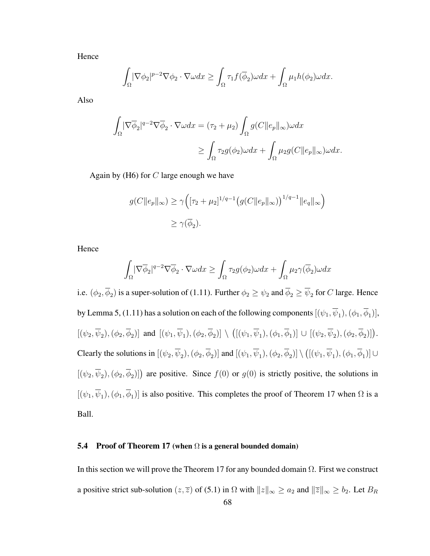Hence

$$
\int_{\Omega} |\nabla \phi_2|^{p-2} \nabla \phi_2 \cdot \nabla \omega dx \ge \int_{\Omega} \tau_1 f(\overline{\phi}_2) \omega dx + \int_{\Omega} \mu_1 h(\phi_2) \omega dx.
$$

Also

$$
\int_{\Omega} |\nabla \overline{\phi}_2|^{q-2} \nabla \overline{\phi}_2 \cdot \nabla \omega dx = (\tau_2 + \mu_2) \int_{\Omega} g(C \|e_p\|_{\infty}) \omega dx
$$

$$
\geq \int_{\Omega} \tau_2 g(\phi_2) \omega dx + \int_{\Omega} \mu_2 g(C \|e_p\|_{\infty}) \omega dx.
$$

Again by  $(H6)$  for C large enough we have

$$
g(C||e_p||_{\infty}) \ge \gamma \Big( [\tau_2 + \mu_2]^{1/q-1} \big( g(C||e_p||_{\infty}) \big)^{1/q-1} ||e_q||_{\infty} \Big)
$$
  

$$
\ge \gamma(\overline{\phi}_2).
$$

Hence

$$
\int_{\Omega} |\nabla \overline{\phi}_2|^{q-2} \nabla \overline{\phi}_2 \cdot \nabla \omega dx \ge \int_{\Omega} \tau_2 g(\phi_2) \omega dx + \int_{\Omega} \mu_2 \gamma(\overline{\phi}_2) \omega dx
$$

i.e.  $(\phi_2, \overline{\phi}_2)$  is a super-solution of (1.11). Further  $\phi_2 \ge \psi_2$  and  $\overline{\phi}_2 \ge \overline{\psi}_2$  for C large. Hence by Lemma 5, (1.11) has a solution on each of the following components  $[(\psi_1,\overline{\psi}_1),(\phi_1,\overline{\phi}_1)],$  $[(\psi_2,\overline{\psi}_2),(\phi_2,\overline{\phi}_2)]$  and  $[(\psi_1,\overline{\psi}_1),(\phi_2,\overline{\phi}_2)] \setminus$ ¡  $[(\psi_1,\overline{\psi}_1),(\phi_1,\overline{\phi}_1)] \cup [(\psi_2,\overline{\psi}_2),(\phi_2,\overline{\phi}_2)]$ . Clearly the solutions in  $[(\psi_2, \overline{\psi}_2), (\phi_2, \overline{\phi}_2)]$  and  $[(\psi_1, \overline{\psi}_1), (\phi_2, \overline{\phi}_2)] \setminus$ ¡  $[(\psi_1,\overline{\psi}_1),(\phi_1,\overline{\phi}_1)]\cup$  $[(\psi_2, \overline{\psi}_2), (\phi_2, \overline{\phi}_2)]$  are positive. Since  $f(0)$  or  $g(0)$  is strictly positive, the solutions in  $[(\psi_1, \psi_1), (\phi_1, \phi_1)]$  is also positive. This completes the proof of Theorem 17 when  $\Omega$  is a Ball.

### 5.4 Proof of Theorem 17 (when  $\Omega$  is a general bounded domain)

In this section we will prove the Theorem 17 for any bounded domain  $\Omega$ . First we construct a positive strict sub-solution  $(z, \overline{z})$  of  $(5.1)$  in  $\Omega$  with  $||z||_{\infty} \ge a_2$  and  $||\overline{z}||_{\infty} \ge b_2$ . Let  $B_R$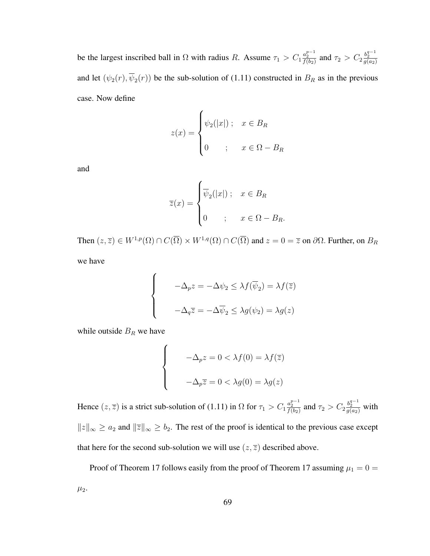be the largest inscribed ball in  $\Omega$  with radius R. Assume  $\tau_1 > C_1 \frac{a_2^{p-1}}{f(b_2)}$  and  $\tau_2 > C_2 \frac{b_2^{q-1}}{g(a_2)}$ and let  $(\psi_2(r), \overline{\psi}_2(r))$  be the sub-solution of (1.11) constructed in  $B_R$  as in the previous case. Now define

$$
z(x) = \begin{cases} \psi_2(|x|) \, ; & x \in B_R \\ 0 & ; & x \in \Omega - B_R \end{cases}
$$

and

$$
\overline{z}(x) = \begin{cases} \overline{\psi}_2(|x|) ; & x \in B_R \\ 0 & ; x \in \Omega - B_R. \end{cases}
$$

Then  $(z, \overline{z}) \in W^{1,p}(\Omega) \cap C(\overline{\Omega}) \times W^{1,q}(\Omega) \cap C(\overline{\Omega})$  and  $z = 0 = \overline{z}$  on  $\partial\Omega$ . Further, on  $B_R$ 

we have

$$
\begin{cases}\n-\Delta_p z = -\Delta \psi_2 \leq \lambda f(\overline{\psi}_2) = \lambda f(\overline{z}) \\
-\Delta_q \overline{z} = -\Delta \overline{\psi}_2 \leq \lambda g(\psi_2) = \lambda g(z)\n\end{cases}
$$

while outside  $B_R$  we have

 $\overline{ }$ 

$$
\begin{cases}\n-\Delta_p z = 0 < \lambda f(0) = \lambda f(\overline{z}) \\
-\Delta_p \overline{z} = 0 < \lambda g(0) = \lambda g(z)\n\end{cases}
$$

Hence  $(z, \overline{z})$  is a strict sub-solution of (1.11) in  $\Omega$  for  $\tau_1 > C_1 \frac{a_2^{p-1}}{f(b_2)}$  and  $\tau_2 > C_2 \frac{b_2^{q-1}}{g(a_2)}$  with  $||z||_{\infty} \ge a_2$  and  $||\overline{z}||_{\infty} \ge b_2$ . The rest of the proof is identical to the previous case except that here for the second sub-solution we will use  $(z, \overline{z})$  described above.

Proof of Theorem 17 follows easily from the proof of Theorem 17 assuming  $\mu_1 = 0$  =  $\mu_2$ .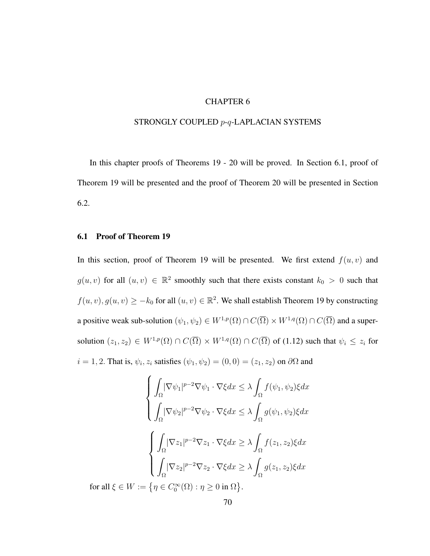### CHAPTER 6

#### STRONGLY COUPLED p-q-LAPLACIAN SYSTEMS

In this chapter proofs of Theorems 19 - 20 will be proved. In Section 6.1, proof of Theorem 19 will be presented and the proof of Theorem 20 will be presented in Section 6.2.

## 6.1 Proof of Theorem 19

In this section, proof of Theorem 19 will be presented. We first extend  $f(u, v)$  and  $g(u, v)$  for all  $(u, v) \in \mathbb{R}^2$  smoothly such that there exists constant  $k_0 > 0$  such that  $f(u, v), g(u, v) \ge -k_0$  for all  $(u, v) \in \mathbb{R}^2$ . We shall establish Theorem 19 by constructing a positive weak sub-solution  $(\psi_1, \psi_2) \in W^{1,p}(\Omega) \cap C(\overline{\Omega}) \times W^{1,q}(\Omega) \cap C(\overline{\Omega})$  and a supersolution  $(z_1, z_2) \in W^{1,p}(\Omega) \cap C(\overline{\Omega}) \times W^{1,q}(\Omega) \cap C(\overline{\Omega})$  of (1.12) such that  $\psi_i \leq z_i$  for  $i = 1, 2$ . That is,  $\psi_i$ ,  $z_i$  satisfies  $(\psi_1, \psi_2) = (0, 0) = (z_1, z_2)$  on  $\partial\Omega$  and

$$
\begin{cases}\n\int_{\Omega} |\nabla \psi_1|^{p-2} \nabla \psi_1 \cdot \nabla \xi dx \leq \lambda \int_{\Omega} f(\psi_1, \psi_2) \xi dx \\
\int_{\Omega} |\nabla \psi_2|^{p-2} \nabla \psi_2 \cdot \nabla \xi dx \leq \lambda \int_{\Omega} g(\psi_1, \psi_2) \xi dx \\
\int_{\Omega} |\nabla z_1|^{p-2} \nabla z_1 \cdot \nabla \xi dx \geq \lambda \int_{\Omega} f(z_1, z_2) \xi dx \\
\int_{\Omega} |\nabla z_2|^{p-2} \nabla z_2 \cdot \nabla \xi dx \geq \lambda \int_{\Omega} g(z_1, z_2) \xi dx \\
\text{for all } \xi \in W := \{ \eta \in C_0^{\infty}(\Omega) : \eta \geq 0 \text{ in } \Omega \}.\n\end{cases}
$$

.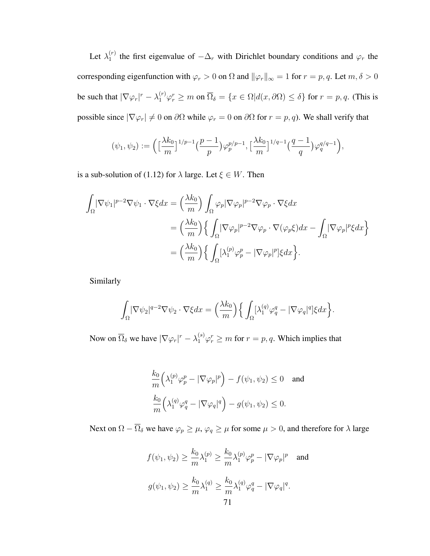Let  $\lambda_1^{(r)}$  $_1^{(r)}$  the first eigenvalue of  $-\Delta_r$  with Dirichlet boundary conditions and  $\varphi_r$  the corresponding eigenfunction with  $\varphi_r > 0$  on  $\Omega$  and  $\|\varphi_r\|_{\infty} = 1$  for  $r = p, q$ . Let  $m, \delta > 0$ be such that  $|\nabla \varphi_r|^r - \lambda_1^{(r)} \varphi_r^r \ge m$  on  $\overline{\Omega}_{\delta} = \{x \in \Omega | d(x, \partial \Omega) \le \delta\}$  for  $r = p, q$ . (This is possible since  $|\nabla \varphi_r| \neq 0$  on  $\partial \Omega$  while  $\varphi_r = 0$  on  $\partial \Omega$  for  $r = p, q$ ). We shall verify that

$$
(\psi_1, \psi_2) := \left( \left[ \frac{\lambda k_0}{m} \right]^{1/p-1} \left( \frac{p-1}{p} \right) \varphi_p^{p/p-1}, \left[ \frac{\lambda k_0}{m} \right]^{1/q-1} \left( \frac{q-1}{q} \right) \varphi_q^{q/q-1} \right),
$$

is a sub-solution of (1.12) for  $\lambda$  large. Let  $\xi \in W$ . Then

$$
\int_{\Omega} |\nabla \psi_1|^{p-2} \nabla \psi_1 \cdot \nabla \xi dx = \left(\frac{\lambda k_0}{m}\right) \int_{\Omega} \varphi_p |\nabla \varphi_p|^{p-2} \nabla \varphi_p \cdot \nabla \xi dx
$$
  

$$
= \left(\frac{\lambda k_0}{m}\right) \left\{ \int_{\Omega} |\nabla \varphi_p|^{p-2} \nabla \varphi_p \cdot \nabla (\varphi_p \xi) dx - \int_{\Omega} |\nabla \varphi_p|^p \xi dx \right\}
$$
  

$$
= \left(\frac{\lambda k_0}{m}\right) \left\{ \int_{\Omega} [\lambda_1^{(p)} \varphi_p^p - |\nabla \varphi_p|^p] \xi dx \right\}.
$$

Similarly

$$
\int_{\Omega} |\nabla \psi_2|^{q-2} \nabla \psi_2 \cdot \nabla \xi dx = \left(\frac{\lambda k_0}{m}\right) \left\{ \int_{\Omega} [\lambda_1^{(q)} \varphi_q^q - |\nabla \varphi_q|^q] \xi dx \right\}.
$$

Now on  $\overline{\Omega}_{\delta}$  we have  $|\nabla \varphi_r|^r - \lambda_1^{(s)} \varphi_r^r \ge m$  for  $r = p, q$ . Which implies that

$$
\frac{k_0}{m} \Big( \lambda_1^{(p)} \varphi_p^p - |\nabla \varphi_p|^p \Big) - f(\psi_1, \psi_2) \le 0 \quad \text{and}
$$
  

$$
\frac{k_0}{m} \Big( \lambda_1^{(q)} \varphi_q^q - |\nabla \varphi_q|^q \Big) - g(\psi_1, \psi_2) \le 0.
$$

Next on  $\Omega - \overline{\Omega}_{\delta}$  we have  $\varphi_p \ge \mu$ ,  $\varphi_q \ge \mu$  for some  $\mu > 0$ , and therefore for  $\lambda$  large

$$
f(\psi_1, \psi_2) \ge \frac{k_0}{m} \lambda_1^{(p)} \ge \frac{k_0}{m} \lambda_1^{(p)} \varphi_p^p - |\nabla \varphi_p|^p \text{ and}
$$
  

$$
g(\psi_1, \psi_2) \ge \frac{k_0}{m} \lambda_1^{(q)} \ge \frac{k_0}{m} \lambda_1^{(q)} \varphi_q^q - |\nabla \varphi_q|^q.
$$
  
71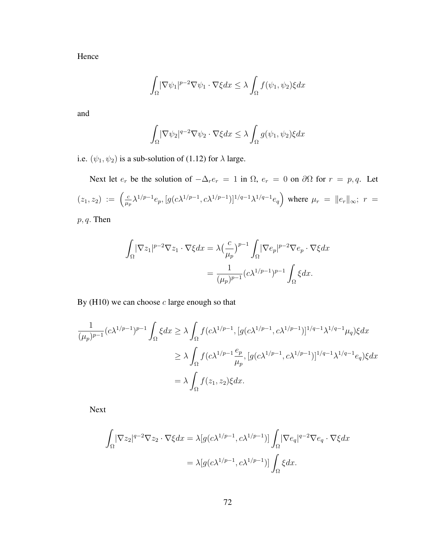Hence

$$
\int_{\Omega} |\nabla \psi_1|^{p-2} \nabla \psi_1 \cdot \nabla \xi dx \le \lambda \int_{\Omega} f(\psi_1, \psi_2) \xi dx
$$

and

$$
\int_{\Omega} |\nabla \psi_2|^{q-2} \nabla \psi_2 \cdot \nabla \xi dx \le \lambda \int_{\Omega} g(\psi_1, \psi_2) \xi dx
$$

i.e.  $(\psi_1, \psi_2)$  is a sub-solution of (1.12) for  $\lambda$  large.

Next let  $e_r$  be the solution of  $-\Delta_r e_r = 1$  in  $\Omega$ ,  $e_r = 0$  on  $\partial \Omega$  for  $r = p, q$ . Let  $(z_1, z_2) := \left(\frac{c}{w}\right)$  $\frac{c}{\mu_p} \lambda^{1/p-1} e_p, [g(c\lambda^{1/p-1}, c\lambda^{1/p-1})]^{1/q-1} \lambda^{1/q-1} e_q$ ´ where  $\mu_r = ||e_r||_{\infty}; r =$ 

 $p, q$ . Then

$$
\begin{aligned}\n\int_{\Omega} |\nabla z_1|^{p-2} \nabla z_1 \cdot \nabla \xi dx &= \lambda \left(\frac{c}{\mu_p}\right)^{p-1} \int_{\Omega} |\nabla e_p|^{p-2} \nabla e_p \cdot \nabla \xi dx \\
&= \frac{1}{(\mu_p)^{p-1}} (c \lambda^{1/p-1})^{p-1} \int_{\Omega} \xi dx.\n\end{aligned}
$$

By  $(H10)$  we can choose  $c$  large enough so that

$$
\frac{1}{(\mu_p)^{p-1}} (c\lambda^{1/p-1})^{p-1} \int_{\Omega} \xi dx \ge \lambda \int_{\Omega} f(c\lambda^{1/p-1}, [g(c\lambda^{1/p-1}, c\lambda^{1/p-1})]^{1/q-1} \lambda^{1/q-1} \mu_q) \xi dx
$$
  

$$
\ge \lambda \int_{\Omega} f(c\lambda^{1/p-1} \frac{e_p}{\mu_p}, [g(c\lambda^{1/p-1}, c\lambda^{1/p-1})]^{1/q-1} \lambda^{1/q-1} e_q) \xi dx
$$
  

$$
= \lambda \int_{\Omega} f(z_1, z_2) \xi dx.
$$

Next

$$
\int_{\Omega} |\nabla z_2|^{q-2} \nabla z_2 \cdot \nabla \xi dx = \lambda [g(c\lambda^{1/p-1}, c\lambda^{1/p-1})] \int_{\Omega} |\nabla e_q|^{q-2} \nabla e_q \cdot \nabla \xi dx
$$

$$
= \lambda [g(c\lambda^{1/p-1}, c\lambda^{1/p-1})] \int_{\Omega} \xi dx.
$$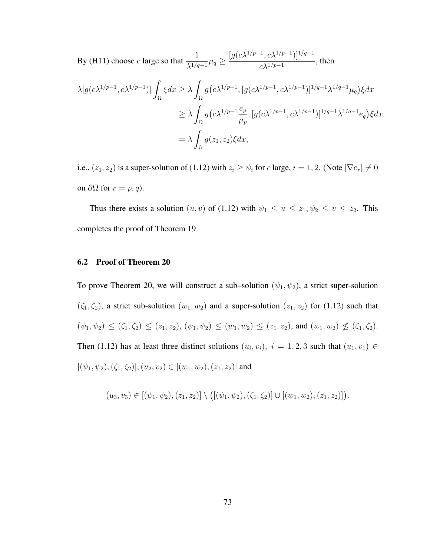By (H11) choose c large so that  $\frac{1}{16}$  $\frac{1}{\lambda^{1/q-1}}\mu_q \ge$  $[g(c\lambda^{1/p-1}, c\lambda^{1/p-1})]^{1/q-1}$  $\frac{1}{c\lambda^{1/p-1}}$ , then

$$
\lambda[g(c\lambda^{1/p-1}, c\lambda^{1/p-1})] \int_{\Omega} \xi dx \ge \lambda \int_{\Omega} g(c\lambda^{1/p-1}, [g(c\lambda^{1/p-1}, c\lambda^{1/p-1})]^{1/q-1} \lambda^{1/q-1} \mu_q) \xi dx
$$
  

$$
\ge \lambda \int_{\Omega} g(c\lambda^{1/p-1} \frac{e_p}{\mu_p}, [g(c\lambda^{1/p-1}, c\lambda^{1/p-1})]^{1/q-1} \lambda^{1/q-1} e_q) \xi dx
$$
  

$$
= \lambda \int_{\Omega} g(z_1, z_2) \xi dx,
$$

i.e.,  $(z_1, z_2)$  is a super-solution of (1.12) with  $z_i \ge \psi_i$  for c large,  $i = 1, 2$ . (Note  $|\nabla e_r| \ne 0$ on  $\partial Ω$  for  $r = p, q$ ).

Thus there exists a solution  $(u, v)$  of (1.12) with  $\psi_1 \le u \le z_1, \psi_2 \le v \le z_2$ . This completes the proof of Theorem 19.

### 6.2 Proof of Theorem 20

To prove Theorem 20, we will construct a sub–solution  $(\psi_1, \psi_2)$ , a strict super-solution  $(\zeta_1, \zeta_2)$ , a strict sub-solution  $(w_1, w_2)$  and a super-solution  $(z_1, z_2)$  for (1.12) such that  $(\psi_1, \psi_2) \leq (\zeta_1, \zeta_2) \leq (z_1, z_2), (\psi_1, \psi_2) \leq (w_1, w_2) \leq (z_1, z_2)$ , and  $(w_1, w_2) \nleq (\zeta_1, \zeta_2)$ . Then (1.12) has at least three distinct solutions  $(u_i, v_i)$ ,  $i = 1, 2, 3$  such that  $(u_1, v_1) \in$  $[(\psi_1, \psi_2), (\zeta_1, \zeta_2)],(u_2, v_2) \in [(w_1, w_2), (z_1, z_2)]$  and

$$
(u_3, v_3) \in [(\psi_1, \psi_2), (z_1, z_2)] \setminus \big( [(\psi_1, \psi_2), (\zeta_1, \zeta_2)] \cup [(w_1, w_2), (z_1, z_2)] \big).
$$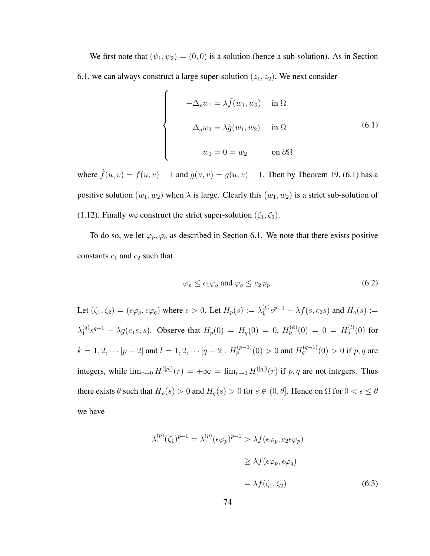We first note that  $(\psi_1, \psi_2) = (0, 0)$  is a solution (hence a sub-solution). As in Section 6.1, we can always construct a large super-solution  $(z_1, z_2)$ . We next consider

 $\overline{a}$ 

$$
\begin{cases}\n-\Delta_p w_1 = \lambda \tilde{f}(w_1, w_2) & \text{in } \Omega \\
-\Delta_q w_2 = \lambda \tilde{g}(w_1, w_2) & \text{in } \Omega\n\end{cases}
$$
\n(6.1)\n
$$
w_1 = 0 = w_2 \qquad \text{on } \partial\Omega
$$

where  $\tilde{f}(u, v) = f(u, v) - 1$  and  $\tilde{g}(u, v) = g(u, v) - 1$ . Then by Theorem 19, (6.1) has a positive solution  $(w_1, w_2)$  when  $\lambda$  is large. Clearly this  $(w_1, w_2)$  is a strict sub-solution of (1.12). Finally we construct the strict super-solution  $(\zeta_1, \zeta_2)$ .

To do so, we let  $\varphi_p, \varphi_q$  as described in Section 6.1. We note that there exists positive constants  $c_1$  and  $c_2$  such that

$$
\varphi_p \le c_1 \varphi_q \text{ and } \varphi_q \le c_2 \varphi_p. \tag{6.2}
$$

Let  $(\zeta_1, \zeta_2) = (\epsilon \varphi_p, \epsilon \varphi_q)$  where  $\epsilon > 0$ . Let  $H_p(s) := \lambda_1^{(p)}$  $1^{(p)}_{1}s^{p-1} - \lambda f(s, c_2s)$  and  $H_q(s) :=$  $\lambda_1^{(q)}$  $H_1^{(q)}s^{q-1} - \lambda g(c_1s, s)$ . Observe that  $H_p(0) = H_q(0) = 0$ ,  $H_p^{(k)}(0) = 0 = H_q^{(l)}(0)$  for  $k = 1, 2, \cdots [p-2]$  and  $l = 1, 2, \cdots [q-2]$ .  $H_p^{(p-1)}(0) > 0$  and  $H_q^{(q-1)}(0) > 0$  if  $p, q$  are integers, while  $\lim_{r\to 0} H^{([p])}(r) = +\infty = \lim_{r\to 0} H^{([q])}(r)$  if p, q are not integers. Thus there exists  $\theta$  such that  $H_p(s) > 0$  and  $H_q(s) > 0$  for  $s \in (0, \theta]$ . Hence on  $\Omega$  for  $0 < \epsilon \le \theta$ we have

$$
\lambda_1^{(p)}(\zeta_1)^{p-1} = \lambda_1^{(p)}(\epsilon \varphi_p)^{p-1} > \lambda f(\epsilon \varphi_p, c_2 \epsilon \varphi_p)
$$
  
\n
$$
\geq \lambda f(\epsilon \varphi_p, \epsilon \varphi_q)
$$
  
\n
$$
= \lambda f(\zeta_1, \zeta_2)
$$
 (6.3)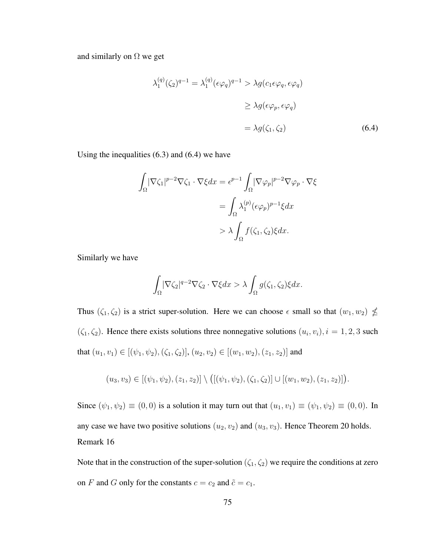and similarly on  $\Omega$  we get

$$
\lambda_1^{(q)}(\zeta_2)^{q-1} = \lambda_1^{(q)}(\epsilon \varphi_q)^{q-1} > \lambda g(c_1 \epsilon \varphi_q, \epsilon \varphi_q)
$$
  
\n
$$
\geq \lambda g(\epsilon \varphi_p, \epsilon \varphi_q)
$$
  
\n
$$
= \lambda g(\zeta_1, \zeta_2)
$$
 (6.4)

Using the inequalities (6.3) and (6.4) we have

$$
\int_{\Omega} |\nabla \zeta_1|^{p-2} \nabla \zeta_1 \cdot \nabla \xi dx = \epsilon^{p-1} \int_{\Omega} |\nabla \varphi_p|^{p-2} \nabla \varphi_p \cdot \nabla \xi
$$

$$
= \int_{\Omega} \lambda_1^{(p)} (\epsilon \varphi_p)^{p-1} \xi dx
$$

$$
> \lambda \int_{\Omega} f(\zeta_1, \zeta_2) \xi dx.
$$

Similarly we have

$$
\int_{\Omega} |\nabla \zeta_2|^{q-2} \nabla \zeta_2 \cdot \nabla \xi dx > \lambda \int_{\Omega} g(\zeta_1, \zeta_2) \xi dx.
$$

Thus  $(\zeta_1, \zeta_2)$  is a strict super-solution. Here we can choose  $\epsilon$  small so that  $(w_1, w_2) \nleq$  $(\zeta_1, \zeta_2)$ . Hence there exists solutions three nonnegative solutions  $(u_i, v_i)$ ,  $i = 1, 2, 3$  such that  $(u_1, v_1) \in [(\psi_1, \psi_2), (\zeta_1, \zeta_2)], (u_2, v_2) \in [(w_1, w_2), (z_1, z_2)]$  and

$$
(u_3, v_3) \in [(\psi_1, \psi_2), (z_1, z_2)] \setminus ([(\psi_1, \psi_2), (\zeta_1, \zeta_2)] \cup [(w_1, w_2), (z_1, z_2)]).
$$

Since  $(\psi_1, \psi_2) \equiv (0, 0)$  is a solution it may turn out that  $(u_1, v_1) \equiv (\psi_1, \psi_2) \equiv (0, 0)$ . In any case we have two positive solutions  $(u_2, v_2)$  and  $(u_3, v_3)$ . Hence Theorem 20 holds. Remark 16

Note that in the construction of the super-solution  $(\zeta_1, \zeta_2)$  we require the conditions at zero on F and G only for the constants  $c = c_2$  and  $\tilde{c} = c_1$ .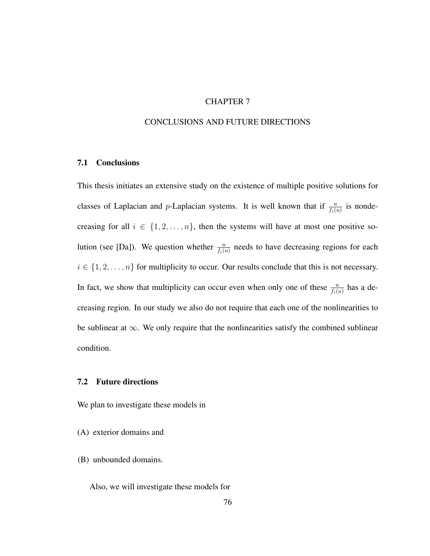# CHAPTER 7

### CONCLUSIONS AND FUTURE DIRECTIONS

### 7.1 Conclusions

This thesis initiates an extensive study on the existence of multiple positive solutions for classes of Laplacian and p-Laplacian systems. It is well known that if  $\frac{u}{f_i(u)}$  is nondecreasing for all  $i \in \{1, 2, ..., n\}$ , then the systems will have at most one positive solution (see [Da]). We question whether  $\frac{u}{f_i(u)}$  needs to have decreasing regions for each  $i \in \{1, 2, \ldots, n\}$  for multiplicity to occur. Our results conclude that this is not necessary. In fact, we show that multiplicity can occur even when only one of these  $\frac{u}{f_i(u)}$  has a decreasing region. In our study we also do not require that each one of the nonlinearities to be sublinear at  $\infty$ . We only require that the nonlinearities satisfy the combined sublinear condition.

### 7.2 Future directions

We plan to investigate these models in

- (A) exterior domains and
- (B) unbounded domains.

Also, we will investigate these models for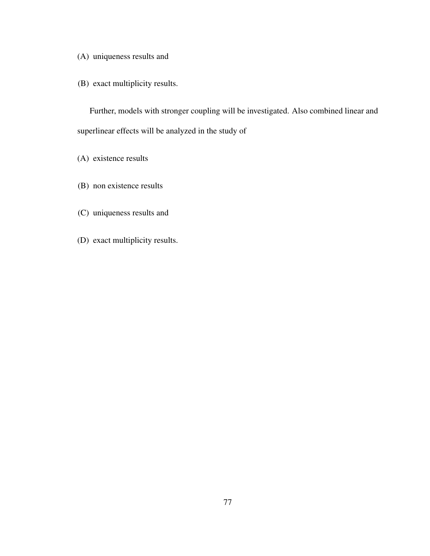(A) uniqueness results and

(B) exact multiplicity results.

Further, models with stronger coupling will be investigated. Also combined linear and superlinear effects will be analyzed in the study of

- (A) existence results
- (B) non existence results
- (C) uniqueness results and
- (D) exact multiplicity results.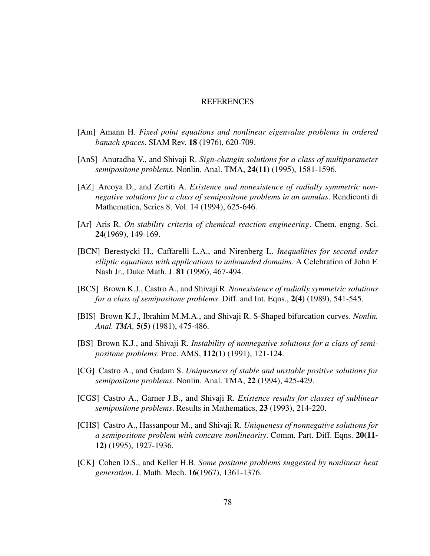#### **REFERENCES**

- [Am] Amann H. *Fixed point equations and nonlinear eigenvalue problems in ordered banach spaces*. SIAM Rev. 18 (1976), 620-709.
- [AnS] Anuradha V., and Shivaji R. *Sign-changin solutions for a class of multiparameter semipositone problems.* Nonlin. Anal. TMA, 24(11) (1995), 1581-1596.
- [AZ] Arcoya D., and Zertiti A. *Existence and nonexistence of radially symmetric nonnegative solutions for a class of semipositone problems in an annulus*. Rendiconti di Mathematica, Series 8. Vol. 14 (1994), 625-646.
- [Ar] Aris R. *On stability criteria of chemical reaction engineering*. Chem. engng. Sci. 24(1969), 149-169.
- [BCN] Berestycki H., Caffarelli L.A., and Nirenberg L. *Inequalities for second order elliptic equations with applications to unbounded domains*. A Celebration of John F. Nash Jr., Duke Math. J. 81 (1996), 467-494.
- [BCS] Brown K.J., Castro A., and Shivaji R. *Nonexistence of radially symmetric solutions for a class of semipositone problems*. Diff. and Int. Eqns., 2(4) (1989), 541-545.
- [BIS] Brown K.J., Ibrahim M.M.A., and Shivaji R. S-Shaped bifurcation curves. *Nonlin. Anal. TMA,* 5(5) (1981), 475-486.
- [BS] Brown K.J., and Shivaji R. *Instability of nonnegative solutions for a class of semipositone problems*. Proc. AMS, 112(1) (1991), 121-124.
- [CG] Castro A., and Gadam S. *Uniquesness of stable and unstable positive solutions for semipositone problems*. Nonlin. Anal. TMA, 22 (1994), 425-429.
- [CGS] Castro A., Garner J.B., and Shivaji R. *Existence results for classes of sublinear semipositone problems*. Results in Mathematics, 23 (1993), 214-220.
- [CHS] Castro A., Hassanpour M., and Shivaji R. *Uniqueness of nonnegative solutions for a semipositone problem with concave nonlinearity*. Comm. Part. Diff. Eqns. 20(11- 12) (1995), 1927-1936.
- [CK] Cohen D.S., and Keller H.B. *Some positone problems suggested by nonlinear heat generation*. J. Math. Mech. 16(1967), 1361-1376.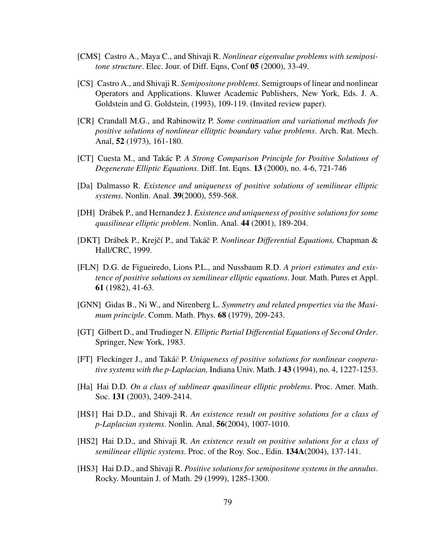- [CMS] Castro A., Maya C., and Shivaji R. *Nonlinear eigenvalue problems with semipositone structure*. Elec. Jour. of Diff. Eqns, Conf 05 (2000), 33-49.
- [CS] Castro A., and Shivaji R. *Semipositone problems*. Semigroups of linear and nonlinear Operators and Applications. Kluwer Academic Publishers, New York, Eds. J. A. Goldstein and G. Goldstein, (1993), 109-119. (Invited review paper).
- [CR] Crandall M.G., and Rabinowitz P. *Some continuation and variational methods for positive solutions of nonlinear ellitptic boundary value problems*. Arch. Rat. Mech. Anal, 52 (1973), 161-180.
- [CT] Cuesta M., and Takac P. ´ *A Strong Comparison Principle for Positive Solutions of Degenerate Elliptic Equations*. Diff. Int. Eqns. 13 (2000), no. 4-6, 721-746
- [Da] Dalmasso R. *Existence and uniqueness of positive solutions of semilinear elliptic systems*. Nonlin. Anal. 39(2000), 559-568.
- [DH] Drábek P., and Hernandez J. *Existence and uniqueness of positive solutions for some quasilinear elliptic problem*. Nonlin. Anal. 44 (2001), 189-204.
- [DKT] Drábek P., Krejčí P., and Takáč P. *Nonlinear Differential Equations*, Chapman & Hall/CRC, 1999.
- [FLN] D.G. de Figueiredo, Lions P.L., and Nussbaum R.D. *A priori estimates and existence of positive solutions os semilinear elliptic equations*. Jour. Math. Pures et Appl. 61 (1982), 41-63.
- [GNN] Gidas B., Ni W., and Nirenberg L. *Symmetry and related properties via the Maximum principle*. Comm. Math. Phys. 68 (1979), 209-243.
- [GT] Gilbert D., and Trudinger N. *Elliptic Partial Differential Equations of Second Order*. Springer, New York, 1983.
- [FT] Fleckinger J., and Takáč P. *Uniqueness of positive solutions for nonlinear cooperative systems with the p-Laplacian,* Indiana Univ. Math. J 43 (1994), no. 4, 1227-1253.
- [Ha] Hai D.D. *On a class of sublinear quasilinear elliptic problems*. Proc. Amer. Math. Soc. 131 (2003), 2409-2414.
- [HS1] Hai D.D., and Shivaji R. *An existence result on positive solutions for a class of p-Laplacian systems*. Nonlin. Anal. 56(2004), 1007-1010.
- [HS2] Hai D.D., and Shivaji R. *An existence result on positive solutions for a class of semilinear elliptic systems*. Proc. of the Roy. Soc., Edin. 134A(2004), 137-141.
- [HS3] Hai D.D., and Shivaji R. *Positive solutions for semipositone systems in the annulus*. Rocky. Mountain J. of Math. 29 (1999), 1285-1300.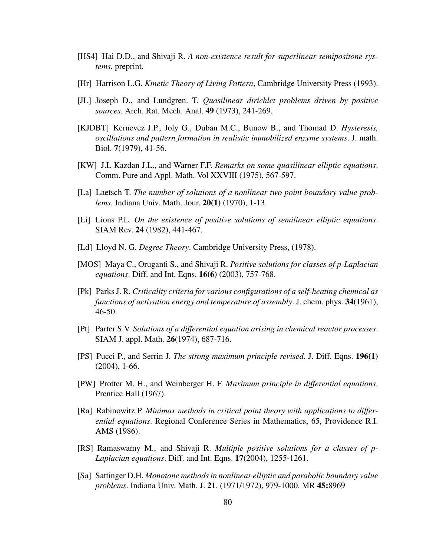- [HS4] Hai D.D., and Shivaji R. *A non-existence result for superlinear semipositone systems*, preprint.
- [Hr] Harrison L.G. *Kinetic Theory of Living Pattern*, Cambridge University Press (1993).
- [JL] Joseph D., and Lundgren. T. *Quasilinear dirichlet problems driven by positive sources*. Arch. Rat. Mech. Anal. 49 (1973), 241-269.
- [KJDBT] Kernevez J.P., Joly G., Duban M.C., Bunow B., and Thomad D. *Hysteresis, oscillations and pattern formation in realistic immobilized enzyme systems*. J. math. Biol. 7(1979), 41-56.
- [KW] J.L Kazdan J.L., and Warner F.F. *Remarks on some quasilinear elliptic equations*. Comm. Pure and Appl. Math. Vol XXVIII (1975), 567-597.
- [La] Laetsch T. *The number of solutions of a nonlinear two point boundary value problems*. Indiana Univ. Math. Jour. 20(1) (1970), 1-13.
- [Li] Lions P.L. *On the existence of positive solutions of semilinear elliptic equations*. SIAM Rev. 24 (1982), 441-467.
- [Ld] Lloyd N. G. *Degree Theory*. Cambridge University Press, (1978).
- [MOS] Maya C., Oruganti S., and Shivaji R. *Positive solutions for classes of p-Laplacian equations*. Diff. and Int. Eqns. 16(6) (2003), 757-768.
- [Pk] Parks J. R. *Criticality criteria for various configurations of a self-heating chemical as functions of activation energy and temperature of assembly*. J. chem. phys. 34(1961), 46-50.
- [Pt] Parter S.V. *Solutions of a differential equation arising in chemical reactor processes*. SIAM J. appl. Math. 26(1974), 687-716.
- [PS] Pucci P., and Serrin J. *The strong maximum principle revised*. J. Diff. Eqns. 196(1) (2004), 1-66.
- [PW] Protter M. H., and Weinberger H. F. *Maximum principle in differential equations*. Prentice Hall (1967).
- [Ra] Rabinowitz P. *Minimax methods in critical point theory with applications to differential equations*. Regional Conference Series in Mathematics, 65, Providence R.I. AMS (1986).
- [RS] Ramaswamy M., and Shivaji R. *Multiple positive solutions for a classes of p-Laplacian equations*. Diff. and Int. Eqns. 17(2004), 1255-1261.
- [Sa] Sattinger D.H. *Monotone methods in nonlinear elliptic and parabolic boundary value problems*. Indiana Univ. Math. J. 21, (1971/1972), 979-1000. MR 45:8969